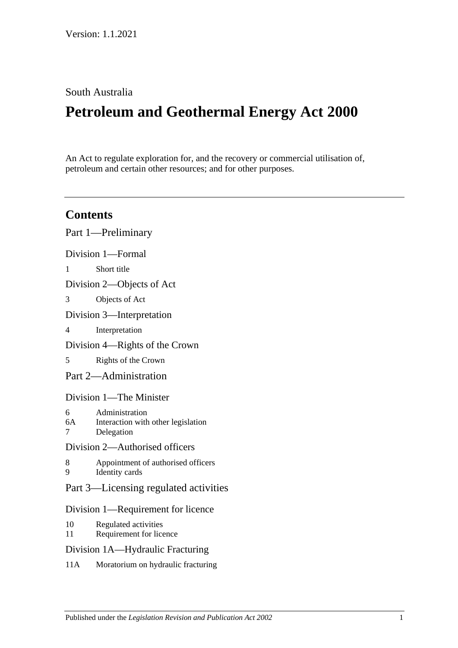# South Australia

# **Petroleum and Geothermal Energy Act 2000**

An Act to regulate exploration for, and the recovery or commercial utilisation of, petroleum and certain other resources; and for other purposes.

# **Contents**

|                                       | Part 1—Preliminary                                                 |
|---------------------------------------|--------------------------------------------------------------------|
| Division 1-Formal                     |                                                                    |
| $\mathbf{1}$                          | Short title                                                        |
| Division 2-Objects of Act             |                                                                    |
| 3                                     | Objects of Act                                                     |
| Division 3—Interpretation             |                                                                    |
| 4                                     | Interpretation                                                     |
| Division 4—Rights of the Crown        |                                                                    |
| 5                                     | Rights of the Crown                                                |
| Part 2-Administration                 |                                                                    |
| Division 1—The Minister               |                                                                    |
| 6<br>6A<br>7                          | Administration<br>Interaction with other legislation<br>Delegation |
| Division 2-Authorised officers        |                                                                    |
| 8<br>9                                | Appointment of authorised officers<br><b>Identity</b> cards        |
| Part 3—Licensing regulated activities |                                                                    |
| Division 1—Requirement for licence    |                                                                    |
| 10<br>11                              | Regulated activities<br>Requirement for licence                    |
| Division 1A-Hydraulic Fracturing      |                                                                    |
|                                       |                                                                    |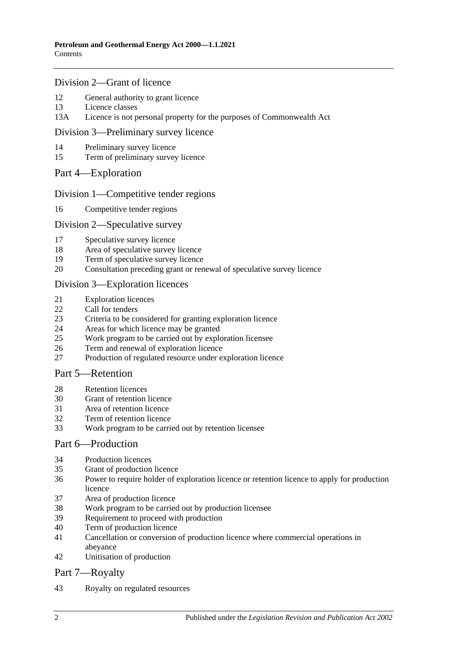### [Division 2—Grant of licence](#page-15-0)

- [General authority to grant licence](#page-15-1)
- [Licence classes](#page-15-2)
- 13A [Licence is not personal property for the purposes of Commonwealth Act](#page-15-3)

#### [Division 3—Preliminary survey licence](#page-15-4)

- [Preliminary survey licence](#page-15-5)
- [Term of preliminary survey licence](#page-16-0)

### Part [4—Exploration](#page-16-1)

### [Division 1—Competitive tender regions](#page-16-2)

[Competitive tender regions](#page-16-3)

### [Division 2—Speculative survey](#page-16-4)

- [Speculative survey licence](#page-16-5)
- [Area of speculative survey licence](#page-16-6)
- [Term of speculative survey licence](#page-16-7)
- [Consultation preceding grant or renewal of speculative survey licence](#page-17-0)

### [Division 3—Exploration licences](#page-17-1)

- [Exploration licences](#page-17-2)
- [Call for tenders](#page-17-3)
- [Criteria to be considered for granting exploration licence](#page-18-0)
- [Areas for which licence may be granted](#page-18-1)
- [Work program to be carried out by exploration licensee](#page-18-2)
- [Term and renewal of exploration licence](#page-19-0)
- [Production of regulated resource under exploration licence](#page-20-0)

# [Part 5—Retention](#page-20-1)

- [Retention licences](#page-20-2)
- [Grant of retention licence](#page-21-0)
- [Area of retention licence](#page-21-1)
- [Term of retention licence](#page-22-0)
- [Work program to be carried out by retention licensee](#page-22-1)

#### [Part 6—Production](#page-22-2)

- [Production licences](#page-22-3)
- [Grant of production licence](#page-23-0)
- [Power to require holder of exploration licence or retention licence to apply for production](#page-24-0)  [licence](#page-24-0)
- [Area of production licence](#page-24-1)
- [Work program to be carried out by production licensee](#page-24-2)
- [Requirement to proceed with production](#page-25-0)
- [Term of production licence](#page-25-1)
- [Cancellation or conversion of production licence where commercial operations in](#page-25-2)  [abeyance](#page-25-2)
- [Unitisation of production](#page-26-0)

# [Part 7—Royalty](#page-26-1)

[Royalty on regulated resources](#page-26-2)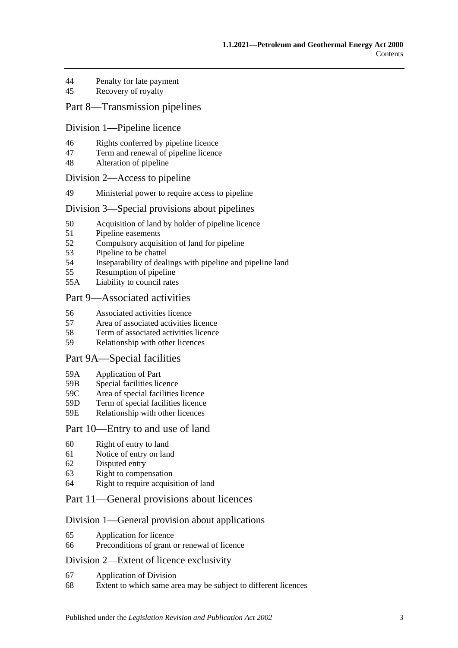- 44 [Penalty for late payment](#page-28-0)
- 45 [Recovery of royalty](#page-28-1)

# [Part 8—Transmission pipelines](#page-28-2)

#### [Division 1—Pipeline licence](#page-28-3)

- 46 [Rights conferred by pipeline licence](#page-28-4)
- 47 [Term and renewal of pipeline licence](#page-28-5)
- 48 [Alteration of pipeline](#page-29-0)

#### [Division 2—Access to pipeline](#page-29-1)

49 [Ministerial power to require access to pipeline](#page-29-2)

#### [Division 3—Special provisions about pipelines](#page-29-3)

- 50 [Acquisition of land by holder of pipeline licence](#page-29-4)
- 51 [Pipeline easements](#page-30-0)
- 52 [Compulsory acquisition of land for pipeline](#page-30-1)
- 53 [Pipeline to be chattel](#page-30-2)
- 54 [Inseparability of dealings with pipeline and pipeline land](#page-30-3)
- 55 [Resumption of pipeline](#page-30-4)
- 55A [Liability to council rates](#page-31-0)

### [Part 9—Associated activities](#page-31-1)

- 56 [Associated activities licence](#page-31-2)
- 57 [Area of associated activities licence](#page-32-0)
- 58 [Term of associated activities licence](#page-32-1)
- 59 [Relationship with other licences](#page-32-2)

#### [Part 9A—Special facilities](#page-33-0)

- 59A [Application of Part](#page-33-1)
- 59B [Special facilities licence](#page-33-2)
- 59C [Area of special facilities licence](#page-34-0)
- 59D [Term of special facilities licence](#page-34-1)
- 59E [Relationship with other licences](#page-34-2)

#### [Part 10—Entry to and use of land](#page-35-0)

- 60 [Right of entry to land](#page-35-1)
- 61 [Notice of entry on land](#page-35-2)
- 62 [Disputed entry](#page-36-0)
- 63 [Right to compensation](#page-36-1)
- 64 [Right to require acquisition of land](#page-37-0)

# [Part 11—General provisions about licences](#page-37-1)

#### [Division 1—General provision about applications](#page-37-2)

- 65 [Application for licence](#page-37-3)
- 66 [Preconditions of grant or renewal of licence](#page-38-0)

#### [Division 2—Extent of licence exclusivity](#page-39-0)

- 67 [Application of Division](#page-39-1)
- 68 [Extent to which same area may be subject to different licences](#page-39-2)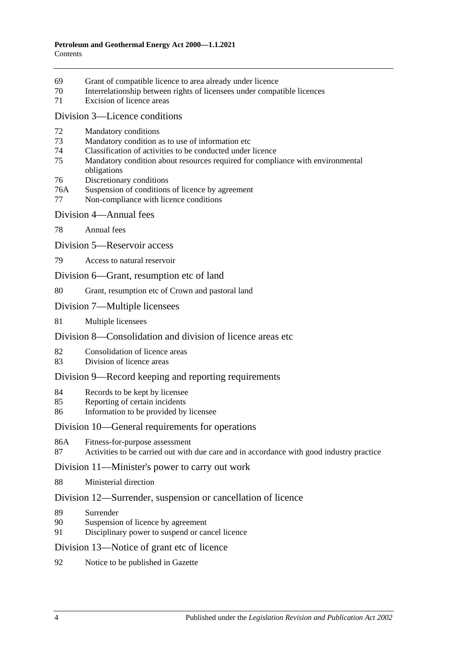- [Grant of compatible licence to area already under licence](#page-39-3)
- [Interrelationship between rights of licensees under compatible licences](#page-40-0)
- [Excision of licence areas](#page-40-1)

#### [Division 3—Licence conditions](#page-40-2)

- [Mandatory conditions](#page-40-3)
- [Mandatory condition as to use of information etc](#page-40-4)
- [Classification of activities to be conducted under licence](#page-40-5)
- [Mandatory condition about resources required for compliance with environmental](#page-41-0)  [obligations](#page-41-0)
- [Discretionary conditions](#page-41-1)
- 76A [Suspension of conditions of licence by agreement](#page-41-2)
- [Non-compliance with licence conditions](#page-41-3)
- [Division 4—Annual fees](#page-42-0)
- [Annual fees](#page-42-1)
- [Division 5—Reservoir access](#page-42-2)
- [Access to natural reservoir](#page-42-3)
- [Division 6—Grant, resumption etc of land](#page-43-0)
- [Grant, resumption etc of Crown and pastoral land](#page-43-1)
- [Division 7—Multiple licensees](#page-43-2)
- [Multiple licensees](#page-43-3)

# [Division 8—Consolidation and division of licence areas etc](#page-44-0)

- [Consolidation of licence areas](#page-44-1)
- [Division of licence areas](#page-44-2)

# [Division 9—Record keeping and reporting requirements](#page-45-0)

- [Records to be kept by licensee](#page-45-1)
- [Reporting of certain incidents](#page-45-2)
- [Information to be provided by licensee](#page-46-0)

### [Division 10—General requirements for operations](#page-46-1)

- 86A [Fitness-for-purpose assessment](#page-46-2)
- [Activities to be carried out with due care and in accordance with good industry practice](#page-47-0)

#### [Division 11—Minister's power to carry out work](#page-47-1)

[Ministerial direction](#page-47-2)

#### [Division 12—Surrender, suspension or cancellation of licence](#page-48-0)

- [Surrender](#page-48-1)
- [Suspension of licence by agreement](#page-48-2)
- [Disciplinary power to suspend or cancel licence](#page-48-3)

#### [Division 13—Notice of grant etc of licence](#page-49-0)

[Notice to be published in Gazette](#page-49-1)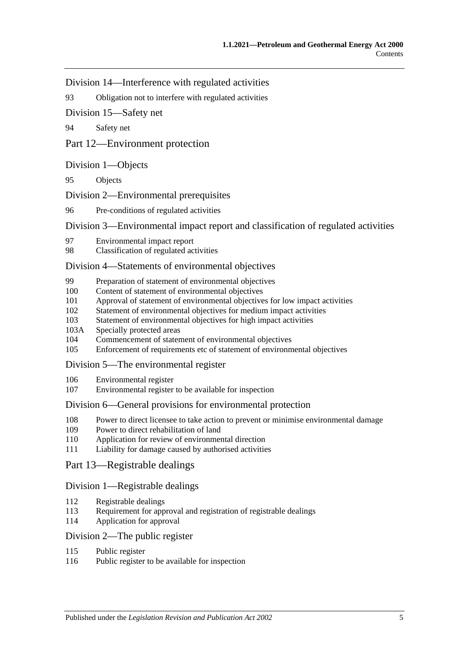[Division 14—Interference with regulated activities](#page-49-2)

93 [Obligation not to interfere with regulated activities](#page-49-3)

[Division 15—Safety net](#page-49-4)

94 [Safety net](#page-49-5)

[Part 12—Environment protection](#page-49-6)

#### [Division 1—Objects](#page-49-7)

95 [Objects](#page-49-8)

[Division 2—Environmental prerequisites](#page-50-0)

96 [Pre-conditions of regulated activities](#page-50-1)

[Division 3—Environmental impact report and classification of regulated activities](#page-50-2)

- 97 [Environmental impact report](#page-50-3)
- 98 [Classification of regulated activities](#page-50-4)

#### [Division 4—Statements of environmental objectives](#page-51-0)

- 99 [Preparation of statement of environmental objectives](#page-51-1)
- 100 [Content of statement of environmental objectives](#page-51-2)
- 101 [Approval of statement of environmental objectives for low impact activities](#page-52-0)
- 102 [Statement of environmental objectives for medium impact activities](#page-52-1)
- 103 [Statement of environmental objectives for high impact activities](#page-53-0)
- 103A [Specially protected areas](#page-53-1)
- 104 [Commencement of statement of environmental objectives](#page-53-2)
- 105 [Enforcement of requirements etc of statement of environmental objectives](#page-53-3)

#### [Division 5—The environmental register](#page-54-0)

- 106 [Environmental register](#page-54-1)
- 107 [Environmental register to be available for inspection](#page-54-2)

#### [Division 6—General provisions for environmental protection](#page-54-3)

- 108 [Power to direct licensee to take action to prevent or minimise environmental damage](#page-54-4)
- 109 [Power to direct rehabilitation of land](#page-55-0)
- 110 [Application for review of environmental direction](#page-55-1)
- 111 [Liability for damage caused by authorised activities](#page-55-2)

#### [Part 13—Registrable dealings](#page-56-0)

#### [Division 1—Registrable dealings](#page-56-1)

- 112 [Registrable dealings](#page-56-2)
- 113 [Requirement for approval and registration of registrable dealings](#page-56-3)
- 114 [Application for approval](#page-56-4)

#### [Division 2—The public register](#page-57-0)

- 115 [Public register](#page-57-1)
- 116 [Public register to be available for inspection](#page-57-2)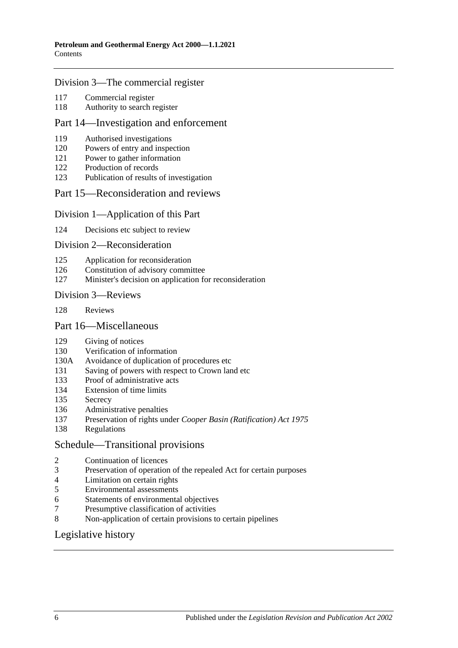#### [Division 3—The commercial register](#page-57-3)

- [Commercial register](#page-57-4)
- [Authority to search register](#page-58-0)

### [Part 14—Investigation and enforcement](#page-58-1)

- [Authorised investigations](#page-58-2)
- [Powers of entry and inspection](#page-58-3)
- [Power to gather information](#page-59-0)
- [Production of records](#page-59-1)
- [Publication of results of investigation](#page-59-2)

### [Part 15—Reconsideration and reviews](#page-60-0)

#### [Division 1—Application of this Part](#page-60-1)

[Decisions etc subject to review](#page-60-2)

#### [Division 2—Reconsideration](#page-60-3)

- [Application for reconsideration](#page-60-4)
- [Constitution of advisory committee](#page-60-5)
- [Minister's decision on application for reconsideration](#page-61-0)

#### [Division 3—Reviews](#page-61-1)

[Reviews](#page-61-2)

#### [Part 16—Miscellaneous](#page-61-3)

- [Giving of notices](#page-61-4)
- [Verification of information](#page-61-5)
- 130A [Avoidance of duplication of procedures etc](#page-62-0)
- [Saving of powers with respect to Crown land etc](#page-64-0)
- [Proof of administrative acts](#page-64-1)
- [Extension of time limits](#page-64-2)
- [Secrecy](#page-64-3)
- [Administrative penalties](#page-64-4)
- Preservation of rights under *[Cooper Basin \(Ratification\) Act](#page-65-0) 1975*
- [Regulations](#page-65-1)

#### [Schedule—Transitional provisions](#page-65-2)

- [Continuation of licences](#page-65-3)<br>3 Preservation of operation
- [Preservation of operation of the repealed Act for certain purposes](#page-66-0)
- [Limitation on certain rights](#page-66-1)
- [Environmental assessments](#page-67-0)
- [Statements of environmental objectives](#page-67-1)
- [Presumptive classification of activities](#page-67-2)
- [Non-application of certain provisions to certain pipelines](#page-67-3)

# [Legislative history](#page-68-0)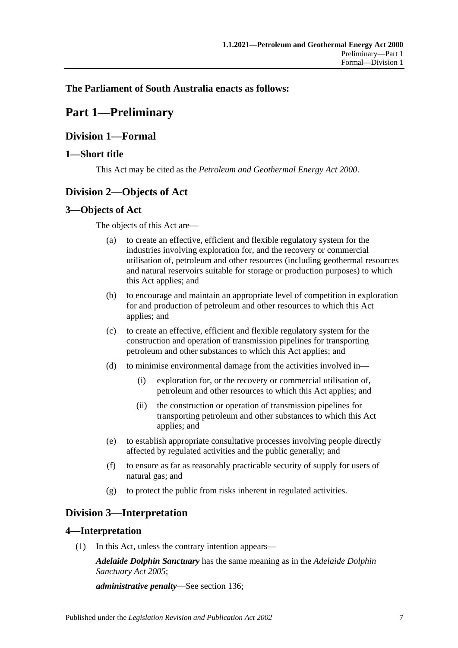# <span id="page-6-0"></span>**The Parliament of South Australia enacts as follows:**

# **Part 1—Preliminary**

# <span id="page-6-1"></span>**Division 1—Formal**

# <span id="page-6-2"></span>**1—Short title**

This Act may be cited as the *Petroleum and Geothermal Energy Act 2000*.

# <span id="page-6-3"></span>**Division 2—Objects of Act**

# <span id="page-6-4"></span>**3—Objects of Act**

The objects of this Act are—

- (a) to create an effective, efficient and flexible regulatory system for the industries involving exploration for, and the recovery or commercial utilisation of, petroleum and other resources (including geothermal resources and natural reservoirs suitable for storage or production purposes) to which this Act applies; and
- (b) to encourage and maintain an appropriate level of competition in exploration for and production of petroleum and other resources to which this Act applies; and
- (c) to create an effective, efficient and flexible regulatory system for the construction and operation of transmission pipelines for transporting petroleum and other substances to which this Act applies; and
- (d) to minimise environmental damage from the activities involved in—
	- (i) exploration for, or the recovery or commercial utilisation of, petroleum and other resources to which this Act applies; and
	- (ii) the construction or operation of transmission pipelines for transporting petroleum and other substances to which this Act applies; and
- (e) to establish appropriate consultative processes involving people directly affected by regulated activities and the public generally; and
- (f) to ensure as far as reasonably practicable security of supply for users of natural gas; and
- (g) to protect the public from risks inherent in regulated activities.

# <span id="page-6-5"></span>**Division 3—Interpretation**

# <span id="page-6-6"></span>**4—Interpretation**

(1) In this Act, unless the contrary intention appears—

*Adelaide Dolphin Sanctuary* has the same meaning as in the *[Adelaide Dolphin](http://www.legislation.sa.gov.au/index.aspx?action=legref&type=act&legtitle=Adelaide%20Dolphin%20Sanctuary%20Act%202005)  [Sanctuary Act](http://www.legislation.sa.gov.au/index.aspx?action=legref&type=act&legtitle=Adelaide%20Dolphin%20Sanctuary%20Act%202005) 2005*;

*administrative penalty*—See [section](#page-64-4) 136;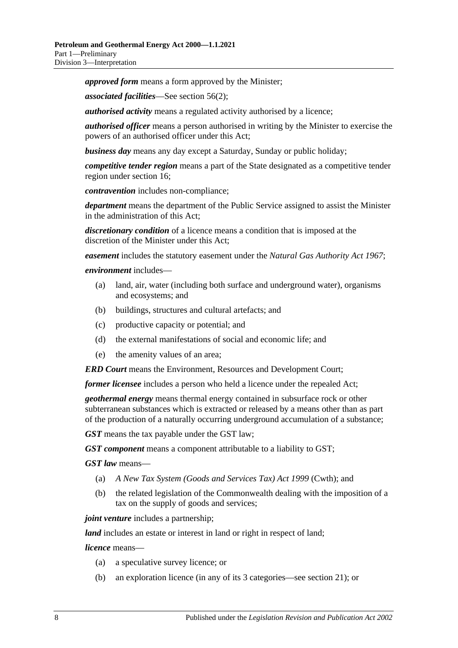*approved form* means a form approved by the Minister;

*associated facilities*—See [section](#page-31-3) 56(2);

*authorised activity* means a regulated activity authorised by a licence;

*authorised officer* means a person authorised in writing by the Minister to exercise the powers of an authorised officer under this Act;

*business day* means any day except a Saturday, Sunday or public holiday;

*competitive tender region* means a part of the State designated as a competitive tender region under [section](#page-16-3) 16;

*contravention* includes non-compliance;

*department* means the department of the Public Service assigned to assist the Minister in the administration of this Act;

*discretionary condition* of a licence means a condition that is imposed at the discretion of the Minister under this Act;

*easement* includes the statutory easement under the *[Natural Gas Authority Act](http://www.legislation.sa.gov.au/index.aspx?action=legref&type=act&legtitle=Natural%20Gas%20Authority%20Act%201967) 1967*;

#### *environment* includes—

- (a) land, air, water (including both surface and underground water), organisms and ecosystems; and
- (b) buildings, structures and cultural artefacts; and
- (c) productive capacity or potential; and
- (d) the external manifestations of social and economic life; and
- (e) the amenity values of an area;

*ERD Court* means the Environment, Resources and Development Court;

*former licensee* includes a person who held a licence under the repealed Act;

*geothermal energy* means thermal energy contained in subsurface rock or other subterranean substances which is extracted or released by a means other than as part of the production of a naturally occurring underground accumulation of a substance;

*GST* means the tax payable under the GST law;

*GST component* means a component attributable to a liability to GST;

*GST law* means—

- (a) *A New Tax System (Goods and Services Tax) Act 1999* (Cwth); and
- (b) the related legislation of the Commonwealth dealing with the imposition of a tax on the supply of goods and services;

*joint venture* includes a partnership;

*land* includes an estate or interest in land or right in respect of land;

*licence* means—

- (a) a speculative survey licence; or
- (b) an exploration licence (in any of its 3 categories—see [section](#page-17-2) 21); or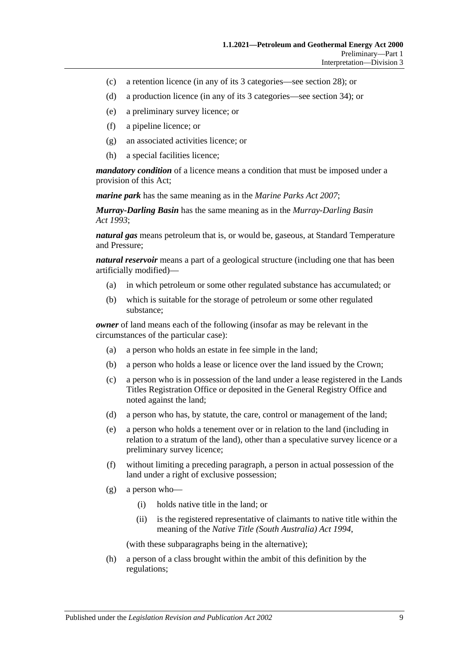- (c) a retention licence (in any of its 3 categories—see [section](#page-20-2) 28); or
- (d) a production licence (in any of its 3 categories—see [section](#page-22-3) 34); or
- (e) a preliminary survey licence; or
- (f) a pipeline licence; or
- (g) an associated activities licence; or
- (h) a special facilities licence;

*mandatory condition* of a licence means a condition that must be imposed under a provision of this Act;

*marine park* has the same meaning as in the *[Marine Parks Act](http://www.legislation.sa.gov.au/index.aspx?action=legref&type=act&legtitle=Marine%20Parks%20Act%202007) 2007*;

*Murray-Darling Basin* has the same meaning as in the *[Murray-Darling Basin](http://www.legislation.sa.gov.au/index.aspx?action=legref&type=act&legtitle=Murray-Darling%20Basin%20Act%201993)  Act [1993](http://www.legislation.sa.gov.au/index.aspx?action=legref&type=act&legtitle=Murray-Darling%20Basin%20Act%201993)*;

*natural gas* means petroleum that is, or would be, gaseous, at Standard Temperature and Pressure;

*natural reservoir* means a part of a geological structure (including one that has been artificially modified)—

- (a) in which petroleum or some other regulated substance has accumulated; or
- (b) which is suitable for the storage of petroleum or some other regulated substance;

*owner* of land means each of the following (insofar as may be relevant in the circumstances of the particular case):

- (a) a person who holds an estate in fee simple in the land;
- (b) a person who holds a lease or licence over the land issued by the Crown;
- (c) a person who is in possession of the land under a lease registered in the Lands Titles Registration Office or deposited in the General Registry Office and noted against the land;
- (d) a person who has, by statute, the care, control or management of the land;
- (e) a person who holds a tenement over or in relation to the land (including in relation to a stratum of the land), other than a speculative survey licence or a preliminary survey licence;
- (f) without limiting a preceding paragraph, a person in actual possession of the land under a right of exclusive possession;
- (g) a person who—
	- (i) holds native title in the land; or
	- (ii) is the registered representative of claimants to native title within the meaning of the *[Native Title \(South Australia\) Act](http://www.legislation.sa.gov.au/index.aspx?action=legref&type=act&legtitle=Native%20Title%20(South%20Australia)%20Act%201994) 1994*,

(with these subparagraphs being in the alternative);

(h) a person of a class brought within the ambit of this definition by the regulations;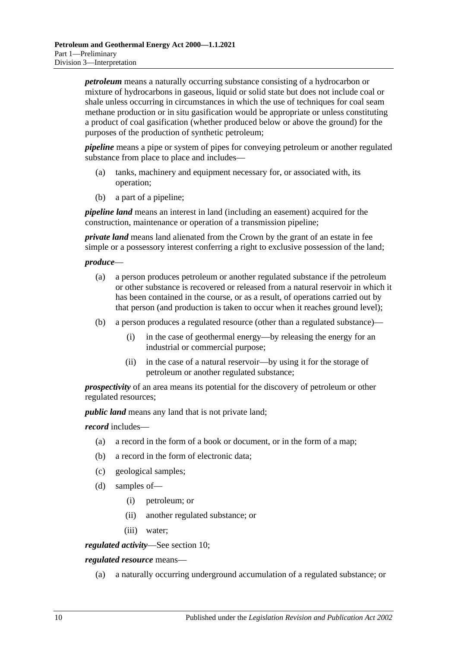*petroleum* means a naturally occurring substance consisting of a hydrocarbon or mixture of hydrocarbons in gaseous, liquid or solid state but does not include coal or shale unless occurring in circumstances in which the use of techniques for coal seam methane production or in situ gasification would be appropriate or unless constituting a product of coal gasification (whether produced below or above the ground) for the purposes of the production of synthetic petroleum;

*pipeline* means a pipe or system of pipes for conveying petroleum or another regulated substance from place to place and includes—

- (a) tanks, machinery and equipment necessary for, or associated with, its operation;
- (b) a part of a pipeline;

*pipeline land* means an interest in land (including an easement) acquired for the construction, maintenance or operation of a transmission pipeline;

*private land* means land alienated from the Crown by the grant of an estate in fee simple or a possessory interest conferring a right to exclusive possession of the land;

#### *produce*—

- (a) a person produces petroleum or another regulated substance if the petroleum or other substance is recovered or released from a natural reservoir in which it has been contained in the course, or as a result, of operations carried out by that person (and production is taken to occur when it reaches ground level);
- (b) a person produces a regulated resource (other than a regulated substance)—
	- (i) in the case of geothermal energy—by releasing the energy for an industrial or commercial purpose;
	- (ii) in the case of a natural reservoir—by using it for the storage of petroleum or another regulated substance;

*prospectivity* of an area means its potential for the discovery of petroleum or other regulated resources;

*public land* means any land that is not private land;

*record* includes—

- (a) a record in the form of a book or document, or in the form of a map;
- (b) a record in the form of electronic data;
- (c) geological samples;
- (d) samples of—
	- (i) petroleum; or
	- (ii) another regulated substance; or
	- (iii) water;

*regulated activity*—See [section](#page-13-3) 10;

*regulated resource* means—

(a) a naturally occurring underground accumulation of a regulated substance; or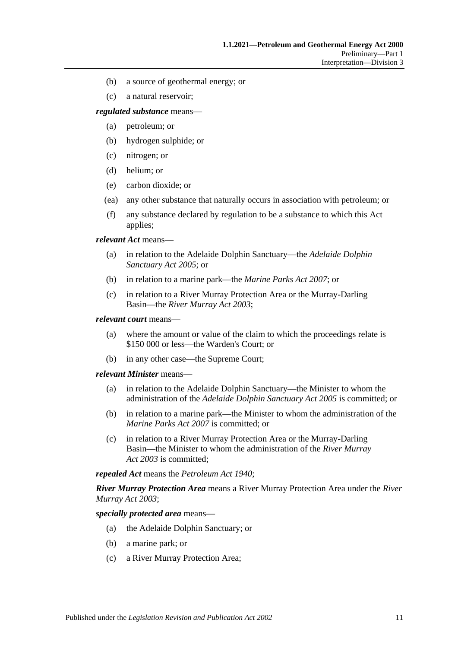- (b) a source of geothermal energy; or
- (c) a natural reservoir;

*regulated substance* means—

- (a) petroleum; or
- (b) hydrogen sulphide; or
- (c) nitrogen; or
- (d) helium; or
- (e) carbon dioxide; or
- (ea) any other substance that naturally occurs in association with petroleum; or
- (f) any substance declared by regulation to be a substance to which this Act applies;

*relevant Act* means—

- (a) in relation to the Adelaide Dolphin Sanctuary—the *[Adelaide Dolphin](http://www.legislation.sa.gov.au/index.aspx?action=legref&type=act&legtitle=Adelaide%20Dolphin%20Sanctuary%20Act%202005)  [Sanctuary Act](http://www.legislation.sa.gov.au/index.aspx?action=legref&type=act&legtitle=Adelaide%20Dolphin%20Sanctuary%20Act%202005) 2005*; or
- (b) in relation to a marine park—the *[Marine Parks Act](http://www.legislation.sa.gov.au/index.aspx?action=legref&type=act&legtitle=Marine%20Parks%20Act%202007) 2007*; or
- (c) in relation to a River Murray Protection Area or the Murray-Darling Basin—the *[River Murray Act](http://www.legislation.sa.gov.au/index.aspx?action=legref&type=act&legtitle=River%20Murray%20Act%202003) 2003*;

#### *relevant court* means—

- (a) where the amount or value of the claim to which the proceedings relate is \$150 000 or less—the Warden's Court; or
- (b) in any other case—the Supreme Court;

#### *relevant Minister* means—

- (a) in relation to the Adelaide Dolphin Sanctuary—the Minister to whom the administration of the *[Adelaide Dolphin Sanctuary Act](http://www.legislation.sa.gov.au/index.aspx?action=legref&type=act&legtitle=Adelaide%20Dolphin%20Sanctuary%20Act%202005) 2005* is committed; or
- (b) in relation to a marine park—the Minister to whom the administration of the *[Marine Parks Act](http://www.legislation.sa.gov.au/index.aspx?action=legref&type=act&legtitle=Marine%20Parks%20Act%202007) 2007* is committed; or
- (c) in relation to a River Murray Protection Area or the Murray-Darling Basin—the Minister to whom the administration of the *[River Murray](http://www.legislation.sa.gov.au/index.aspx?action=legref&type=act&legtitle=River%20Murray%20Act%202003)  Act [2003](http://www.legislation.sa.gov.au/index.aspx?action=legref&type=act&legtitle=River%20Murray%20Act%202003)* is committed;

*repealed Act* means the *[Petroleum Act](http://www.legislation.sa.gov.au/index.aspx?action=legref&type=act&legtitle=Petroleum%20Act%201940) 1940*;

*River Murray Protection Area* means a River Murray Protection Area under the *[River](http://www.legislation.sa.gov.au/index.aspx?action=legref&type=act&legtitle=River%20Murray%20Act%202003)  [Murray Act](http://www.legislation.sa.gov.au/index.aspx?action=legref&type=act&legtitle=River%20Murray%20Act%202003) 2003*;

*specially protected area* means—

- (a) the Adelaide Dolphin Sanctuary; or
- (b) a marine park; or
- (c) a River Murray Protection Area;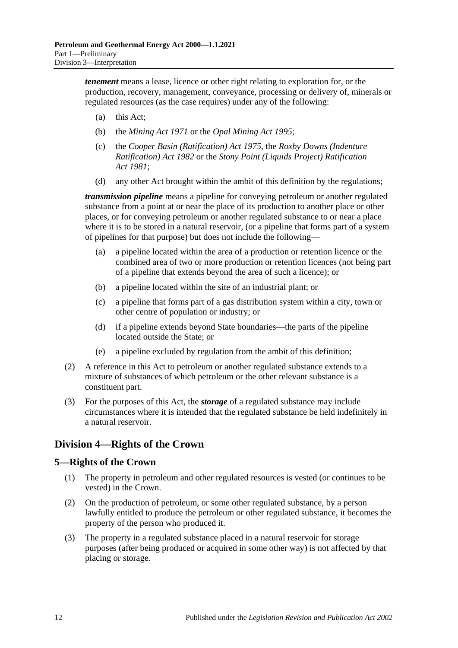*tenement* means a lease, licence or other right relating to exploration for, or the production, recovery, management, conveyance, processing or delivery of, minerals or regulated resources (as the case requires) under any of the following:

- (a) this Act;
- (b) the *[Mining Act](http://www.legislation.sa.gov.au/index.aspx?action=legref&type=act&legtitle=Mining%20Act%201971) 1971* or the *[Opal Mining Act](http://www.legislation.sa.gov.au/index.aspx?action=legref&type=act&legtitle=Opal%20Mining%20Act%201995) 1995*;
- (c) the *[Cooper Basin \(Ratification\) Act](http://www.legislation.sa.gov.au/index.aspx?action=legref&type=act&legtitle=Cooper%20Basin%20(Ratification)%20Act%201975) 1975*, the *[Roxby Downs \(Indenture](http://www.legislation.sa.gov.au/index.aspx?action=legref&type=act&legtitle=Roxby%20Downs%20(Indenture%20Ratification)%20Act%201982)  [Ratification\) Act](http://www.legislation.sa.gov.au/index.aspx?action=legref&type=act&legtitle=Roxby%20Downs%20(Indenture%20Ratification)%20Act%201982) 1982* or the *[Stony Point \(Liquids Project\) Ratification](http://www.legislation.sa.gov.au/index.aspx?action=legref&type=act&legtitle=Stony%20Point%20(Liquids%20Project)%20Ratification%20Act%201981)  Act [1981](http://www.legislation.sa.gov.au/index.aspx?action=legref&type=act&legtitle=Stony%20Point%20(Liquids%20Project)%20Ratification%20Act%201981)*;
- (d) any other Act brought within the ambit of this definition by the regulations;

*transmission pipeline* means a pipeline for conveying petroleum or another regulated substance from a point at or near the place of its production to another place or other places, or for conveying petroleum or another regulated substance to or near a place where it is to be stored in a natural reservoir, (or a pipeline that forms part of a system of pipelines for that purpose) but does not include the following—

- (a) a pipeline located within the area of a production or retention licence or the combined area of two or more production or retention licences (not being part of a pipeline that extends beyond the area of such a licence); or
- (b) a pipeline located within the site of an industrial plant; or
- (c) a pipeline that forms part of a gas distribution system within a city, town or other centre of population or industry; or
- (d) if a pipeline extends beyond State boundaries—the parts of the pipeline located outside the State; or
- (e) a pipeline excluded by regulation from the ambit of this definition;
- (2) A reference in this Act to petroleum or another regulated substance extends to a mixture of substances of which petroleum or the other relevant substance is a constituent part.
- (3) For the purposes of this Act, the *storage* of a regulated substance may include circumstances where it is intended that the regulated substance be held indefinitely in a natural reservoir.

# <span id="page-11-0"></span>**Division 4—Rights of the Crown**

# <span id="page-11-1"></span>**5—Rights of the Crown**

- (1) The property in petroleum and other regulated resources is vested (or continues to be vested) in the Crown.
- (2) On the production of petroleum, or some other regulated substance, by a person lawfully entitled to produce the petroleum or other regulated substance, it becomes the property of the person who produced it.
- (3) The property in a regulated substance placed in a natural reservoir for storage purposes (after being produced or acquired in some other way) is not affected by that placing or storage.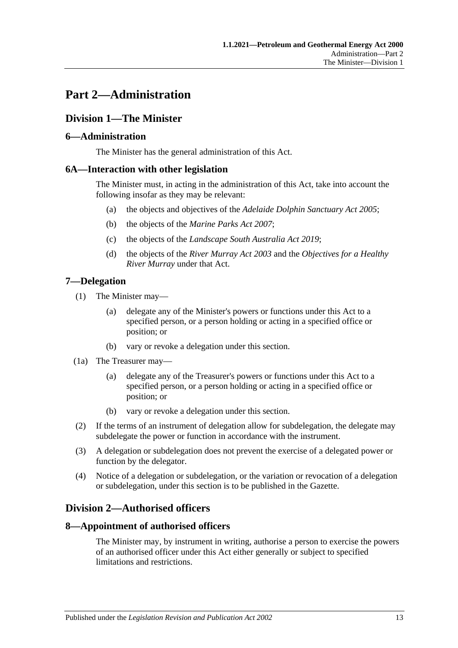# <span id="page-12-0"></span>**Part 2—Administration**

# <span id="page-12-1"></span>**Division 1—The Minister**

# <span id="page-12-2"></span>**6—Administration**

The Minister has the general administration of this Act.

# <span id="page-12-3"></span>**6A—Interaction with other legislation**

The Minister must, in acting in the administration of this Act, take into account the following insofar as they may be relevant:

- (a) the objects and objectives of the *[Adelaide Dolphin Sanctuary Act](http://www.legislation.sa.gov.au/index.aspx?action=legref&type=act&legtitle=Adelaide%20Dolphin%20Sanctuary%20Act%202005) 2005*;
- (b) the objects of the *[Marine Parks Act](http://www.legislation.sa.gov.au/index.aspx?action=legref&type=act&legtitle=Marine%20Parks%20Act%202007) 2007*;
- (c) the objects of the *[Landscape South Australia Act](http://www.legislation.sa.gov.au/index.aspx?action=legref&type=act&legtitle=Landscape%20South%20Australia%20Act%202019) 2019*;
- (d) the objects of the *[River Murray Act](http://www.legislation.sa.gov.au/index.aspx?action=legref&type=act&legtitle=River%20Murray%20Act%202003) 2003* and the *Objectives for a Healthy River Murray* under that Act.

# <span id="page-12-4"></span>**7—Delegation**

- (1) The Minister may—
	- (a) delegate any of the Minister's powers or functions under this Act to a specified person, or a person holding or acting in a specified office or position; or
	- (b) vary or revoke a delegation under this section.
- (1a) The Treasurer may—
	- (a) delegate any of the Treasurer's powers or functions under this Act to a specified person, or a person holding or acting in a specified office or position; or
	- (b) vary or revoke a delegation under this section.
- (2) If the terms of an instrument of delegation allow for subdelegation, the delegate may subdelegate the power or function in accordance with the instrument.
- (3) A delegation or subdelegation does not prevent the exercise of a delegated power or function by the delegator.
- (4) Notice of a delegation or subdelegation, or the variation or revocation of a delegation or subdelegation, under this section is to be published in the Gazette.

# <span id="page-12-5"></span>**Division 2—Authorised officers**

#### <span id="page-12-6"></span>**8—Appointment of authorised officers**

The Minister may, by instrument in writing, authorise a person to exercise the powers of an authorised officer under this Act either generally or subject to specified limitations and restrictions.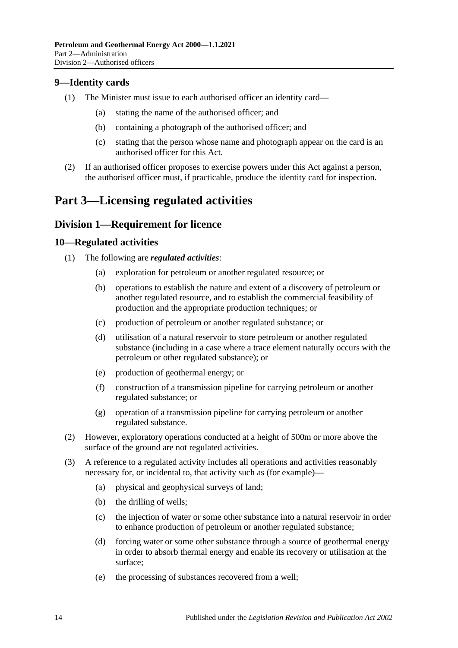# <span id="page-13-0"></span>**9—Identity cards**

- (1) The Minister must issue to each authorised officer an identity card—
	- (a) stating the name of the authorised officer; and
	- (b) containing a photograph of the authorised officer; and
	- (c) stating that the person whose name and photograph appear on the card is an authorised officer for this Act.
- (2) If an authorised officer proposes to exercise powers under this Act against a person, the authorised officer must, if practicable, produce the identity card for inspection.

# <span id="page-13-1"></span>**Part 3—Licensing regulated activities**

# <span id="page-13-2"></span>**Division 1—Requirement for licence**

### <span id="page-13-3"></span>**10—Regulated activities**

- (1) The following are *regulated activities*:
	- (a) exploration for petroleum or another regulated resource; or
	- (b) operations to establish the nature and extent of a discovery of petroleum or another regulated resource, and to establish the commercial feasibility of production and the appropriate production techniques; or
	- (c) production of petroleum or another regulated substance; or
	- (d) utilisation of a natural reservoir to store petroleum or another regulated substance (including in a case where a trace element naturally occurs with the petroleum or other regulated substance); or
	- (e) production of geothermal energy; or
	- (f) construction of a transmission pipeline for carrying petroleum or another regulated substance; or
	- (g) operation of a transmission pipeline for carrying petroleum or another regulated substance.
- (2) However, exploratory operations conducted at a height of 500m or more above the surface of the ground are not regulated activities.
- (3) A reference to a regulated activity includes all operations and activities reasonably necessary for, or incidental to, that activity such as (for example)—
	- (a) physical and geophysical surveys of land;
	- (b) the drilling of wells;
	- (c) the injection of water or some other substance into a natural reservoir in order to enhance production of petroleum or another regulated substance;
	- (d) forcing water or some other substance through a source of geothermal energy in order to absorb thermal energy and enable its recovery or utilisation at the surface;
	- (e) the processing of substances recovered from a well;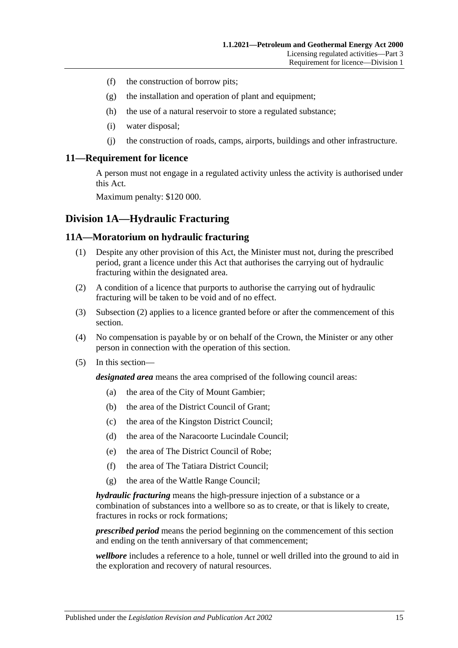- (f) the construction of borrow pits;
- (g) the installation and operation of plant and equipment;
- (h) the use of a natural reservoir to store a regulated substance;
- (i) water disposal;
- (j) the construction of roads, camps, airports, buildings and other infrastructure.

#### <span id="page-14-0"></span>**11—Requirement for licence**

A person must not engage in a regulated activity unless the activity is authorised under this Act.

Maximum penalty: \$120 000.

# <span id="page-14-1"></span>**Division 1A—Hydraulic Fracturing**

### <span id="page-14-2"></span>**11A—Moratorium on hydraulic fracturing**

- (1) Despite any other provision of this Act, the Minister must not, during the prescribed period, grant a licence under this Act that authorises the carrying out of hydraulic fracturing within the designated area.
- <span id="page-14-3"></span>(2) A condition of a licence that purports to authorise the carrying out of hydraulic fracturing will be taken to be void and of no effect.
- (3) [Subsection](#page-14-3) (2) applies to a licence granted before or after the commencement of this section.
- (4) No compensation is payable by or on behalf of the Crown, the Minister or any other person in connection with the operation of this section.
- (5) In this section—

*designated area* means the area comprised of the following council areas:

- (a) the area of the City of Mount Gambier;
- (b) the area of the District Council of Grant;
- (c) the area of the Kingston District Council;
- (d) the area of the Naracoorte Lucindale Council;
- (e) the area of The District Council of Robe;
- (f) the area of The Tatiara District Council;
- (g) the area of the Wattle Range Council;

*hydraulic fracturing* means the high-pressure injection of a substance or a combination of substances into a wellbore so as to create, or that is likely to create, fractures in rocks or rock formations;

*prescribed period* means the period beginning on the commencement of this section and ending on the tenth anniversary of that commencement;

*wellbore* includes a reference to a hole, tunnel or well drilled into the ground to aid in the exploration and recovery of natural resources.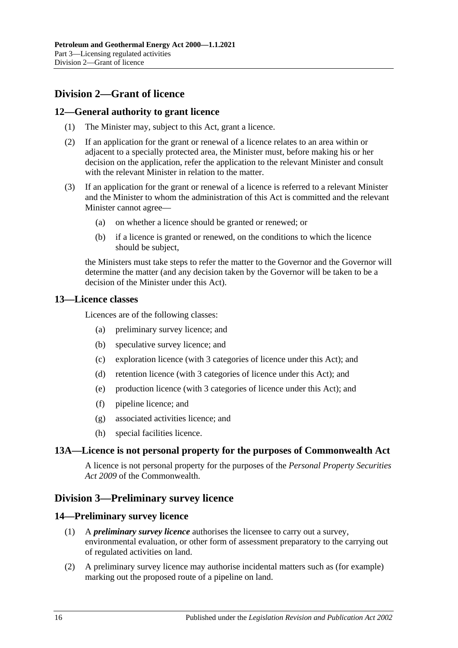# <span id="page-15-0"></span>**Division 2—Grant of licence**

### <span id="page-15-1"></span>**12—General authority to grant licence**

- (1) The Minister may, subject to this Act, grant a licence.
- (2) If an application for the grant or renewal of a licence relates to an area within or adjacent to a specially protected area, the Minister must, before making his or her decision on the application, refer the application to the relevant Minister and consult with the relevant Minister in relation to the matter.
- (3) If an application for the grant or renewal of a licence is referred to a relevant Minister and the Minister to whom the administration of this Act is committed and the relevant Minister cannot agree—
	- (a) on whether a licence should be granted or renewed; or
	- (b) if a licence is granted or renewed, on the conditions to which the licence should be subject,

the Ministers must take steps to refer the matter to the Governor and the Governor will determine the matter (and any decision taken by the Governor will be taken to be a decision of the Minister under this Act).

### <span id="page-15-2"></span>**13—Licence classes**

Licences are of the following classes:

- (a) preliminary survey licence; and
- (b) speculative survey licence; and
- (c) exploration licence (with 3 categories of licence under this Act); and
- (d) retention licence (with 3 categories of licence under this Act); and
- (e) production licence (with 3 categories of licence under this Act); and
- (f) pipeline licence; and
- (g) associated activities licence; and
- (h) special facilities licence.

# <span id="page-15-3"></span>**13A—Licence is not personal property for the purposes of Commonwealth Act**

A licence is not personal property for the purposes of the *Personal Property Securities Act 2009* of the Commonwealth.

# <span id="page-15-4"></span>**Division 3—Preliminary survey licence**

#### <span id="page-15-5"></span>**14—Preliminary survey licence**

- (1) A *preliminary survey licence* authorises the licensee to carry out a survey, environmental evaluation, or other form of assessment preparatory to the carrying out of regulated activities on land.
- (2) A preliminary survey licence may authorise incidental matters such as (for example) marking out the proposed route of a pipeline on land.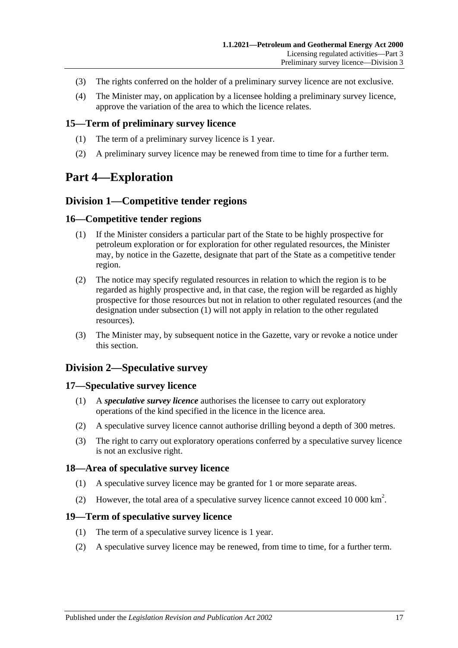- (3) The rights conferred on the holder of a preliminary survey licence are not exclusive.
- (4) The Minister may, on application by a licensee holding a preliminary survey licence, approve the variation of the area to which the licence relates.

#### <span id="page-16-0"></span>**15—Term of preliminary survey licence**

- (1) The term of a preliminary survey licence is 1 year.
- (2) A preliminary survey licence may be renewed from time to time for a further term.

# <span id="page-16-2"></span><span id="page-16-1"></span>**Part 4—Exploration**

### **Division 1—Competitive tender regions**

#### <span id="page-16-8"></span><span id="page-16-3"></span>**16—Competitive tender regions**

- (1) If the Minister considers a particular part of the State to be highly prospective for petroleum exploration or for exploration for other regulated resources, the Minister may, by notice in the Gazette, designate that part of the State as a competitive tender region.
- (2) The notice may specify regulated resources in relation to which the region is to be regarded as highly prospective and, in that case, the region will be regarded as highly prospective for those resources but not in relation to other regulated resources (and the designation under [subsection](#page-16-8) (1) will not apply in relation to the other regulated resources).
- (3) The Minister may, by subsequent notice in the Gazette, vary or revoke a notice under this section.

# <span id="page-16-4"></span>**Division 2—Speculative survey**

#### <span id="page-16-5"></span>**17—Speculative survey licence**

- (1) A *speculative survey licence* authorises the licensee to carry out exploratory operations of the kind specified in the licence in the licence area.
- (2) A speculative survey licence cannot authorise drilling beyond a depth of 300 metres.
- (3) The right to carry out exploratory operations conferred by a speculative survey licence is not an exclusive right.

#### <span id="page-16-6"></span>**18—Area of speculative survey licence**

- (1) A speculative survey licence may be granted for 1 or more separate areas.
- (2) However, the total area of a speculative survey licence cannot exceed 10 000  $\text{km}^2$ .

#### <span id="page-16-7"></span>**19—Term of speculative survey licence**

- (1) The term of a speculative survey licence is 1 year.
- (2) A speculative survey licence may be renewed, from time to time, for a further term.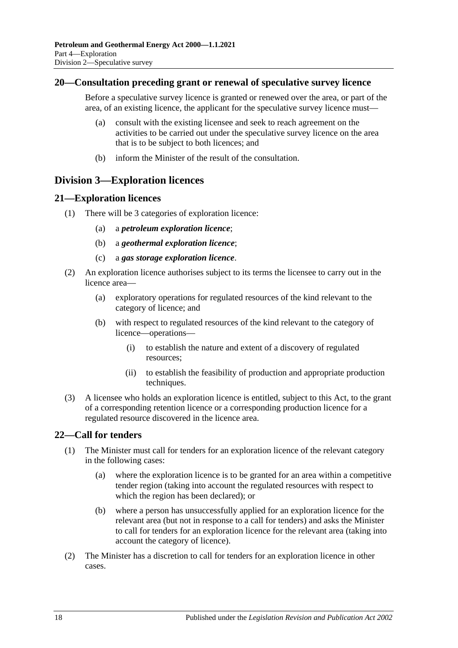### <span id="page-17-0"></span>**20—Consultation preceding grant or renewal of speculative survey licence**

Before a speculative survey licence is granted or renewed over the area, or part of the area, of an existing licence, the applicant for the speculative survey licence must—

- (a) consult with the existing licensee and seek to reach agreement on the activities to be carried out under the speculative survey licence on the area that is to be subject to both licences; and
- (b) inform the Minister of the result of the consultation.

# <span id="page-17-1"></span>**Division 3—Exploration licences**

# <span id="page-17-2"></span>**21—Exploration licences**

- (1) There will be 3 categories of exploration licence:
	- (a) a *petroleum exploration licence*;
	- (b) a *geothermal exploration licence*;
	- (c) a *gas storage exploration licence*.
- (2) An exploration licence authorises subject to its terms the licensee to carry out in the licence area—
	- (a) exploratory operations for regulated resources of the kind relevant to the category of licence; and
	- (b) with respect to regulated resources of the kind relevant to the category of licence—operations—
		- (i) to establish the nature and extent of a discovery of regulated resources;
		- (ii) to establish the feasibility of production and appropriate production techniques.
- (3) A licensee who holds an exploration licence is entitled, subject to this Act, to the grant of a corresponding retention licence or a corresponding production licence for a regulated resource discovered in the licence area.

# <span id="page-17-3"></span>**22—Call for tenders**

- (1) The Minister must call for tenders for an exploration licence of the relevant category in the following cases:
	- (a) where the exploration licence is to be granted for an area within a competitive tender region (taking into account the regulated resources with respect to which the region has been declared); or
	- (b) where a person has unsuccessfully applied for an exploration licence for the relevant area (but not in response to a call for tenders) and asks the Minister to call for tenders for an exploration licence for the relevant area (taking into account the category of licence).
- (2) The Minister has a discretion to call for tenders for an exploration licence in other cases.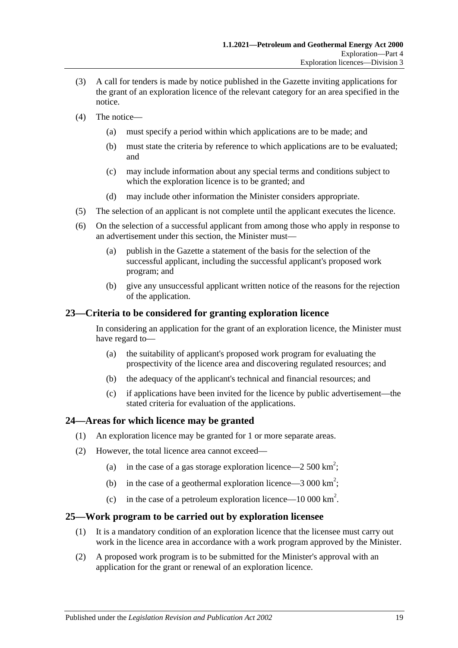- (3) A call for tenders is made by notice published in the Gazette inviting applications for the grant of an exploration licence of the relevant category for an area specified in the notice.
- (4) The notice—
	- (a) must specify a period within which applications are to be made; and
	- (b) must state the criteria by reference to which applications are to be evaluated; and
	- (c) may include information about any special terms and conditions subject to which the exploration licence is to be granted; and
	- (d) may include other information the Minister considers appropriate.
- (5) The selection of an applicant is not complete until the applicant executes the licence.
- (6) On the selection of a successful applicant from among those who apply in response to an advertisement under this section, the Minister must—
	- (a) publish in the Gazette a statement of the basis for the selection of the successful applicant, including the successful applicant's proposed work program; and
	- (b) give any unsuccessful applicant written notice of the reasons for the rejection of the application.

### <span id="page-18-0"></span>**23—Criteria to be considered for granting exploration licence**

In considering an application for the grant of an exploration licence, the Minister must have regard to—

- (a) the suitability of applicant's proposed work program for evaluating the prospectivity of the licence area and discovering regulated resources; and
- (b) the adequacy of the applicant's technical and financial resources; and
- (c) if applications have been invited for the licence by public advertisement—the stated criteria for evaluation of the applications.

#### <span id="page-18-1"></span>**24—Areas for which licence may be granted**

- (1) An exploration licence may be granted for 1 or more separate areas.
- (2) However, the total licence area cannot exceed—
	- (a) in the case of a gas storage exploration licence—2 500 km<sup>2</sup>;
	- (b) in the case of a geothermal exploration licence  $-3000 \text{ km}^2$ ;
	- (c) in the case of a petroleum exploration licence—10 000 km<sup>2</sup>.

#### <span id="page-18-2"></span>**25—Work program to be carried out by exploration licensee**

- (1) It is a mandatory condition of an exploration licence that the licensee must carry out work in the licence area in accordance with a work program approved by the Minister.
- (2) A proposed work program is to be submitted for the Minister's approval with an application for the grant or renewal of an exploration licence.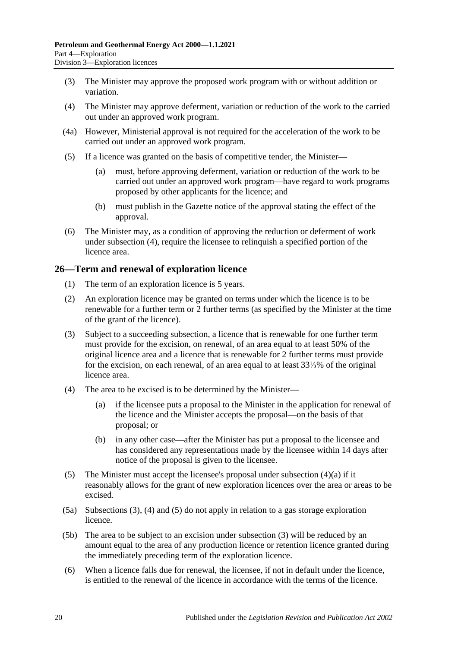- (3) The Minister may approve the proposed work program with or without addition or variation.
- <span id="page-19-1"></span>(4) The Minister may approve deferment, variation or reduction of the work to the carried out under an approved work program.
- (4a) However, Ministerial approval is not required for the acceleration of the work to be carried out under an approved work program.
- (5) If a licence was granted on the basis of competitive tender, the Minister—
	- (a) must, before approving deferment, variation or reduction of the work to be carried out under an approved work program—have regard to work programs proposed by other applicants for the licence; and
	- (b) must publish in the Gazette notice of the approval stating the effect of the approval.
- (6) The Minister may, as a condition of approving the reduction or deferment of work under [subsection](#page-19-1) (4), require the licensee to relinquish a specified portion of the licence area.

# <span id="page-19-0"></span>**26—Term and renewal of exploration licence**

- (1) The term of an exploration licence is 5 years.
- (2) An exploration licence may be granted on terms under which the licence is to be renewable for a further term or 2 further terms (as specified by the Minister at the time of the grant of the licence).
- <span id="page-19-3"></span>(3) Subject to a succeeding subsection, a licence that is renewable for one further term must provide for the excision, on renewal, of an area equal to at least 50% of the original licence area and a licence that is renewable for 2 further terms must provide for the excision, on each renewal, of an area equal to at least 33⅓% of the original licence area.
- <span id="page-19-4"></span><span id="page-19-2"></span>(4) The area to be excised is to be determined by the Minister—
	- (a) if the licensee puts a proposal to the Minister in the application for renewal of the licence and the Minister accepts the proposal—on the basis of that proposal; or
	- (b) in any other case—after the Minister has put a proposal to the licensee and has considered any representations made by the licensee within 14 days after notice of the proposal is given to the licensee.
- <span id="page-19-5"></span>(5) The Minister must accept the licensee's proposal under [subsection](#page-19-2)  $(4)(a)$  if it reasonably allows for the grant of new exploration licences over the area or areas to be excised.
- (5a) [Subsections](#page-19-3) (3), [\(4\)](#page-19-4) and [\(5\)](#page-19-5) do not apply in relation to a gas storage exploration licence.
- (5b) The area to be subject to an excision under [subsection](#page-19-3) (3) will be reduced by an amount equal to the area of any production licence or retention licence granted during the immediately preceding term of the exploration licence.
- (6) When a licence falls due for renewal, the licensee, if not in default under the licence, is entitled to the renewal of the licence in accordance with the terms of the licence.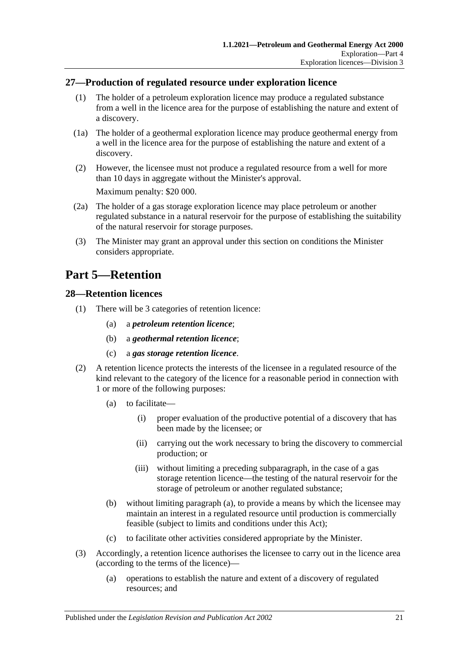# <span id="page-20-0"></span>**27—Production of regulated resource under exploration licence**

- (1) The holder of a petroleum exploration licence may produce a regulated substance from a well in the licence area for the purpose of establishing the nature and extent of a discovery.
- (1a) The holder of a geothermal exploration licence may produce geothermal energy from a well in the licence area for the purpose of establishing the nature and extent of a discovery.
- (2) However, the licensee must not produce a regulated resource from a well for more than 10 days in aggregate without the Minister's approval. Maximum penalty: \$20 000.
- (2a) The holder of a gas storage exploration licence may place petroleum or another regulated substance in a natural reservoir for the purpose of establishing the suitability of the natural reservoir for storage purposes.
- (3) The Minister may grant an approval under this section on conditions the Minister considers appropriate.

# <span id="page-20-1"></span>**Part 5—Retention**

### <span id="page-20-2"></span>**28—Retention licences**

- (1) There will be 3 categories of retention licence:
	- (a) a *petroleum retention licence*;
	- (b) a *geothermal retention licence*;
	- (c) a *gas storage retention licence*.
- <span id="page-20-3"></span>(2) A retention licence protects the interests of the licensee in a regulated resource of the kind relevant to the category of the licence for a reasonable period in connection with 1 or more of the following purposes:
	- (a) to facilitate—
		- (i) proper evaluation of the productive potential of a discovery that has been made by the licensee; or
		- (ii) carrying out the work necessary to bring the discovery to commercial production; or
		- (iii) without limiting a preceding subparagraph, in the case of a gas storage retention licence—the testing of the natural reservoir for the storage of petroleum or another regulated substance;
	- (b) without limiting [paragraph](#page-20-3) (a), to provide a means by which the licensee may maintain an interest in a regulated resource until production is commercially feasible (subject to limits and conditions under this Act);
	- (c) to facilitate other activities considered appropriate by the Minister.
- (3) Accordingly, a retention licence authorises the licensee to carry out in the licence area (according to the terms of the licence)—
	- (a) operations to establish the nature and extent of a discovery of regulated resources; and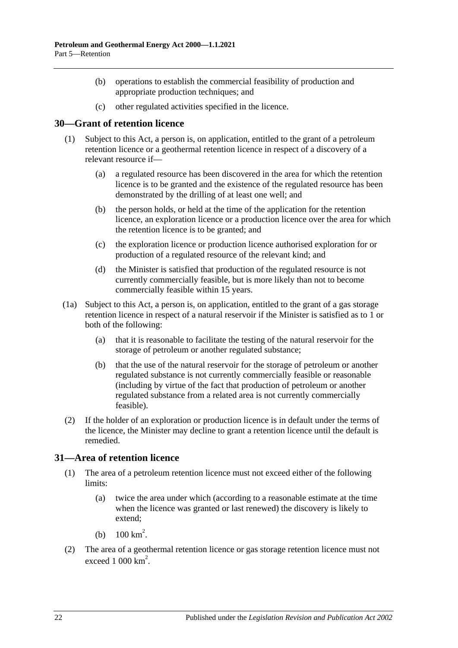- (b) operations to establish the commercial feasibility of production and appropriate production techniques; and
- (c) other regulated activities specified in the licence.

# <span id="page-21-0"></span>**30—Grant of retention licence**

- (1) Subject to this Act, a person is, on application, entitled to the grant of a petroleum retention licence or a geothermal retention licence in respect of a discovery of a relevant resource if—
	- (a) a regulated resource has been discovered in the area for which the retention licence is to be granted and the existence of the regulated resource has been demonstrated by the drilling of at least one well; and
	- (b) the person holds, or held at the time of the application for the retention licence, an exploration licence or a production licence over the area for which the retention licence is to be granted; and
	- (c) the exploration licence or production licence authorised exploration for or production of a regulated resource of the relevant kind; and
	- (d) the Minister is satisfied that production of the regulated resource is not currently commercially feasible, but is more likely than not to become commercially feasible within 15 years.
- (1a) Subject to this Act, a person is, on application, entitled to the grant of a gas storage retention licence in respect of a natural reservoir if the Minister is satisfied as to 1 or both of the following:
	- (a) that it is reasonable to facilitate the testing of the natural reservoir for the storage of petroleum or another regulated substance;
	- (b) that the use of the natural reservoir for the storage of petroleum or another regulated substance is not currently commercially feasible or reasonable (including by virtue of the fact that production of petroleum or another regulated substance from a related area is not currently commercially feasible).
- (2) If the holder of an exploration or production licence is in default under the terms of the licence, the Minister may decline to grant a retention licence until the default is remedied.

# <span id="page-21-1"></span>**31—Area of retention licence**

- (1) The area of a petroleum retention licence must not exceed either of the following limits:
	- (a) twice the area under which (according to a reasonable estimate at the time when the licence was granted or last renewed) the discovery is likely to extend;
	- (b)  $100 \text{ km}^2$ .
- (2) The area of a geothermal retention licence or gas storage retention licence must not exceed  $1000 \mathrm{km}^2$ .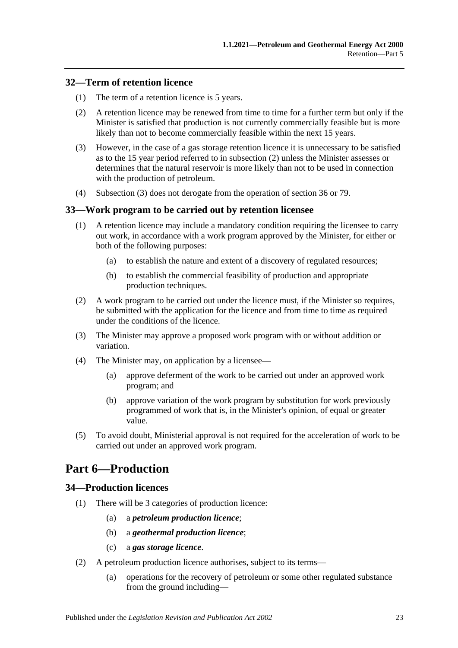# <span id="page-22-0"></span>**32—Term of retention licence**

- (1) The term of a retention licence is 5 years.
- <span id="page-22-4"></span>(2) A retention licence may be renewed from time to time for a further term but only if the Minister is satisfied that production is not currently commercially feasible but is more likely than not to become commercially feasible within the next 15 years.
- <span id="page-22-5"></span>(3) However, in the case of a gas storage retention licence it is unnecessary to be satisfied as to the 15 year period referred to in [subsection](#page-22-4) (2) unless the Minister assesses or determines that the natural reservoir is more likely than not to be used in connection with the production of petroleum.
- (4) [Subsection](#page-22-5) (3) does not derogate from the operation of [section](#page-24-0) 36 or [79.](#page-42-3)

### <span id="page-22-1"></span>**33—Work program to be carried out by retention licensee**

- (1) A retention licence may include a mandatory condition requiring the licensee to carry out work, in accordance with a work program approved by the Minister, for either or both of the following purposes:
	- (a) to establish the nature and extent of a discovery of regulated resources;
	- (b) to establish the commercial feasibility of production and appropriate production techniques.
- (2) A work program to be carried out under the licence must, if the Minister so requires, be submitted with the application for the licence and from time to time as required under the conditions of the licence.
- (3) The Minister may approve a proposed work program with or without addition or variation.
- (4) The Minister may, on application by a licensee—
	- (a) approve deferment of the work to be carried out under an approved work program; and
	- (b) approve variation of the work program by substitution for work previously programmed of work that is, in the Minister's opinion, of equal or greater value.
- (5) To avoid doubt, Ministerial approval is not required for the acceleration of work to be carried out under an approved work program.

# <span id="page-22-2"></span>**Part 6—Production**

# <span id="page-22-3"></span>**34—Production licences**

- (1) There will be 3 categories of production licence:
	- (a) a *petroleum production licence*;
	- (b) a *geothermal production licence*;
	- (c) a *gas storage licence*.
- (2) A petroleum production licence authorises, subject to its terms—
	- (a) operations for the recovery of petroleum or some other regulated substance from the ground including—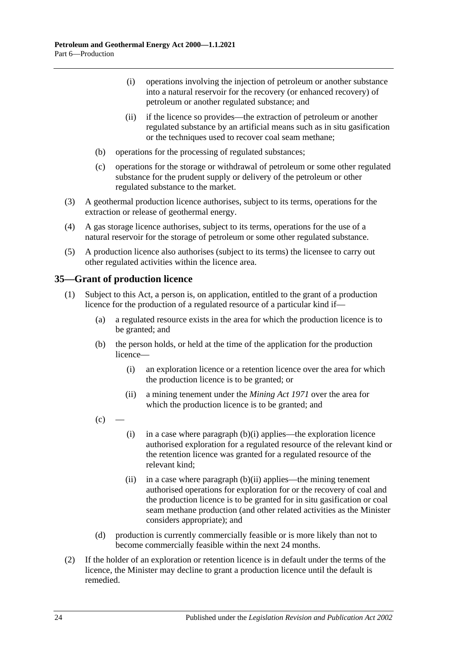- (i) operations involving the injection of petroleum or another substance into a natural reservoir for the recovery (or enhanced recovery) of petroleum or another regulated substance; and
- (ii) if the licence so provides—the extraction of petroleum or another regulated substance by an artificial means such as in situ gasification or the techniques used to recover coal seam methane;
- (b) operations for the processing of regulated substances;
- (c) operations for the storage or withdrawal of petroleum or some other regulated substance for the prudent supply or delivery of the petroleum or other regulated substance to the market.
- (3) A geothermal production licence authorises, subject to its terms, operations for the extraction or release of geothermal energy.
- (4) A gas storage licence authorises, subject to its terms, operations for the use of a natural reservoir for the storage of petroleum or some other regulated substance.
- (5) A production licence also authorises (subject to its terms) the licensee to carry out other regulated activities within the licence area.

# <span id="page-23-3"></span><span id="page-23-0"></span>**35—Grant of production licence**

- <span id="page-23-4"></span><span id="page-23-1"></span>(1) Subject to this Act, a person is, on application, entitled to the grant of a production licence for the production of a regulated resource of a particular kind if—
	- (a) a regulated resource exists in the area for which the production licence is to be granted; and
	- (b) the person holds, or held at the time of the application for the production licence—
		- (i) an exploration licence or a retention licence over the area for which the production licence is to be granted; or
		- (ii) a mining tenement under the *[Mining Act](http://www.legislation.sa.gov.au/index.aspx?action=legref&type=act&legtitle=Mining%20Act%201971) 1971* over the area for which the production licence is to be granted; and
	- $(c)$
- <span id="page-23-5"></span><span id="page-23-2"></span>(i) in a case where [paragraph](#page-23-1)  $(b)(i)$  applies—the exploration licence authorised exploration for a regulated resource of the relevant kind or the retention licence was granted for a regulated resource of the relevant kind;
- (ii) in a case where [paragraph](#page-23-2)  $(b)(ii)$  applies—the mining tenement authorised operations for exploration for or the recovery of coal and the production licence is to be granted for in situ gasification or coal seam methane production (and other related activities as the Minister considers appropriate); and
- (d) production is currently commercially feasible or is more likely than not to become commercially feasible within the next 24 months.
- (2) If the holder of an exploration or retention licence is in default under the terms of the licence, the Minister may decline to grant a production licence until the default is remedied.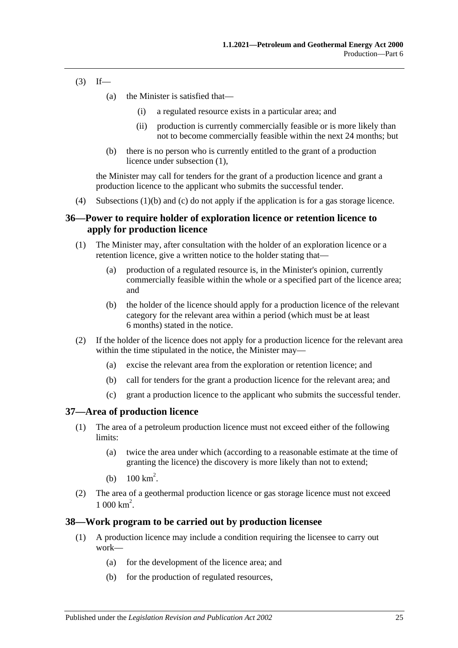- $(3)$  If—
	- (a) the Minister is satisfied that—
		- (i) a regulated resource exists in a particular area; and
		- (ii) production is currently commercially feasible or is more likely than not to become commercially feasible within the next 24 months; but
	- (b) there is no person who is currently entitled to the grant of a production licence under [subsection](#page-23-3) (1),

the Minister may call for tenders for the grant of a production licence and grant a production licence to the applicant who submits the successful tender.

(4) [Subsections](#page-23-4) (1)(b) and [\(c\)](#page-23-5) do not apply if the application is for a gas storage licence.

# <span id="page-24-0"></span>**36—Power to require holder of exploration licence or retention licence to apply for production licence**

- (1) The Minister may, after consultation with the holder of an exploration licence or a retention licence, give a written notice to the holder stating that—
	- (a) production of a regulated resource is, in the Minister's opinion, currently commercially feasible within the whole or a specified part of the licence area; and
	- (b) the holder of the licence should apply for a production licence of the relevant category for the relevant area within a period (which must be at least 6 months) stated in the notice.
- (2) If the holder of the licence does not apply for a production licence for the relevant area within the time stipulated in the notice, the Minister may—
	- (a) excise the relevant area from the exploration or retention licence; and
	- (b) call for tenders for the grant a production licence for the relevant area; and
	- (c) grant a production licence to the applicant who submits the successful tender.

# <span id="page-24-1"></span>**37—Area of production licence**

- (1) The area of a petroleum production licence must not exceed either of the following limits:
	- (a) twice the area under which (according to a reasonable estimate at the time of granting the licence) the discovery is more likely than not to extend;
	- (b)  $100 \text{ km}^2$ .
- (2) The area of a geothermal production licence or gas storage licence must not exceed  $1000 \text{ km}^2$ .

#### <span id="page-24-2"></span>**38—Work program to be carried out by production licensee**

- (1) A production licence may include a condition requiring the licensee to carry out work—
	- (a) for the development of the licence area; and
	- (b) for the production of regulated resources,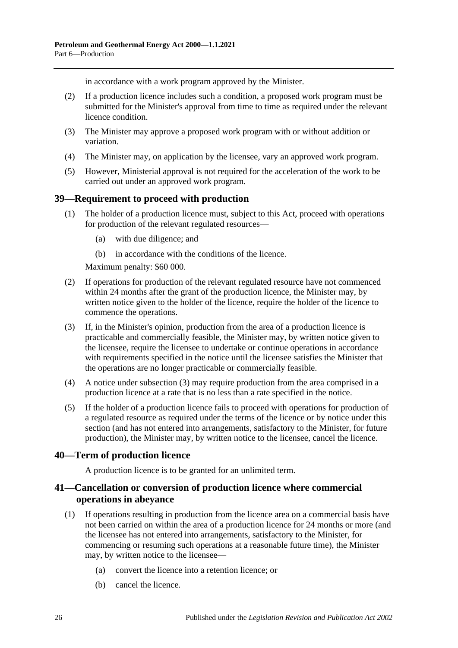in accordance with a work program approved by the Minister.

- (2) If a production licence includes such a condition, a proposed work program must be submitted for the Minister's approval from time to time as required under the relevant licence condition.
- (3) The Minister may approve a proposed work program with or without addition or variation.
- (4) The Minister may, on application by the licensee, vary an approved work program.
- (5) However, Ministerial approval is not required for the acceleration of the work to be carried out under an approved work program.

# <span id="page-25-0"></span>**39—Requirement to proceed with production**

- (1) The holder of a production licence must, subject to this Act, proceed with operations for production of the relevant regulated resources—
	- (a) with due diligence; and
	- (b) in accordance with the conditions of the licence.

Maximum penalty: \$60 000.

- (2) If operations for production of the relevant regulated resource have not commenced within 24 months after the grant of the production licence, the Minister may, by written notice given to the holder of the licence, require the holder of the licence to commence the operations.
- <span id="page-25-3"></span>(3) If, in the Minister's opinion, production from the area of a production licence is practicable and commercially feasible, the Minister may, by written notice given to the licensee, require the licensee to undertake or continue operations in accordance with requirements specified in the notice until the licensee satisfies the Minister that the operations are no longer practicable or commercially feasible.
- (4) A notice under [subsection](#page-25-3) (3) may require production from the area comprised in a production licence at a rate that is no less than a rate specified in the notice.
- (5) If the holder of a production licence fails to proceed with operations for production of a regulated resource as required under the terms of the licence or by notice under this section (and has not entered into arrangements, satisfactory to the Minister, for future production), the Minister may, by written notice to the licensee, cancel the licence.

# <span id="page-25-1"></span>**40—Term of production licence**

A production licence is to be granted for an unlimited term.

# <span id="page-25-2"></span>**41—Cancellation or conversion of production licence where commercial operations in abeyance**

- (1) If operations resulting in production from the licence area on a commercial basis have not been carried on within the area of a production licence for 24 months or more (and the licensee has not entered into arrangements, satisfactory to the Minister, for commencing or resuming such operations at a reasonable future time), the Minister may, by written notice to the licensee—
	- (a) convert the licence into a retention licence; or
	- (b) cancel the licence.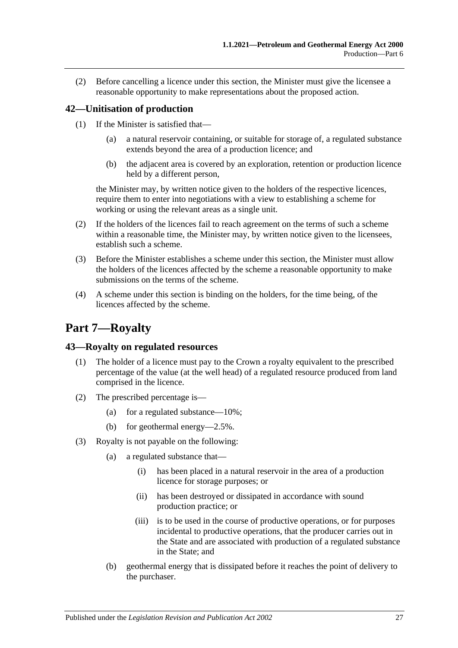(2) Before cancelling a licence under this section, the Minister must give the licensee a reasonable opportunity to make representations about the proposed action.

# <span id="page-26-0"></span>**42—Unitisation of production**

- (1) If the Minister is satisfied that—
	- (a) a natural reservoir containing, or suitable for storage of, a regulated substance extends beyond the area of a production licence; and
	- (b) the adjacent area is covered by an exploration, retention or production licence held by a different person,

the Minister may, by written notice given to the holders of the respective licences, require them to enter into negotiations with a view to establishing a scheme for working or using the relevant areas as a single unit.

- (2) If the holders of the licences fail to reach agreement on the terms of such a scheme within a reasonable time, the Minister may, by written notice given to the licensees, establish such a scheme.
- (3) Before the Minister establishes a scheme under this section, the Minister must allow the holders of the licences affected by the scheme a reasonable opportunity to make submissions on the terms of the scheme.
- (4) A scheme under this section is binding on the holders, for the time being, of the licences affected by the scheme.

# <span id="page-26-1"></span>**Part 7—Royalty**

# <span id="page-26-2"></span>**43—Royalty on regulated resources**

- (1) The holder of a licence must pay to the Crown a royalty equivalent to the prescribed percentage of the value (at the well head) of a regulated resource produced from land comprised in the licence.
- (2) The prescribed percentage is—
	- (a) for a regulated substance— $10\%$ ;
	- (b) for geothermal energy—2.5%.
- (3) Royalty is not payable on the following:
	- (a) a regulated substance that—
		- (i) has been placed in a natural reservoir in the area of a production licence for storage purposes; or
		- (ii) has been destroyed or dissipated in accordance with sound production practice; or
		- (iii) is to be used in the course of productive operations, or for purposes incidental to productive operations, that the producer carries out in the State and are associated with production of a regulated substance in the State; and
	- (b) geothermal energy that is dissipated before it reaches the point of delivery to the purchaser.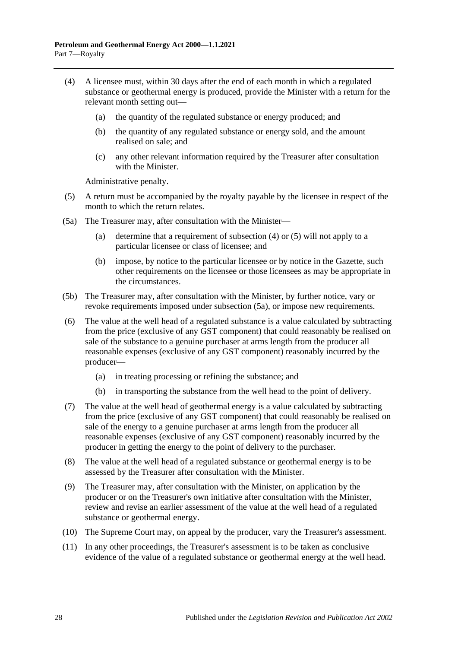- <span id="page-27-0"></span>(4) A licensee must, within 30 days after the end of each month in which a regulated substance or geothermal energy is produced, provide the Minister with a return for the relevant month setting out—
	- (a) the quantity of the regulated substance or energy produced; and
	- (b) the quantity of any regulated substance or energy sold, and the amount realised on sale; and
	- (c) any other relevant information required by the Treasurer after consultation with the Minister.

Administrative penalty.

- <span id="page-27-1"></span>(5) A return must be accompanied by the royalty payable by the licensee in respect of the month to which the return relates.
- <span id="page-27-2"></span>(5a) The Treasurer may, after consultation with the Minister—
	- (a) determine that a requirement of [subsection](#page-27-0) (4) or [\(5\)](#page-27-1) will not apply to a particular licensee or class of licensee; and
	- (b) impose, by notice to the particular licensee or by notice in the Gazette, such other requirements on the licensee or those licensees as may be appropriate in the circumstances.
- (5b) The Treasurer may, after consultation with the Minister, by further notice, vary or revoke requirements imposed under [subsection](#page-27-2) (5a), or impose new requirements.
- <span id="page-27-3"></span>(6) The value at the well head of a regulated substance is a value calculated by subtracting from the price (exclusive of any GST component) that could reasonably be realised on sale of the substance to a genuine purchaser at arms length from the producer all reasonable expenses (exclusive of any GST component) reasonably incurred by the producer—
	- (a) in treating processing or refining the substance; and
	- (b) in transporting the substance from the well head to the point of delivery.
- (7) The value at the well head of geothermal energy is a value calculated by subtracting from the price (exclusive of any GST component) that could reasonably be realised on sale of the energy to a genuine purchaser at arms length from the producer all reasonable expenses (exclusive of any GST component) reasonably incurred by the producer in getting the energy to the point of delivery to the purchaser.
- (8) The value at the well head of a regulated substance or geothermal energy is to be assessed by the Treasurer after consultation with the Minister.
- (9) The Treasurer may, after consultation with the Minister, on application by the producer or on the Treasurer's own initiative after consultation with the Minister, review and revise an earlier assessment of the value at the well head of a regulated substance or geothermal energy.
- (10) The Supreme Court may, on appeal by the producer, vary the Treasurer's assessment.
- (11) In any other proceedings, the Treasurer's assessment is to be taken as conclusive evidence of the value of a regulated substance or geothermal energy at the well head.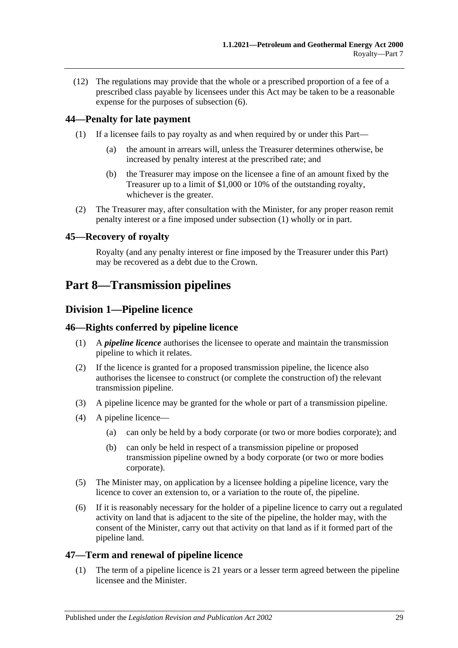(12) The regulations may provide that the whole or a prescribed proportion of a fee of a prescribed class payable by licensees under this Act may be taken to be a reasonable expense for the purposes of [subsection](#page-27-3) (6).

# <span id="page-28-6"></span><span id="page-28-0"></span>**44—Penalty for late payment**

- (1) If a licensee fails to pay royalty as and when required by or under this Part—
	- (a) the amount in arrears will, unless the Treasurer determines otherwise, be increased by penalty interest at the prescribed rate; and
	- (b) the Treasurer may impose on the licensee a fine of an amount fixed by the Treasurer up to a limit of \$1,000 or 10% of the outstanding royalty, whichever is the greater.
- (2) The Treasurer may, after consultation with the Minister, for any proper reason remit penalty interest or a fine imposed under [subsection](#page-28-6) (1) wholly or in part.

# <span id="page-28-1"></span>**45—Recovery of royalty**

Royalty (and any penalty interest or fine imposed by the Treasurer under this Part) may be recovered as a debt due to the Crown.

# <span id="page-28-3"></span><span id="page-28-2"></span>**Part 8—Transmission pipelines**

# **Division 1—Pipeline licence**

# <span id="page-28-4"></span>**46—Rights conferred by pipeline licence**

- (1) A *pipeline licence* authorises the licensee to operate and maintain the transmission pipeline to which it relates.
- (2) If the licence is granted for a proposed transmission pipeline, the licence also authorises the licensee to construct (or complete the construction of) the relevant transmission pipeline.
- (3) A pipeline licence may be granted for the whole or part of a transmission pipeline.
- (4) A pipeline licence—
	- (a) can only be held by a body corporate (or two or more bodies corporate); and
	- (b) can only be held in respect of a transmission pipeline or proposed transmission pipeline owned by a body corporate (or two or more bodies corporate).
- (5) The Minister may, on application by a licensee holding a pipeline licence, vary the licence to cover an extension to, or a variation to the route of, the pipeline.
- (6) If it is reasonably necessary for the holder of a pipeline licence to carry out a regulated activity on land that is adjacent to the site of the pipeline, the holder may, with the consent of the Minister, carry out that activity on that land as if it formed part of the pipeline land.

# <span id="page-28-5"></span>**47—Term and renewal of pipeline licence**

(1) The term of a pipeline licence is 21 years or a lesser term agreed between the pipeline licensee and the Minister.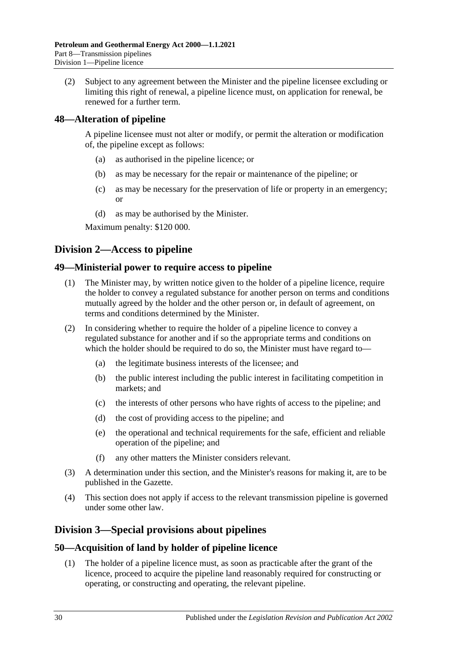(2) Subject to any agreement between the Minister and the pipeline licensee excluding or limiting this right of renewal, a pipeline licence must, on application for renewal, be renewed for a further term.

# <span id="page-29-0"></span>**48—Alteration of pipeline**

A pipeline licensee must not alter or modify, or permit the alteration or modification of, the pipeline except as follows:

- (a) as authorised in the pipeline licence; or
- (b) as may be necessary for the repair or maintenance of the pipeline; or
- (c) as may be necessary for the preservation of life or property in an emergency; or
- (d) as may be authorised by the Minister.

Maximum penalty: \$120 000.

# <span id="page-29-1"></span>**Division 2—Access to pipeline**

### <span id="page-29-2"></span>**49—Ministerial power to require access to pipeline**

- (1) The Minister may, by written notice given to the holder of a pipeline licence, require the holder to convey a regulated substance for another person on terms and conditions mutually agreed by the holder and the other person or, in default of agreement, on terms and conditions determined by the Minister.
- (2) In considering whether to require the holder of a pipeline licence to convey a regulated substance for another and if so the appropriate terms and conditions on which the holder should be required to do so, the Minister must have regard to—
	- (a) the legitimate business interests of the licensee; and
	- (b) the public interest including the public interest in facilitating competition in markets; and
	- (c) the interests of other persons who have rights of access to the pipeline; and
	- (d) the cost of providing access to the pipeline; and
	- (e) the operational and technical requirements for the safe, efficient and reliable operation of the pipeline; and
	- (f) any other matters the Minister considers relevant.
- (3) A determination under this section, and the Minister's reasons for making it, are to be published in the Gazette.
- (4) This section does not apply if access to the relevant transmission pipeline is governed under some other law.

# <span id="page-29-3"></span>**Division 3—Special provisions about pipelines**

# <span id="page-29-4"></span>**50—Acquisition of land by holder of pipeline licence**

(1) The holder of a pipeline licence must, as soon as practicable after the grant of the licence, proceed to acquire the pipeline land reasonably required for constructing or operating, or constructing and operating, the relevant pipeline.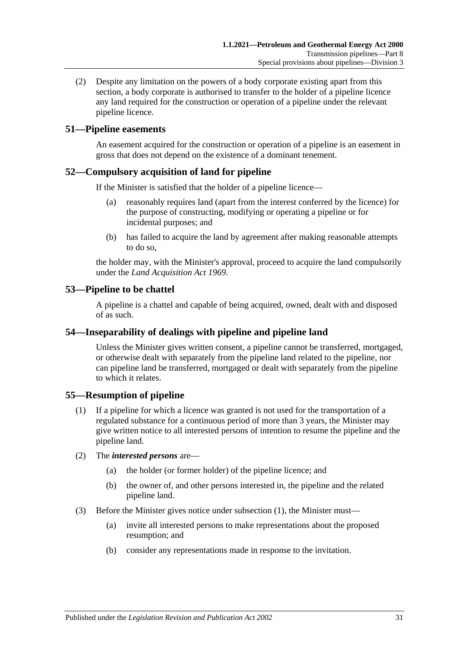(2) Despite any limitation on the powers of a body corporate existing apart from this section, a body corporate is authorised to transfer to the holder of a pipeline licence any land required for the construction or operation of a pipeline under the relevant pipeline licence.

# <span id="page-30-0"></span>**51—Pipeline easements**

An easement acquired for the construction or operation of a pipeline is an easement in gross that does not depend on the existence of a dominant tenement.

### <span id="page-30-1"></span>**52—Compulsory acquisition of land for pipeline**

If the Minister is satisfied that the holder of a pipeline licence—

- (a) reasonably requires land (apart from the interest conferred by the licence) for the purpose of constructing, modifying or operating a pipeline or for incidental purposes; and
- (b) has failed to acquire the land by agreement after making reasonable attempts to do so,

the holder may, with the Minister's approval, proceed to acquire the land compulsorily under the *[Land Acquisition Act](http://www.legislation.sa.gov.au/index.aspx?action=legref&type=act&legtitle=Land%20Acquisition%20Act%201969) 1969*.

### <span id="page-30-2"></span>**53—Pipeline to be chattel**

A pipeline is a chattel and capable of being acquired, owned, dealt with and disposed of as such.

# <span id="page-30-3"></span>**54—Inseparability of dealings with pipeline and pipeline land**

Unless the Minister gives written consent, a pipeline cannot be transferred, mortgaged, or otherwise dealt with separately from the pipeline land related to the pipeline, nor can pipeline land be transferred, mortgaged or dealt with separately from the pipeline to which it relates.

# <span id="page-30-5"></span><span id="page-30-4"></span>**55—Resumption of pipeline**

- (1) If a pipeline for which a licence was granted is not used for the transportation of a regulated substance for a continuous period of more than 3 years, the Minister may give written notice to all interested persons of intention to resume the pipeline and the pipeline land.
- (2) The *interested persons* are—
	- (a) the holder (or former holder) of the pipeline licence; and
	- (b) the owner of, and other persons interested in, the pipeline and the related pipeline land.
- (3) Before the Minister gives notice under [subsection](#page-30-5) (1), the Minister must—
	- (a) invite all interested persons to make representations about the proposed resumption; and
	- (b) consider any representations made in response to the invitation.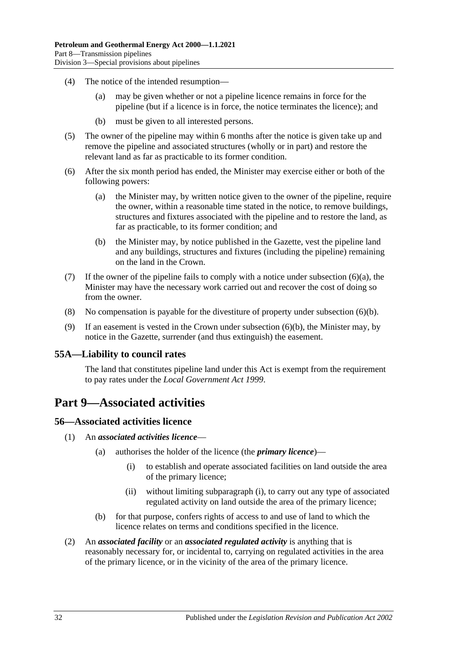- (4) The notice of the intended resumption—
	- (a) may be given whether or not a pipeline licence remains in force for the pipeline (but if a licence is in force, the notice terminates the licence); and
	- (b) must be given to all interested persons.
- (5) The owner of the pipeline may within 6 months after the notice is given take up and remove the pipeline and associated structures (wholly or in part) and restore the relevant land as far as practicable to its former condition.
- <span id="page-31-4"></span>(6) After the six month period has ended, the Minister may exercise either or both of the following powers:
	- (a) the Minister may, by written notice given to the owner of the pipeline, require the owner, within a reasonable time stated in the notice, to remove buildings, structures and fixtures associated with the pipeline and to restore the land, as far as practicable, to its former condition; and
	- (b) the Minister may, by notice published in the Gazette, vest the pipeline land and any buildings, structures and fixtures (including the pipeline) remaining on the land in the Crown.
- <span id="page-31-5"></span>(7) If the owner of the pipeline fails to comply with a notice under [subsection](#page-31-4)  $(6)(a)$ , the Minister may have the necessary work carried out and recover the cost of doing so from the owner.
- (8) No compensation is payable for the divestiture of property under [subsection](#page-31-5) (6)(b).
- (9) If an easement is vested in the Crown under [subsection](#page-31-5) (6)(b), the Minister may, by notice in the Gazette, surrender (and thus extinguish) the easement.

# <span id="page-31-0"></span>**55A—Liability to council rates**

The land that constitutes pipeline land under this Act is exempt from the requirement to pay rates under the *[Local Government Act](http://www.legislation.sa.gov.au/index.aspx?action=legref&type=act&legtitle=Local%20Government%20Act%201999) 1999*.

# <span id="page-31-1"></span>**Part 9—Associated activities**

#### <span id="page-31-2"></span>**56—Associated activities licence**

- <span id="page-31-6"></span>(1) An *associated activities licence*—
	- (a) authorises the holder of the licence (the *primary licence*)—
		- (i) to establish and operate associated facilities on land outside the area of the primary licence;
		- (ii) without limiting [subparagraph](#page-31-6) (i), to carry out any type of associated regulated activity on land outside the area of the primary licence;
	- (b) for that purpose, confers rights of access to and use of land to which the licence relates on terms and conditions specified in the licence.
- <span id="page-31-3"></span>(2) An *associated facility* or an *associated regulated activity* is anything that is reasonably necessary for, or incidental to, carrying on regulated activities in the area of the primary licence, or in the vicinity of the area of the primary licence.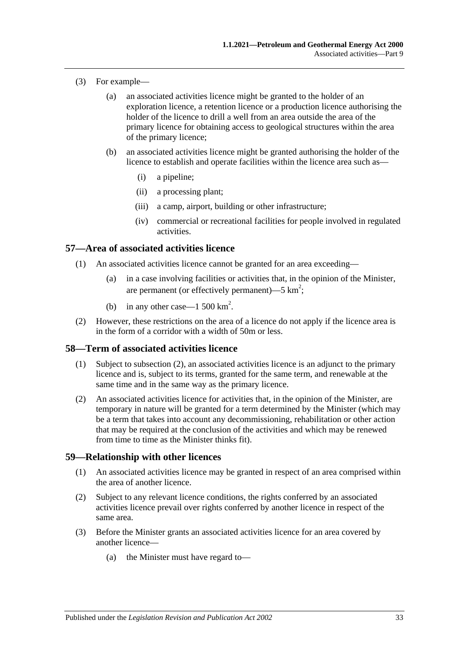- (3) For example—
	- (a) an associated activities licence might be granted to the holder of an exploration licence, a retention licence or a production licence authorising the holder of the licence to drill a well from an area outside the area of the primary licence for obtaining access to geological structures within the area of the primary licence;
	- (b) an associated activities licence might be granted authorising the holder of the licence to establish and operate facilities within the licence area such as—
		- (i) a pipeline;
		- (ii) a processing plant;
		- (iii) a camp, airport, building or other infrastructure;
		- (iv) commercial or recreational facilities for people involved in regulated activities.

### <span id="page-32-0"></span>**57—Area of associated activities licence**

- (1) An associated activities licence cannot be granted for an area exceeding—
	- (a) in a case involving facilities or activities that, in the opinion of the Minister, are permanent (or effectively permanent)—5  $km^2$ ;
	- (b) in any other case—1 500  $\text{km}^2$ .
- (2) However, these restrictions on the area of a licence do not apply if the licence area is in the form of a corridor with a width of 50m or less.

#### <span id="page-32-1"></span>**58—Term of associated activities licence**

- (1) Subject to [subsection](#page-32-3) (2), an associated activities licence is an adjunct to the primary licence and is, subject to its terms, granted for the same term, and renewable at the same time and in the same way as the primary licence.
- <span id="page-32-3"></span>(2) An associated activities licence for activities that, in the opinion of the Minister, are temporary in nature will be granted for a term determined by the Minister (which may be a term that takes into account any decommissioning, rehabilitation or other action that may be required at the conclusion of the activities and which may be renewed from time to time as the Minister thinks fit).

#### <span id="page-32-2"></span>**59—Relationship with other licences**

- (1) An associated activities licence may be granted in respect of an area comprised within the area of another licence.
- (2) Subject to any relevant licence conditions, the rights conferred by an associated activities licence prevail over rights conferred by another licence in respect of the same area.
- <span id="page-32-4"></span>(3) Before the Minister grants an associated activities licence for an area covered by another licence—
	- (a) the Minister must have regard to—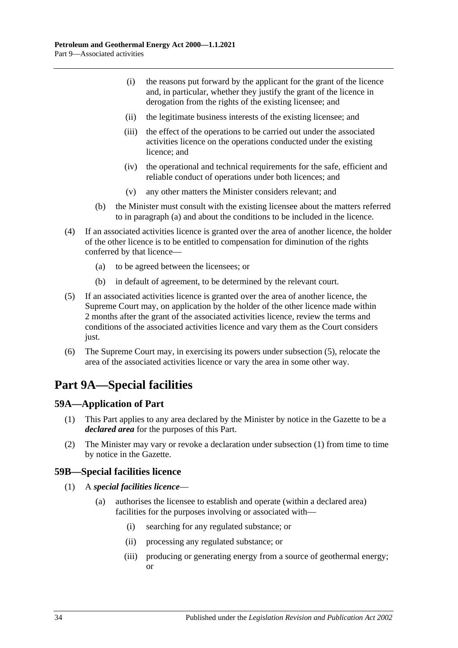- (i) the reasons put forward by the applicant for the grant of the licence and, in particular, whether they justify the grant of the licence in derogation from the rights of the existing licensee; and
- (ii) the legitimate business interests of the existing licensee; and
- (iii) the effect of the operations to be carried out under the associated activities licence on the operations conducted under the existing licence; and
- (iv) the operational and technical requirements for the safe, efficient and reliable conduct of operations under both licences; and
- (v) any other matters the Minister considers relevant; and
- (b) the Minister must consult with the existing licensee about the matters referred to in [paragraph](#page-32-4) (a) and about the conditions to be included in the licence.
- (4) If an associated activities licence is granted over the area of another licence, the holder of the other licence is to be entitled to compensation for diminution of the rights conferred by that licence—
	- (a) to be agreed between the licensees; or
	- (b) in default of agreement, to be determined by the relevant court.
- <span id="page-33-3"></span>(5) If an associated activities licence is granted over the area of another licence, the Supreme Court may, on application by the holder of the other licence made within 2 months after the grant of the associated activities licence, review the terms and conditions of the associated activities licence and vary them as the Court considers just.
- (6) The Supreme Court may, in exercising its powers under [subsection](#page-33-3) (5), relocate the area of the associated activities licence or vary the area in some other way.

# <span id="page-33-0"></span>**Part 9A—Special facilities**

# <span id="page-33-4"></span><span id="page-33-1"></span>**59A—Application of Part**

- (1) This Part applies to any area declared by the Minister by notice in the Gazette to be a *declared area* for the purposes of this Part.
- (2) The Minister may vary or revoke a declaration under [subsection](#page-33-4) (1) from time to time by notice in the Gazette.

# <span id="page-33-2"></span>**59B—Special facilities licence**

- (1) A *special facilities licence*
	- (a) authorises the licensee to establish and operate (within a declared area) facilities for the purposes involving or associated with—
		- (i) searching for any regulated substance; or
		- (ii) processing any regulated substance; or
		- (iii) producing or generating energy from a source of geothermal energy; or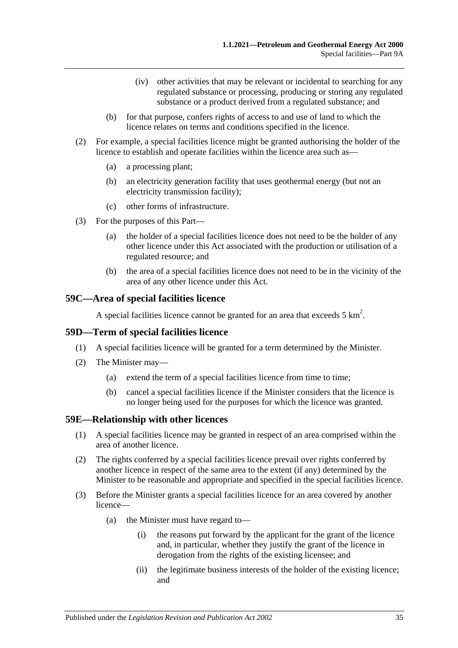- (iv) other activities that may be relevant or incidental to searching for any regulated substance or processing, producing or storing any regulated substance or a product derived from a regulated substance; and
- (b) for that purpose, confers rights of access to and use of land to which the licence relates on terms and conditions specified in the licence.
- (2) For example, a special facilities licence might be granted authorising the holder of the licence to establish and operate facilities within the licence area such as—
	- (a) a processing plant;
	- (b) an electricity generation facility that uses geothermal energy (but not an electricity transmission facility);
	- (c) other forms of infrastructure.
- (3) For the purposes of this Part—
	- (a) the holder of a special facilities licence does not need to be the holder of any other licence under this Act associated with the production or utilisation of a regulated resource; and
	- (b) the area of a special facilities licence does not need to be in the vicinity of the area of any other licence under this Act.

### <span id="page-34-0"></span>**59C—Area of special facilities licence**

A special facilities licence cannot be granted for an area that exceeds  $5 \text{ km}^2$ .

#### <span id="page-34-1"></span>**59D—Term of special facilities licence**

- (1) A special facilities licence will be granted for a term determined by the Minister.
- (2) The Minister may—
	- (a) extend the term of a special facilities licence from time to time;
	- (b) cancel a special facilities licence if the Minister considers that the licence is no longer being used for the purposes for which the licence was granted.

#### <span id="page-34-2"></span>**59E—Relationship with other licences**

- (1) A special facilities licence may be granted in respect of an area comprised within the area of another licence.
- (2) The rights conferred by a special facilities licence prevail over rights conferred by another licence in respect of the same area to the extent (if any) determined by the Minister to be reasonable and appropriate and specified in the special facilities licence.
- <span id="page-34-3"></span>(3) Before the Minister grants a special facilities licence for an area covered by another licence—
	- (a) the Minister must have regard to—
		- (i) the reasons put forward by the applicant for the grant of the licence and, in particular, whether they justify the grant of the licence in derogation from the rights of the existing licensee; and
		- (ii) the legitimate business interests of the holder of the existing licence; and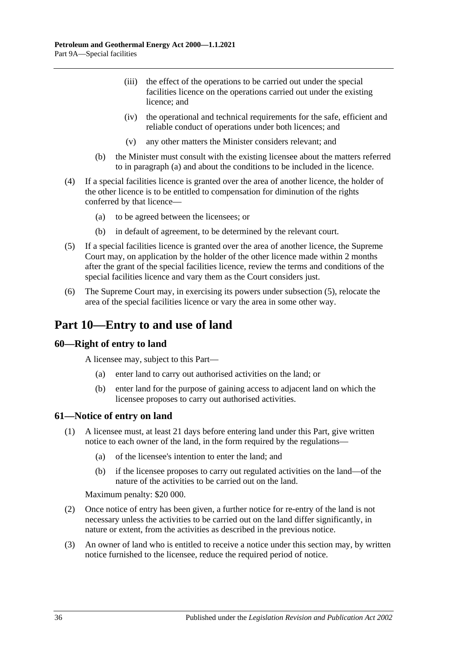- (iii) the effect of the operations to be carried out under the special facilities licence on the operations carried out under the existing licence; and
- (iv) the operational and technical requirements for the safe, efficient and reliable conduct of operations under both licences; and
- (v) any other matters the Minister considers relevant; and
- (b) the Minister must consult with the existing licensee about the matters referred to in [paragraph](#page-34-3) (a) and about the conditions to be included in the licence.
- (4) If a special facilities licence is granted over the area of another licence, the holder of the other licence is to be entitled to compensation for diminution of the rights conferred by that licence—
	- (a) to be agreed between the licensees; or
	- (b) in default of agreement, to be determined by the relevant court.
- <span id="page-35-3"></span>(5) If a special facilities licence is granted over the area of another licence, the Supreme Court may, on application by the holder of the other licence made within 2 months after the grant of the special facilities licence, review the terms and conditions of the special facilities licence and vary them as the Court considers just.
- (6) The Supreme Court may, in exercising its powers under [subsection](#page-35-3) (5), relocate the area of the special facilities licence or vary the area in some other way.

# <span id="page-35-0"></span>**Part 10—Entry to and use of land**

#### <span id="page-35-1"></span>**60—Right of entry to land**

A licensee may, subject to this Part—

- (a) enter land to carry out authorised activities on the land; or
- (b) enter land for the purpose of gaining access to adjacent land on which the licensee proposes to carry out authorised activities.

#### <span id="page-35-2"></span>**61—Notice of entry on land**

- (1) A licensee must, at least 21 days before entering land under this Part, give written notice to each owner of the land, in the form required by the regulations—
	- (a) of the licensee's intention to enter the land; and
	- (b) if the licensee proposes to carry out regulated activities on the land—of the nature of the activities to be carried out on the land.

Maximum penalty: \$20 000.

- (2) Once notice of entry has been given, a further notice for re-entry of the land is not necessary unless the activities to be carried out on the land differ significantly, in nature or extent, from the activities as described in the previous notice.
- (3) An owner of land who is entitled to receive a notice under this section may, by written notice furnished to the licensee, reduce the required period of notice.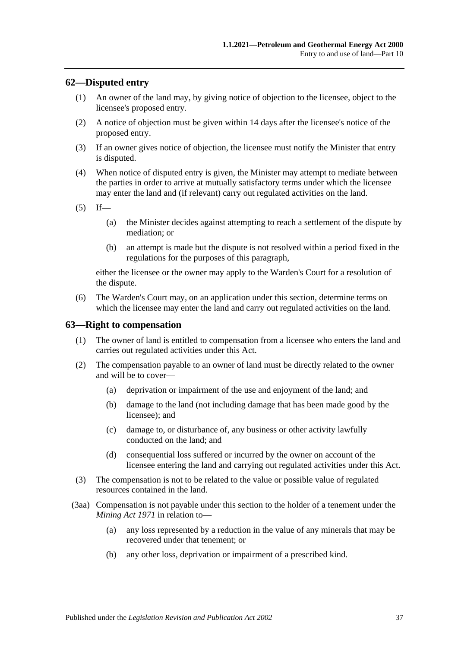### **62—Disputed entry**

- (1) An owner of the land may, by giving notice of objection to the licensee, object to the licensee's proposed entry.
- (2) A notice of objection must be given within 14 days after the licensee's notice of the proposed entry.
- (3) If an owner gives notice of objection, the licensee must notify the Minister that entry is disputed.
- (4) When notice of disputed entry is given, the Minister may attempt to mediate between the parties in order to arrive at mutually satisfactory terms under which the licensee may enter the land and (if relevant) carry out regulated activities on the land.

 $(5)$  If—

- (a) the Minister decides against attempting to reach a settlement of the dispute by mediation; or
- (b) an attempt is made but the dispute is not resolved within a period fixed in the regulations for the purposes of this paragraph,

either the licensee or the owner may apply to the Warden's Court for a resolution of the dispute.

(6) The Warden's Court may, on an application under this section, determine terms on which the licensee may enter the land and carry out regulated activities on the land.

### **63—Right to compensation**

- (1) The owner of land is entitled to compensation from a licensee who enters the land and carries out regulated activities under this Act.
- <span id="page-36-0"></span>(2) The compensation payable to an owner of land must be directly related to the owner and will be to cover—
	- (a) deprivation or impairment of the use and enjoyment of the land; and
	- (b) damage to the land (not including damage that has been made good by the licensee); and
	- (c) damage to, or disturbance of, any business or other activity lawfully conducted on the land; and
	- (d) consequential loss suffered or incurred by the owner on account of the licensee entering the land and carrying out regulated activities under this Act.
- (3) The compensation is not to be related to the value or possible value of regulated resources contained in the land.
- (3aa) Compensation is not payable under this section to the holder of a tenement under the *[Mining Act](http://www.legislation.sa.gov.au/index.aspx?action=legref&type=act&legtitle=Mining%20Act%201971) 1971* in relation to—
	- (a) any loss represented by a reduction in the value of any minerals that may be recovered under that tenement; or
	- (b) any other loss, deprivation or impairment of a prescribed kind.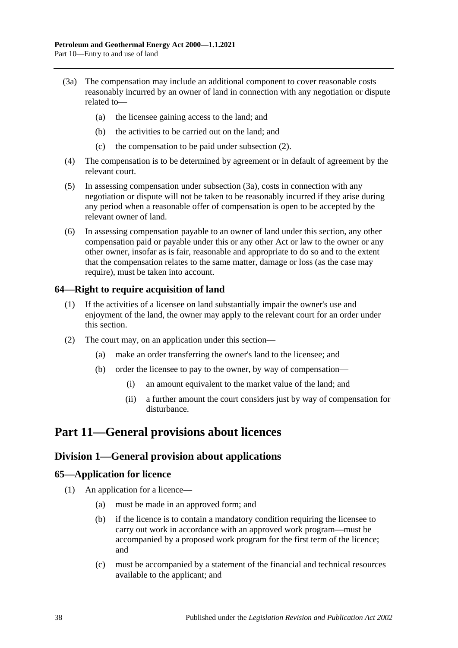- <span id="page-37-0"></span>(3a) The compensation may include an additional component to cover reasonable costs reasonably incurred by an owner of land in connection with any negotiation or dispute related to—
	- (a) the licensee gaining access to the land; and
	- (b) the activities to be carried out on the land; and
	- (c) the compensation to be paid under [subsection](#page-36-0) (2).
- (4) The compensation is to be determined by agreement or in default of agreement by the relevant court.
- (5) In assessing compensation under [subsection](#page-37-0) (3a), costs in connection with any negotiation or dispute will not be taken to be reasonably incurred if they arise during any period when a reasonable offer of compensation is open to be accepted by the relevant owner of land.
- (6) In assessing compensation payable to an owner of land under this section, any other compensation paid or payable under this or any other Act or law to the owner or any other owner, insofar as is fair, reasonable and appropriate to do so and to the extent that the compensation relates to the same matter, damage or loss (as the case may require), must be taken into account.

## **64—Right to require acquisition of land**

- (1) If the activities of a licensee on land substantially impair the owner's use and enjoyment of the land, the owner may apply to the relevant court for an order under this section.
- (2) The court may, on an application under this section—
	- (a) make an order transferring the owner's land to the licensee; and
	- (b) order the licensee to pay to the owner, by way of compensation—
		- (i) an amount equivalent to the market value of the land; and
		- (ii) a further amount the court considers just by way of compensation for disturbance.

# **Part 11—General provisions about licences**

## **Division 1—General provision about applications**

### **65—Application for licence**

- (1) An application for a licence—
	- (a) must be made in an approved form; and
	- (b) if the licence is to contain a mandatory condition requiring the licensee to carry out work in accordance with an approved work program—must be accompanied by a proposed work program for the first term of the licence; and
	- (c) must be accompanied by a statement of the financial and technical resources available to the applicant; and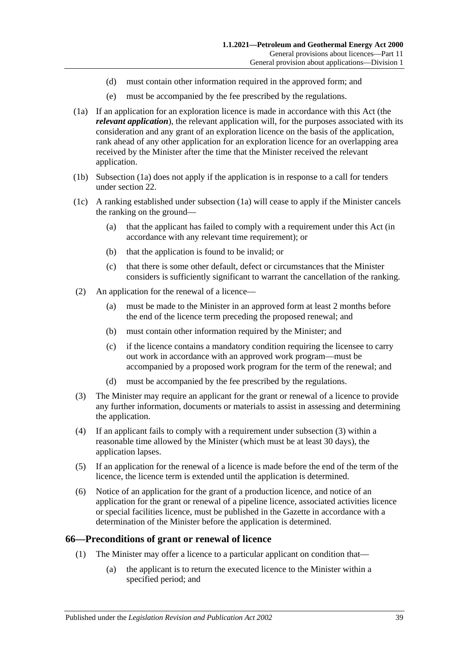- (d) must contain other information required in the approved form; and
- (e) must be accompanied by the fee prescribed by the regulations.
- <span id="page-38-0"></span>(1a) If an application for an exploration licence is made in accordance with this Act (the *relevant application*), the relevant application will, for the purposes associated with its consideration and any grant of an exploration licence on the basis of the application, rank ahead of any other application for an exploration licence for an overlapping area received by the Minister after the time that the Minister received the relevant application.
- (1b) [Subsection](#page-38-0) (1a) does not apply if the application is in response to a call for tenders under [section](#page-17-0) 22.
- (1c) A ranking established under [subsection](#page-38-0) (1a) will cease to apply if the Minister cancels the ranking on the ground—
	- (a) that the applicant has failed to comply with a requirement under this Act (in accordance with any relevant time requirement); or
	- (b) that the application is found to be invalid; or
	- (c) that there is some other default, defect or circumstances that the Minister considers is sufficiently significant to warrant the cancellation of the ranking.
- (2) An application for the renewal of a licence—
	- (a) must be made to the Minister in an approved form at least 2 months before the end of the licence term preceding the proposed renewal; and
	- (b) must contain other information required by the Minister; and
	- (c) if the licence contains a mandatory condition requiring the licensee to carry out work in accordance with an approved work program—must be accompanied by a proposed work program for the term of the renewal; and
	- (d) must be accompanied by the fee prescribed by the regulations.
- <span id="page-38-1"></span>(3) The Minister may require an applicant for the grant or renewal of a licence to provide any further information, documents or materials to assist in assessing and determining the application.
- (4) If an applicant fails to comply with a requirement under [subsection](#page-38-1) (3) within a reasonable time allowed by the Minister (which must be at least 30 days), the application lapses.
- (5) If an application for the renewal of a licence is made before the end of the term of the licence, the licence term is extended until the application is determined.
- (6) Notice of an application for the grant of a production licence, and notice of an application for the grant or renewal of a pipeline licence, associated activities licence or special facilities licence, must be published in the Gazette in accordance with a determination of the Minister before the application is determined.

### **66—Preconditions of grant or renewal of licence**

- (1) The Minister may offer a licence to a particular applicant on condition that—
	- (a) the applicant is to return the executed licence to the Minister within a specified period; and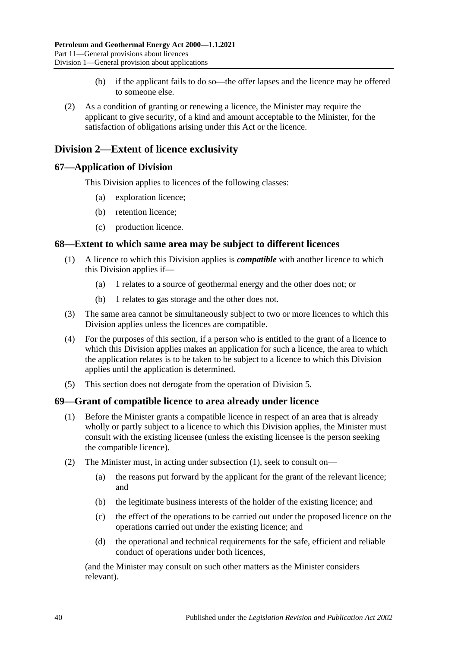- (b) if the applicant fails to do so—the offer lapses and the licence may be offered to someone else.
- (2) As a condition of granting or renewing a licence, the Minister may require the applicant to give security, of a kind and amount acceptable to the Minister, for the satisfaction of obligations arising under this Act or the licence.

# **Division 2—Extent of licence exclusivity**

### **67—Application of Division**

This Division applies to licences of the following classes:

- (a) exploration licence;
- (b) retention licence;
- (c) production licence.

### **68—Extent to which same area may be subject to different licences**

- (1) A licence to which this Division applies is *compatible* with another licence to which this Division applies if—
	- (a) 1 relates to a source of geothermal energy and the other does not; or
	- (b) 1 relates to gas storage and the other does not.
- (3) The same area cannot be simultaneously subject to two or more licences to which this Division applies unless the licences are compatible.
- (4) For the purposes of this section, if a person who is entitled to the grant of a licence to which this Division applies makes an application for such a licence, the area to which the application relates is to be taken to be subject to a licence to which this Division applies until the application is determined.
- (5) This section does not derogate from the operation of [Division 5.](#page-42-0)

### <span id="page-39-0"></span>**69—Grant of compatible licence to area already under licence**

- (1) Before the Minister grants a compatible licence in respect of an area that is already wholly or partly subject to a licence to which this Division applies, the Minister must consult with the existing licensee (unless the existing licensee is the person seeking the compatible licence).
- (2) The Minister must, in acting under [subsection](#page-39-0) (1), seek to consult on—
	- (a) the reasons put forward by the applicant for the grant of the relevant licence; and
	- (b) the legitimate business interests of the holder of the existing licence; and
	- (c) the effect of the operations to be carried out under the proposed licence on the operations carried out under the existing licence; and
	- (d) the operational and technical requirements for the safe, efficient and reliable conduct of operations under both licences,

(and the Minister may consult on such other matters as the Minister considers relevant).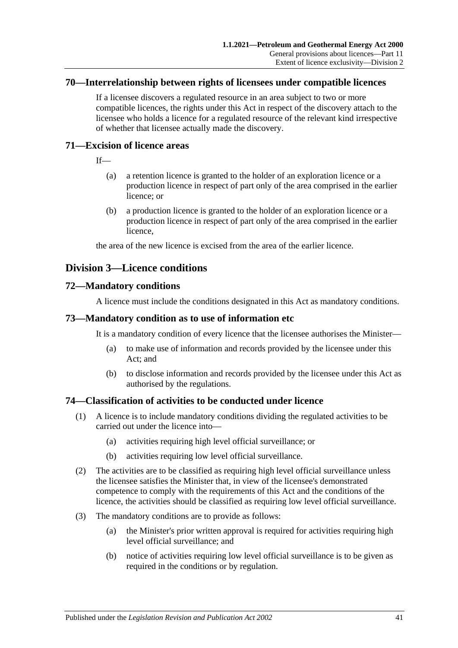### **70—Interrelationship between rights of licensees under compatible licences**

If a licensee discovers a regulated resource in an area subject to two or more compatible licences, the rights under this Act in respect of the discovery attach to the licensee who holds a licence for a regulated resource of the relevant kind irrespective of whether that licensee actually made the discovery.

### **71—Excision of licence areas**

If—

- (a) a retention licence is granted to the holder of an exploration licence or a production licence in respect of part only of the area comprised in the earlier licence; or
- (b) a production licence is granted to the holder of an exploration licence or a production licence in respect of part only of the area comprised in the earlier licence,

the area of the new licence is excised from the area of the earlier licence.

## **Division 3—Licence conditions**

### **72—Mandatory conditions**

A licence must include the conditions designated in this Act as mandatory conditions.

### **73—Mandatory condition as to use of information etc**

It is a mandatory condition of every licence that the licensee authorises the Minister—

- (a) to make use of information and records provided by the licensee under this Act; and
- (b) to disclose information and records provided by the licensee under this Act as authorised by the regulations.

### <span id="page-40-0"></span>**74—Classification of activities to be conducted under licence**

- (1) A licence is to include mandatory conditions dividing the regulated activities to be carried out under the licence into—
	- (a) activities requiring high level official surveillance; or
	- (b) activities requiring low level official surveillance.
- (2) The activities are to be classified as requiring high level official surveillance unless the licensee satisfies the Minister that, in view of the licensee's demonstrated competence to comply with the requirements of this Act and the conditions of the licence, the activities should be classified as requiring low level official surveillance.
- (3) The mandatory conditions are to provide as follows:
	- (a) the Minister's prior written approval is required for activities requiring high level official surveillance; and
	- (b) notice of activities requiring low level official surveillance is to be given as required in the conditions or by regulation.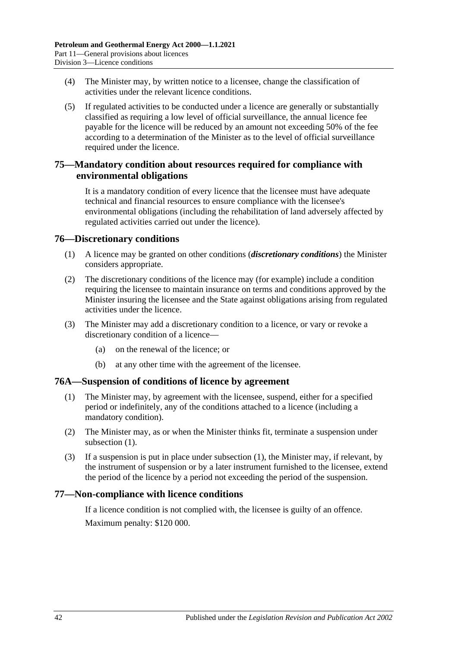- <span id="page-41-1"></span>(4) The Minister may, by written notice to a licensee, change the classification of activities under the relevant licence conditions.
- (5) If regulated activities to be conducted under a licence are generally or substantially classified as requiring a low level of official surveillance, the annual licence fee payable for the licence will be reduced by an amount not exceeding 50% of the fee according to a determination of the Minister as to the level of official surveillance required under the licence.

### **75—Mandatory condition about resources required for compliance with environmental obligations**

It is a mandatory condition of every licence that the licensee must have adequate technical and financial resources to ensure compliance with the licensee's environmental obligations (including the rehabilitation of land adversely affected by regulated activities carried out under the licence).

### **76—Discretionary conditions**

- (1) A licence may be granted on other conditions (*discretionary conditions*) the Minister considers appropriate.
- (2) The discretionary conditions of the licence may (for example) include a condition requiring the licensee to maintain insurance on terms and conditions approved by the Minister insuring the licensee and the State against obligations arising from regulated activities under the licence.
- (3) The Minister may add a discretionary condition to a licence, or vary or revoke a discretionary condition of a licence—
	- (a) on the renewal of the licence; or
	- (b) at any other time with the agreement of the licensee.

### <span id="page-41-0"></span>**76A—Suspension of conditions of licence by agreement**

- (1) The Minister may, by agreement with the licensee, suspend, either for a specified period or indefinitely, any of the conditions attached to a licence (including a mandatory condition).
- (2) The Minister may, as or when the Minister thinks fit, terminate a suspension under [subsection](#page-41-0) (1).
- (3) If a suspension is put in place under [subsection](#page-41-0) (1), the Minister may, if relevant, by the instrument of suspension or by a later instrument furnished to the licensee, extend the period of the licence by a period not exceeding the period of the suspension.

### **77—Non-compliance with licence conditions**

If a licence condition is not complied with, the licensee is guilty of an offence. Maximum penalty: \$120 000.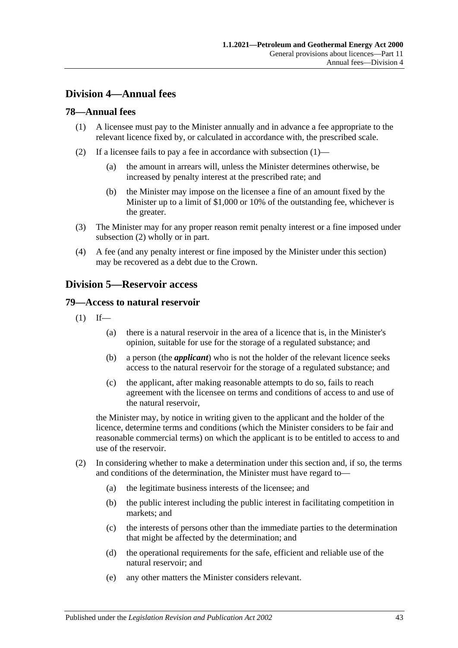# **Division 4—Annual fees**

### <span id="page-42-1"></span>**78—Annual fees**

- (1) A licensee must pay to the Minister annually and in advance a fee appropriate to the relevant licence fixed by, or calculated in accordance with, the prescribed scale.
- <span id="page-42-2"></span>(2) If a licensee fails to pay a fee in accordance with [subsection](#page-42-1)  $(1)$ —
	- (a) the amount in arrears will, unless the Minister determines otherwise, be increased by penalty interest at the prescribed rate; and
	- (b) the Minister may impose on the licensee a fine of an amount fixed by the Minister up to a limit of \$1,000 or 10% of the outstanding fee, whichever is the greater.
- (3) The Minister may for any proper reason remit penalty interest or a fine imposed under [subsection](#page-42-2) (2) wholly or in part.
- (4) A fee (and any penalty interest or fine imposed by the Minister under this section) may be recovered as a debt due to the Crown.

## <span id="page-42-0"></span>**Division 5—Reservoir access**

### **79—Access to natural reservoir**

- $(1)$  If—
	- (a) there is a natural reservoir in the area of a licence that is, in the Minister's opinion, suitable for use for the storage of a regulated substance; and
	- (b) a person (the *applicant*) who is not the holder of the relevant licence seeks access to the natural reservoir for the storage of a regulated substance; and
	- (c) the applicant, after making reasonable attempts to do so, fails to reach agreement with the licensee on terms and conditions of access to and use of the natural reservoir,

the Minister may, by notice in writing given to the applicant and the holder of the licence, determine terms and conditions (which the Minister considers to be fair and reasonable commercial terms) on which the applicant is to be entitled to access to and use of the reservoir.

- (2) In considering whether to make a determination under this section and, if so, the terms and conditions of the determination, the Minister must have regard to—
	- (a) the legitimate business interests of the licensee; and
	- (b) the public interest including the public interest in facilitating competition in markets; and
	- (c) the interests of persons other than the immediate parties to the determination that might be affected by the determination; and
	- (d) the operational requirements for the safe, efficient and reliable use of the natural reservoir; and
	- (e) any other matters the Minister considers relevant.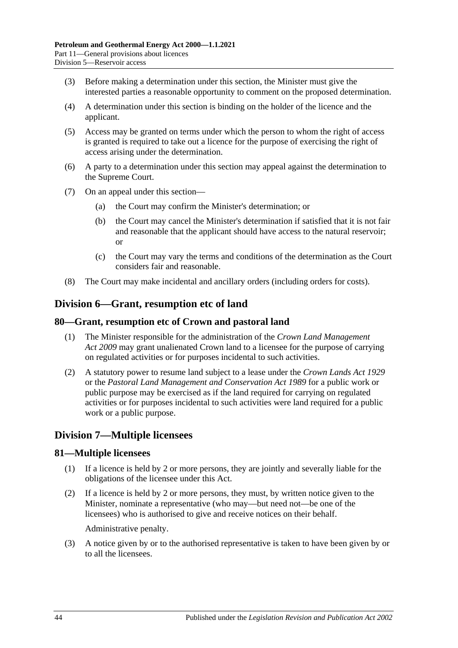- (3) Before making a determination under this section, the Minister must give the interested parties a reasonable opportunity to comment on the proposed determination.
- (4) A determination under this section is binding on the holder of the licence and the applicant.
- (5) Access may be granted on terms under which the person to whom the right of access is granted is required to take out a licence for the purpose of exercising the right of access arising under the determination.
- (6) A party to a determination under this section may appeal against the determination to the Supreme Court.
- (7) On an appeal under this section—
	- (a) the Court may confirm the Minister's determination; or
	- (b) the Court may cancel the Minister's determination if satisfied that it is not fair and reasonable that the applicant should have access to the natural reservoir; or
	- (c) the Court may vary the terms and conditions of the determination as the Court considers fair and reasonable.
- (8) The Court may make incidental and ancillary orders (including orders for costs).

## **Division 6—Grant, resumption etc of land**

### **80—Grant, resumption etc of Crown and pastoral land**

- (1) The Minister responsible for the administration of the *[Crown Land Management](http://www.legislation.sa.gov.au/index.aspx?action=legref&type=act&legtitle=Crown%20Land%20Management%20Act%202009)  Act [2009](http://www.legislation.sa.gov.au/index.aspx?action=legref&type=act&legtitle=Crown%20Land%20Management%20Act%202009)* may grant unalienated Crown land to a licensee for the purpose of carrying on regulated activities or for purposes incidental to such activities.
- (2) A statutory power to resume land subject to a lease under the *[Crown Lands Act](http://www.legislation.sa.gov.au/index.aspx?action=legref&type=act&legtitle=Crown%20Lands%20Act%201929) 1929* or the *[Pastoral Land Management and Conservation Act](http://www.legislation.sa.gov.au/index.aspx?action=legref&type=act&legtitle=Pastoral%20Land%20Management%20and%20Conservation%20Act%201989) 1989* for a public work or public purpose may be exercised as if the land required for carrying on regulated activities or for purposes incidental to such activities were land required for a public work or a public purpose.

### **Division 7—Multiple licensees**

### **81—Multiple licensees**

- (1) If a licence is held by 2 or more persons, they are jointly and severally liable for the obligations of the licensee under this Act.
- (2) If a licence is held by 2 or more persons, they must, by written notice given to the Minister, nominate a representative (who may—but need not—be one of the licensees) who is authorised to give and receive notices on their behalf.

Administrative penalty.

(3) A notice given by or to the authorised representative is taken to have been given by or to all the licensees.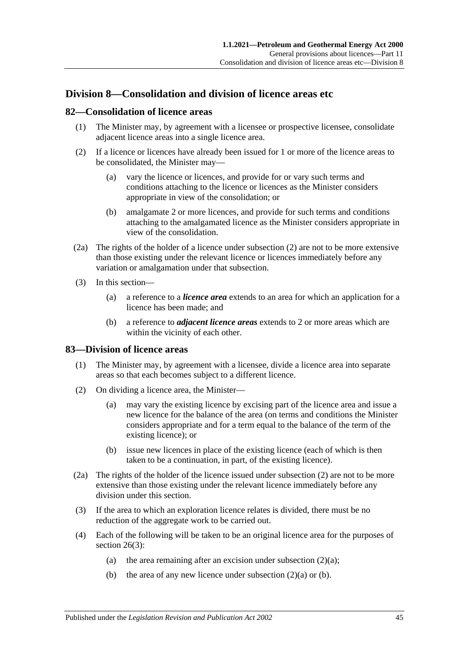## **Division 8—Consolidation and division of licence areas etc**

### <span id="page-44-3"></span>**82—Consolidation of licence areas**

- (1) The Minister may, by agreement with a licensee or prospective licensee, consolidate adjacent licence areas into a single licence area.
- (2) If a licence or licences have already been issued for 1 or more of the licence areas to be consolidated, the Minister may—
	- (a) vary the licence or licences, and provide for or vary such terms and conditions attaching to the licence or licences as the Minister considers appropriate in view of the consolidation; or
	- (b) amalgamate 2 or more licences, and provide for such terms and conditions attaching to the amalgamated licence as the Minister considers appropriate in view of the consolidation.
- (2a) The rights of the holder of a licence under subsection (2) are not to be more extensive than those existing under the relevant licence or licences immediately before any variation or amalgamation under that subsection.
- (3) In this section—
	- (a) a reference to a *licence area* extends to an area for which an application for a licence has been made; and
	- (b) a reference to *adjacent licence areas* extends to 2 or more areas which are within the vicinity of each other.

### <span id="page-44-4"></span>**83—Division of licence areas**

- (1) The Minister may, by agreement with a licensee, divide a licence area into separate areas so that each becomes subject to a different licence.
- <span id="page-44-1"></span><span id="page-44-0"></span>(2) On dividing a licence area, the Minister—
	- (a) may vary the existing licence by excising part of the licence area and issue a new licence for the balance of the area (on terms and conditions the Minister considers appropriate and for a term equal to the balance of the term of the existing licence); or
	- (b) issue new licences in place of the existing licence (each of which is then taken to be a continuation, in part, of the existing licence).
- <span id="page-44-2"></span>(2a) The rights of the holder of the licence issued under [subsection](#page-44-0) (2) are not to be more extensive than those existing under the relevant licence immediately before any division under this section.
- (3) If the area to which an exploration licence relates is divided, there must be no reduction of the aggregate work to be carried out.
- (4) Each of the following will be taken to be an original licence area for the purposes of [section](#page-19-0) 26(3):
	- (a) the area remaining after an excision under [subsection](#page-44-1)  $(2)(a)$ ;
	- (b) the area of any new licence under [subsection](#page-44-1)  $(2)(a)$  or [\(b\).](#page-44-2)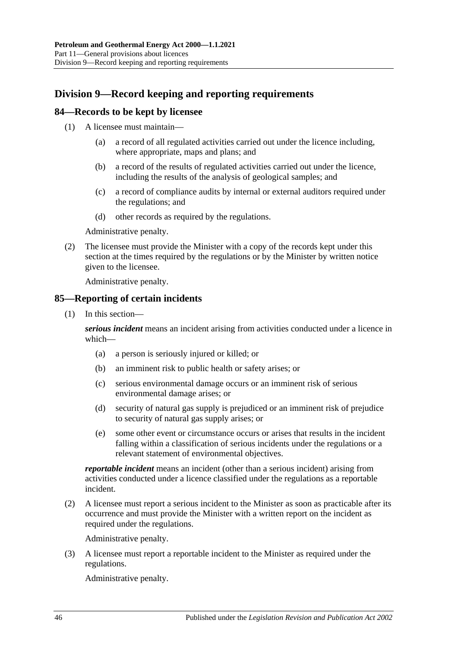# **Division 9—Record keeping and reporting requirements**

### **84—Records to be kept by licensee**

- (1) A licensee must maintain—
	- (a) a record of all regulated activities carried out under the licence including, where appropriate, maps and plans; and
	- (b) a record of the results of regulated activities carried out under the licence, including the results of the analysis of geological samples; and
	- (c) a record of compliance audits by internal or external auditors required under the regulations; and
	- (d) other records as required by the regulations.

Administrative penalty.

(2) The licensee must provide the Minister with a copy of the records kept under this section at the times required by the regulations or by the Minister by written notice given to the licensee.

Administrative penalty.

### <span id="page-45-0"></span>**85—Reporting of certain incidents**

(1) In this section—

*serious incident* means an incident arising from activities conducted under a licence in which—

- (a) a person is seriously injured or killed; or
- (b) an imminent risk to public health or safety arises; or
- (c) serious environmental damage occurs or an imminent risk of serious environmental damage arises; or
- (d) security of natural gas supply is prejudiced or an imminent risk of prejudice to security of natural gas supply arises; or
- (e) some other event or circumstance occurs or arises that results in the incident falling within a classification of serious incidents under the regulations or a relevant statement of environmental objectives.

*reportable incident* means an incident (other than a serious incident) arising from activities conducted under a licence classified under the regulations as a reportable incident.

(2) A licensee must report a serious incident to the Minister as soon as practicable after its occurrence and must provide the Minister with a written report on the incident as required under the regulations.

Administrative penalty.

(3) A licensee must report a reportable incident to the Minister as required under the regulations.

Administrative penalty.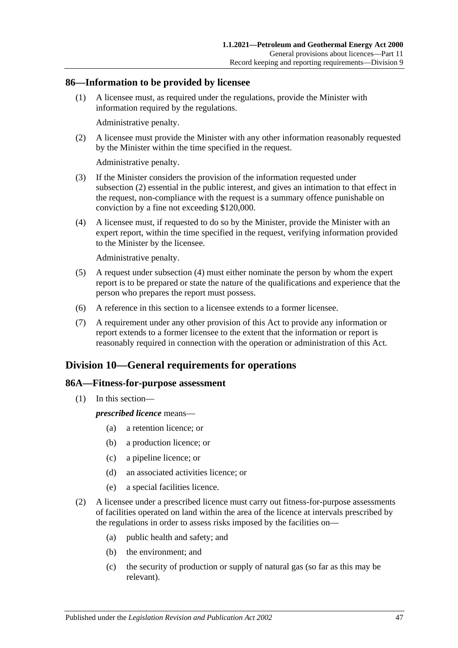### **86—Information to be provided by licensee**

(1) A licensee must, as required under the regulations, provide the Minister with information required by the regulations.

Administrative penalty.

<span id="page-46-0"></span>(2) A licensee must provide the Minister with any other information reasonably requested by the Minister within the time specified in the request.

Administrative penalty.

- (3) If the Minister considers the provision of the information requested under [subsection](#page-46-0) (2) essential in the public interest, and gives an intimation to that effect in the request, non-compliance with the request is a summary offence punishable on conviction by a fine not exceeding \$120,000.
- <span id="page-46-1"></span>(4) A licensee must, if requested to do so by the Minister, provide the Minister with an expert report, within the time specified in the request, verifying information provided to the Minister by the licensee.

Administrative penalty.

- (5) A request under [subsection](#page-46-1) (4) must either nominate the person by whom the expert report is to be prepared or state the nature of the qualifications and experience that the person who prepares the report must possess.
- (6) A reference in this section to a licensee extends to a former licensee.
- (7) A requirement under any other provision of this Act to provide any information or report extends to a former licensee to the extent that the information or report is reasonably required in connection with the operation or administration of this Act.

## **Division 10—General requirements for operations**

### **86A—Fitness-for-purpose assessment**

(1) In this section—

*prescribed licence* means—

- (a) a retention licence; or
- (b) a production licence; or
- (c) a pipeline licence; or
- (d) an associated activities licence; or
- (e) a special facilities licence.
- (2) A licensee under a prescribed licence must carry out fitness-for-purpose assessments of facilities operated on land within the area of the licence at intervals prescribed by the regulations in order to assess risks imposed by the facilities on—
	- (a) public health and safety; and
	- (b) the environment; and
	- (c) the security of production or supply of natural gas (so far as this may be relevant).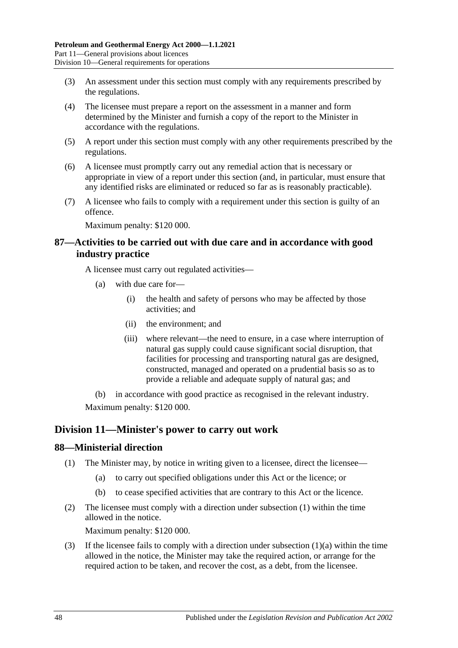- (3) An assessment under this section must comply with any requirements prescribed by the regulations.
- (4) The licensee must prepare a report on the assessment in a manner and form determined by the Minister and furnish a copy of the report to the Minister in accordance with the regulations.
- (5) A report under this section must comply with any other requirements prescribed by the regulations.
- (6) A licensee must promptly carry out any remedial action that is necessary or appropriate in view of a report under this section (and, in particular, must ensure that any identified risks are eliminated or reduced so far as is reasonably practicable).
- (7) A licensee who fails to comply with a requirement under this section is guilty of an offence.

Maximum penalty: \$120 000.

### **87—Activities to be carried out with due care and in accordance with good industry practice**

A licensee must carry out regulated activities—

- (a) with due care for—
	- (i) the health and safety of persons who may be affected by those activities; and
	- (ii) the environment; and
	- (iii) where relevant—the need to ensure, in a case where interruption of natural gas supply could cause significant social disruption, that facilities for processing and transporting natural gas are designed, constructed, managed and operated on a prudential basis so as to provide a reliable and adequate supply of natural gas; and

(b) in accordance with good practice as recognised in the relevant industry. Maximum penalty: \$120 000.

## **Division 11—Minister's power to carry out work**

### <span id="page-47-0"></span>**88—Ministerial direction**

- <span id="page-47-1"></span>(1) The Minister may, by notice in writing given to a licensee, direct the licensee—
	- (a) to carry out specified obligations under this Act or the licence; or
	- (b) to cease specified activities that are contrary to this Act or the licence.
- (2) The licensee must comply with a direction under [subsection](#page-47-0) (1) within the time allowed in the notice.

Maximum penalty: \$120 000.

(3) If the licensee fails to comply with a direction under [subsection](#page-47-1)  $(1)(a)$  within the time allowed in the notice, the Minister may take the required action, or arrange for the required action to be taken, and recover the cost, as a debt, from the licensee.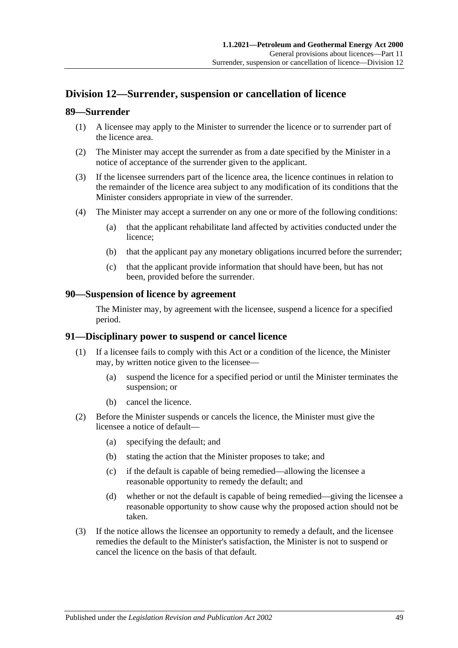# **Division 12—Surrender, suspension or cancellation of licence**

### **89—Surrender**

- (1) A licensee may apply to the Minister to surrender the licence or to surrender part of the licence area.
- (2) The Minister may accept the surrender as from a date specified by the Minister in a notice of acceptance of the surrender given to the applicant.
- (3) If the licensee surrenders part of the licence area, the licence continues in relation to the remainder of the licence area subject to any modification of its conditions that the Minister considers appropriate in view of the surrender.
- (4) The Minister may accept a surrender on any one or more of the following conditions:
	- (a) that the applicant rehabilitate land affected by activities conducted under the licence;
	- (b) that the applicant pay any monetary obligations incurred before the surrender;
	- (c) that the applicant provide information that should have been, but has not been, provided before the surrender.

### **90—Suspension of licence by agreement**

The Minister may, by agreement with the licensee, suspend a licence for a specified period.

### **91—Disciplinary power to suspend or cancel licence**

- (1) If a licensee fails to comply with this Act or a condition of the licence, the Minister may, by written notice given to the licensee—
	- (a) suspend the licence for a specified period or until the Minister terminates the suspension; or
	- (b) cancel the licence.
- (2) Before the Minister suspends or cancels the licence, the Minister must give the licensee a notice of default—
	- (a) specifying the default; and
	- (b) stating the action that the Minister proposes to take; and
	- (c) if the default is capable of being remedied—allowing the licensee a reasonable opportunity to remedy the default; and
	- (d) whether or not the default is capable of being remedied—giving the licensee a reasonable opportunity to show cause why the proposed action should not be taken.
- (3) If the notice allows the licensee an opportunity to remedy a default, and the licensee remedies the default to the Minister's satisfaction, the Minister is not to suspend or cancel the licence on the basis of that default.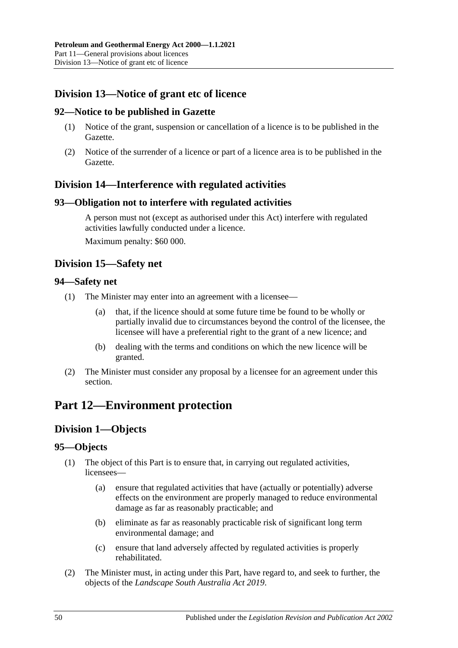# **Division 13—Notice of grant etc of licence**

### **92—Notice to be published in Gazette**

- (1) Notice of the grant, suspension or cancellation of a licence is to be published in the Gazette.
- (2) Notice of the surrender of a licence or part of a licence area is to be published in the Gazette.

## **Division 14—Interference with regulated activities**

### **93—Obligation not to interfere with regulated activities**

A person must not (except as authorised under this Act) interfere with regulated activities lawfully conducted under a licence. Maximum penalty: \$60 000.

## **Division 15—Safety net**

### **94—Safety net**

- (1) The Minister may enter into an agreement with a licensee—
	- (a) that, if the licence should at some future time be found to be wholly or partially invalid due to circumstances beyond the control of the licensee, the licensee will have a preferential right to the grant of a new licence; and
	- (b) dealing with the terms and conditions on which the new licence will be granted.
- (2) The Minister must consider any proposal by a licensee for an agreement under this section.

# **Part 12—Environment protection**

# **Division 1—Objects**

### **95—Objects**

- (1) The object of this Part is to ensure that, in carrying out regulated activities, licensees—
	- (a) ensure that regulated activities that have (actually or potentially) adverse effects on the environment are properly managed to reduce environmental damage as far as reasonably practicable; and
	- (b) eliminate as far as reasonably practicable risk of significant long term environmental damage; and
	- (c) ensure that land adversely affected by regulated activities is properly rehabilitated.
- (2) The Minister must, in acting under this Part, have regard to, and seek to further, the objects of the *[Landscape South Australia Act](http://www.legislation.sa.gov.au/index.aspx?action=legref&type=act&legtitle=Landscape%20South%20Australia%20Act%202019) 2019*.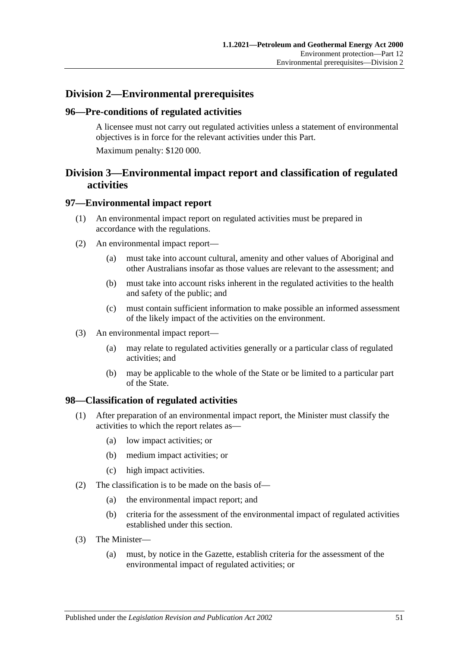## **Division 2—Environmental prerequisites**

### **96—Pre-conditions of regulated activities**

A licensee must not carry out regulated activities unless a statement of environmental objectives is in force for the relevant activities under this Part. Maximum penalty: \$120 000.

# **Division 3—Environmental impact report and classification of regulated activities**

### **97—Environmental impact report**

- (1) An environmental impact report on regulated activities must be prepared in accordance with the regulations.
- (2) An environmental impact report—
	- (a) must take into account cultural, amenity and other values of Aboriginal and other Australians insofar as those values are relevant to the assessment; and
	- (b) must take into account risks inherent in the regulated activities to the health and safety of the public; and
	- (c) must contain sufficient information to make possible an informed assessment of the likely impact of the activities on the environment.
- (3) An environmental impact report—
	- (a) may relate to regulated activities generally or a particular class of regulated activities; and
	- (b) may be applicable to the whole of the State or be limited to a particular part of the State.

### **98—Classification of regulated activities**

- (1) After preparation of an environmental impact report, the Minister must classify the activities to which the report relates as—
	- (a) low impact activities; or
	- (b) medium impact activities; or
	- (c) high impact activities.
- (2) The classification is to be made on the basis of—
	- (a) the environmental impact report; and
	- (b) criteria for the assessment of the environmental impact of regulated activities established under this section.
- (3) The Minister—
	- (a) must, by notice in the Gazette, establish criteria for the assessment of the environmental impact of regulated activities; or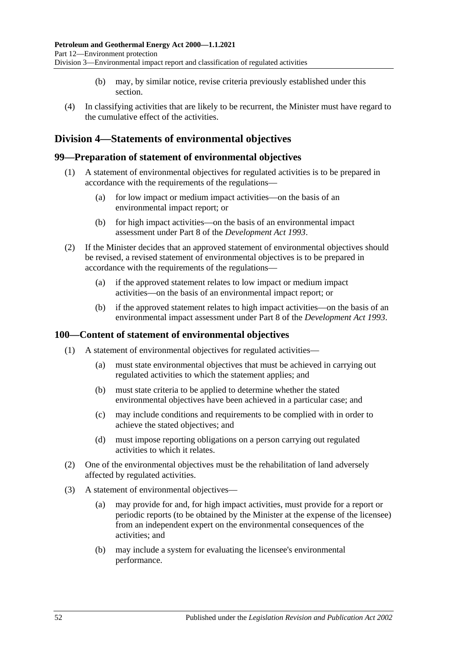- (b) may, by similar notice, revise criteria previously established under this section.
- (4) In classifying activities that are likely to be recurrent, the Minister must have regard to the cumulative effect of the activities.

# **Division 4—Statements of environmental objectives**

### **99—Preparation of statement of environmental objectives**

- (1) A statement of environmental objectives for regulated activities is to be prepared in accordance with the requirements of the regulations—
	- (a) for low impact or medium impact activities—on the basis of an environmental impact report; or
	- (b) for high impact activities—on the basis of an environmental impact assessment under Part 8 of the *[Development Act](http://www.legislation.sa.gov.au/index.aspx?action=legref&type=act&legtitle=Development%20Act%201993) 1993*.
- (2) If the Minister decides that an approved statement of environmental objectives should be revised, a revised statement of environmental objectives is to be prepared in accordance with the requirements of the regulations—
	- (a) if the approved statement relates to low impact or medium impact activities—on the basis of an environmental impact report; or
	- (b) if the approved statement relates to high impact activities—on the basis of an environmental impact assessment under Part 8 of the *[Development Act](http://www.legislation.sa.gov.au/index.aspx?action=legref&type=act&legtitle=Development%20Act%201993) 1993*.

### **100—Content of statement of environmental objectives**

- (1) A statement of environmental objectives for regulated activities—
	- (a) must state environmental objectives that must be achieved in carrying out regulated activities to which the statement applies; and
	- (b) must state criteria to be applied to determine whether the stated environmental objectives have been achieved in a particular case; and
	- (c) may include conditions and requirements to be complied with in order to achieve the stated objectives; and
	- (d) must impose reporting obligations on a person carrying out regulated activities to which it relates.
- (2) One of the environmental objectives must be the rehabilitation of land adversely affected by regulated activities.
- (3) A statement of environmental objectives—
	- (a) may provide for and, for high impact activities, must provide for a report or periodic reports (to be obtained by the Minister at the expense of the licensee) from an independent expert on the environmental consequences of the activities; and
	- (b) may include a system for evaluating the licensee's environmental performance.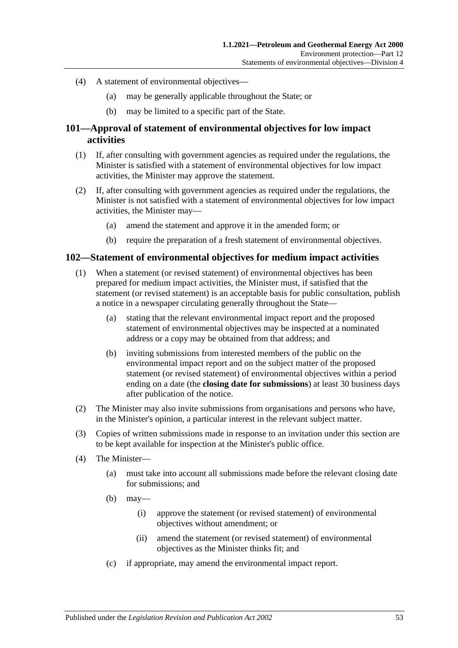- (4) A statement of environmental objectives—
	- (a) may be generally applicable throughout the State; or
	- (b) may be limited to a specific part of the State.

### **101—Approval of statement of environmental objectives for low impact activities**

- (1) If, after consulting with government agencies as required under the regulations, the Minister is satisfied with a statement of environmental objectives for low impact activities, the Minister may approve the statement.
- (2) If, after consulting with government agencies as required under the regulations, the Minister is not satisfied with a statement of environmental objectives for low impact activities, the Minister may—
	- (a) amend the statement and approve it in the amended form; or
	- (b) require the preparation of a fresh statement of environmental objectives.

### **102—Statement of environmental objectives for medium impact activities**

- (1) When a statement (or revised statement) of environmental objectives has been prepared for medium impact activities, the Minister must, if satisfied that the statement (or revised statement) is an acceptable basis for public consultation, publish a notice in a newspaper circulating generally throughout the State—
	- (a) stating that the relevant environmental impact report and the proposed statement of environmental objectives may be inspected at a nominated address or a copy may be obtained from that address; and
	- (b) inviting submissions from interested members of the public on the environmental impact report and on the subject matter of the proposed statement (or revised statement) of environmental objectives within a period ending on a date (the **closing date for submissions**) at least 30 business days after publication of the notice.
- (2) The Minister may also invite submissions from organisations and persons who have, in the Minister's opinion, a particular interest in the relevant subject matter.
- (3) Copies of written submissions made in response to an invitation under this section are to be kept available for inspection at the Minister's public office.
- (4) The Minister—
	- (a) must take into account all submissions made before the relevant closing date for submissions; and
	- $(b)$  may—
		- (i) approve the statement (or revised statement) of environmental objectives without amendment; or
		- (ii) amend the statement (or revised statement) of environmental objectives as the Minister thinks fit; and
	- (c) if appropriate, may amend the environmental impact report.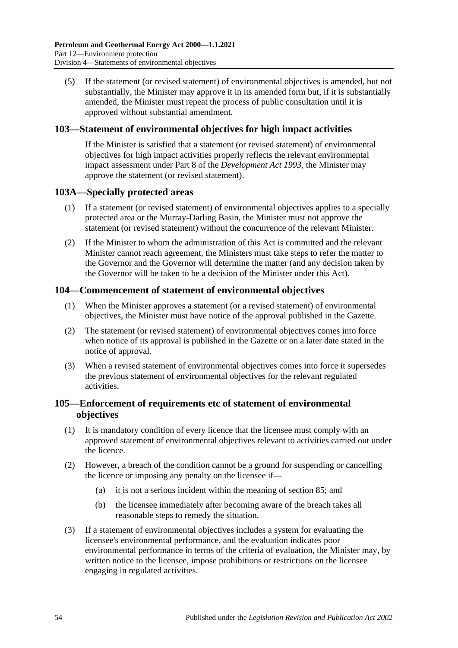(5) If the statement (or revised statement) of environmental objectives is amended, but not substantially, the Minister may approve it in its amended form but, if it is substantially amended, the Minister must repeat the process of public consultation until it is approved without substantial amendment.

### **103—Statement of environmental objectives for high impact activities**

If the Minister is satisfied that a statement (or revised statement) of environmental objectives for high impact activities properly reflects the relevant environmental impact assessment under Part 8 of the *[Development Act](http://www.legislation.sa.gov.au/index.aspx?action=legref&type=act&legtitle=Development%20Act%201993) 1993*, the Minister may approve the statement (or revised statement).

### **103A—Specially protected areas**

- (1) If a statement (or revised statement) of environmental objectives applies to a specially protected area or the Murray-Darling Basin, the Minister must not approve the statement (or revised statement) without the concurrence of the relevant Minister.
- (2) If the Minister to whom the administration of this Act is committed and the relevant Minister cannot reach agreement, the Ministers must take steps to refer the matter to the Governor and the Governor will determine the matter (and any decision taken by the Governor will be taken to be a decision of the Minister under this Act).

### **104—Commencement of statement of environmental objectives**

- (1) When the Minister approves a statement (or a revised statement) of environmental objectives, the Minister must have notice of the approval published in the Gazette.
- (2) The statement (or revised statement) of environmental objectives comes into force when notice of its approval is published in the Gazette or on a later date stated in the notice of approval.
- (3) When a revised statement of environmental objectives comes into force it supersedes the previous statement of environmental objectives for the relevant regulated activities.

### **105—Enforcement of requirements etc of statement of environmental objectives**

- (1) It is mandatory condition of every licence that the licensee must comply with an approved statement of environmental objectives relevant to activities carried out under the licence.
- (2) However, a breach of the condition cannot be a ground for suspending or cancelling the licence or imposing any penalty on the licensee if—
	- (a) it is not a serious incident within the meaning of [section](#page-45-0) 85; and
	- (b) the licensee immediately after becoming aware of the breach takes all reasonable steps to remedy the situation.
- <span id="page-53-0"></span>(3) If a statement of environmental objectives includes a system for evaluating the licensee's environmental performance, and the evaluation indicates poor environmental performance in terms of the criteria of evaluation, the Minister may, by written notice to the licensee, impose prohibitions or restrictions on the licensee engaging in regulated activities.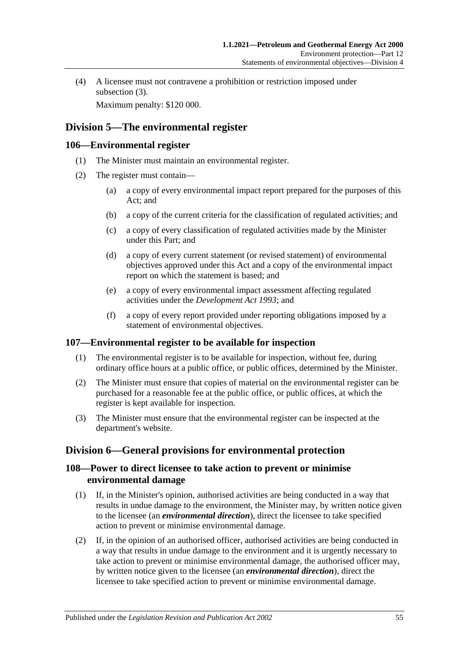(4) A licensee must not contravene a prohibition or restriction imposed under [subsection](#page-53-0)  $(3)$ .

Maximum penalty: \$120 000.

# **Division 5—The environmental register**

### **106—Environmental register**

- (1) The Minister must maintain an environmental register.
- (2) The register must contain—
	- (a) a copy of every environmental impact report prepared for the purposes of this Act; and
	- (b) a copy of the current criteria for the classification of regulated activities; and
	- (c) a copy of every classification of regulated activities made by the Minister under this Part; and
	- (d) a copy of every current statement (or revised statement) of environmental objectives approved under this Act and a copy of the environmental impact report on which the statement is based; and
	- (e) a copy of every environmental impact assessment affecting regulated activities under the *[Development Act](http://www.legislation.sa.gov.au/index.aspx?action=legref&type=act&legtitle=Development%20Act%201993) 1993*; and
	- (f) a copy of every report provided under reporting obligations imposed by a statement of environmental objectives.

## **107—Environmental register to be available for inspection**

- (1) The environmental register is to be available for inspection, without fee, during ordinary office hours at a public office, or public offices, determined by the Minister.
- (2) The Minister must ensure that copies of material on the environmental register can be purchased for a reasonable fee at the public office, or public offices, at which the register is kept available for inspection.
- (3) The Minister must ensure that the environmental register can be inspected at the department's website.

# **Division 6—General provisions for environmental protection**

### **108—Power to direct licensee to take action to prevent or minimise environmental damage**

- (1) If, in the Minister's opinion, authorised activities are being conducted in a way that results in undue damage to the environment, the Minister may, by written notice given to the licensee (an *environmental direction*), direct the licensee to take specified action to prevent or minimise environmental damage.
- (2) If, in the opinion of an authorised officer, authorised activities are being conducted in a way that results in undue damage to the environment and it is urgently necessary to take action to prevent or minimise environmental damage, the authorised officer may, by written notice given to the licensee (an *environmental direction*), direct the licensee to take specified action to prevent or minimise environmental damage.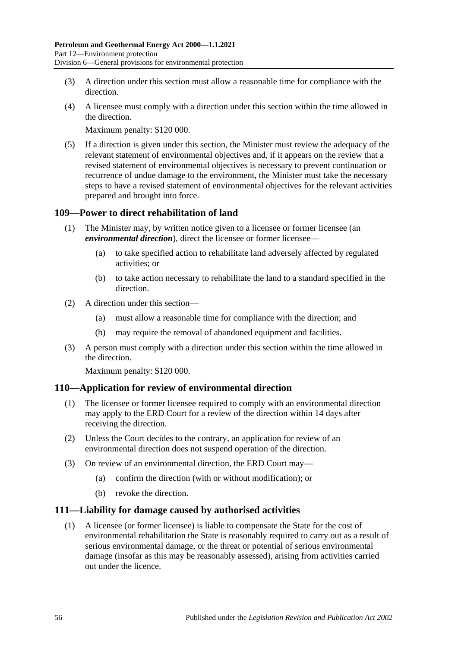- (3) A direction under this section must allow a reasonable time for compliance with the direction.
- (4) A licensee must comply with a direction under this section within the time allowed in the direction.

Maximum penalty: \$120 000.

(5) If a direction is given under this section, the Minister must review the adequacy of the relevant statement of environmental objectives and, if it appears on the review that a revised statement of environmental objectives is necessary to prevent continuation or recurrence of undue damage to the environment, the Minister must take the necessary steps to have a revised statement of environmental objectives for the relevant activities prepared and brought into force.

### **109—Power to direct rehabilitation of land**

- (1) The Minister may, by written notice given to a licensee or former licensee (an *environmental direction*), direct the licensee or former licensee—
	- (a) to take specified action to rehabilitate land adversely affected by regulated activities; or
	- (b) to take action necessary to rehabilitate the land to a standard specified in the direction.
- (2) A direction under this section—
	- (a) must allow a reasonable time for compliance with the direction; and
	- (b) may require the removal of abandoned equipment and facilities.
- (3) A person must comply with a direction under this section within the time allowed in the direction.

Maximum penalty: \$120 000.

### **110—Application for review of environmental direction**

- (1) The licensee or former licensee required to comply with an environmental direction may apply to the ERD Court for a review of the direction within 14 days after receiving the direction.
- (2) Unless the Court decides to the contrary, an application for review of an environmental direction does not suspend operation of the direction.
- (3) On review of an environmental direction, the ERD Court may—
	- (a) confirm the direction (with or without modification); or
	- (b) revoke the direction.

### **111—Liability for damage caused by authorised activities**

(1) A licensee (or former licensee) is liable to compensate the State for the cost of environmental rehabilitation the State is reasonably required to carry out as a result of serious environmental damage, or the threat or potential of serious environmental damage (insofar as this may be reasonably assessed), arising from activities carried out under the licence.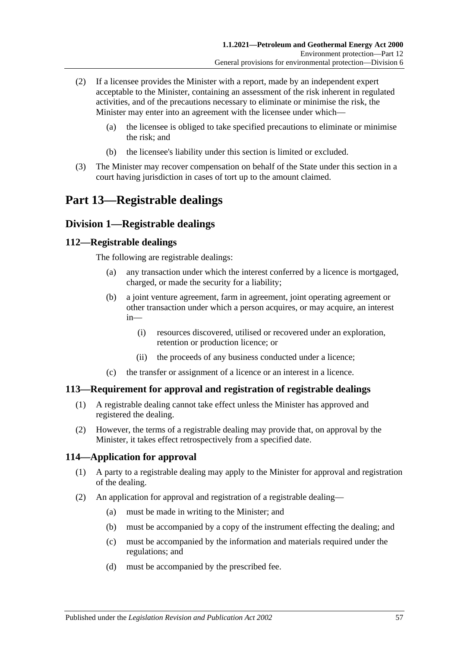- (2) If a licensee provides the Minister with a report, made by an independent expert acceptable to the Minister, containing an assessment of the risk inherent in regulated activities, and of the precautions necessary to eliminate or minimise the risk, the Minister may enter into an agreement with the licensee under which—
	- (a) the licensee is obliged to take specified precautions to eliminate or minimise the risk; and
	- (b) the licensee's liability under this section is limited or excluded.
- (3) The Minister may recover compensation on behalf of the State under this section in a court having jurisdiction in cases of tort up to the amount claimed.

# **Part 13—Registrable dealings**

## **Division 1—Registrable dealings**

### **112—Registrable dealings**

The following are registrable dealings:

- (a) any transaction under which the interest conferred by a licence is mortgaged, charged, or made the security for a liability;
- (b) a joint venture agreement, farm in agreement, joint operating agreement or other transaction under which a person acquires, or may acquire, an interest in—
	- (i) resources discovered, utilised or recovered under an exploration, retention or production licence; or
	- (ii) the proceeds of any business conducted under a licence;
- (c) the transfer or assignment of a licence or an interest in a licence.

### **113—Requirement for approval and registration of registrable dealings**

- (1) A registrable dealing cannot take effect unless the Minister has approved and registered the dealing.
- (2) However, the terms of a registrable dealing may provide that, on approval by the Minister, it takes effect retrospectively from a specified date.

### **114—Application for approval**

- (1) A party to a registrable dealing may apply to the Minister for approval and registration of the dealing.
- (2) An application for approval and registration of a registrable dealing—
	- (a) must be made in writing to the Minister; and
	- (b) must be accompanied by a copy of the instrument effecting the dealing; and
	- (c) must be accompanied by the information and materials required under the regulations; and
	- (d) must be accompanied by the prescribed fee.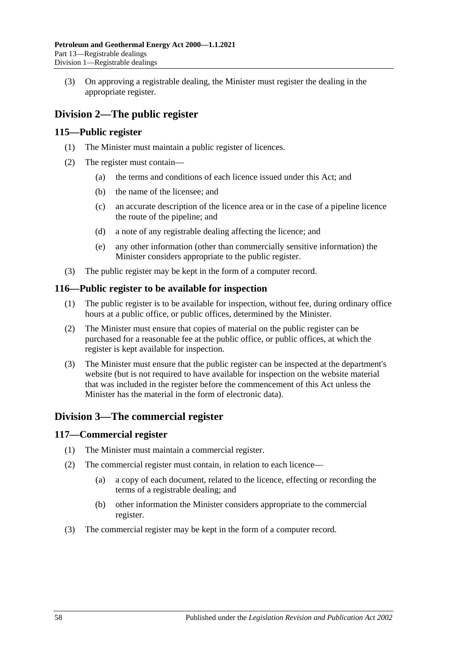(3) On approving a registrable dealing, the Minister must register the dealing in the appropriate register.

# **Division 2—The public register**

### **115—Public register**

- (1) The Minister must maintain a public register of licences.
- (2) The register must contain—
	- (a) the terms and conditions of each licence issued under this Act; and
	- (b) the name of the licensee; and
	- (c) an accurate description of the licence area or in the case of a pipeline licence the route of the pipeline; and
	- (d) a note of any registrable dealing affecting the licence; and
	- (e) any other information (other than commercially sensitive information) the Minister considers appropriate to the public register.
- (3) The public register may be kept in the form of a computer record.

### **116—Public register to be available for inspection**

- (1) The public register is to be available for inspection, without fee, during ordinary office hours at a public office, or public offices, determined by the Minister.
- (2) The Minister must ensure that copies of material on the public register can be purchased for a reasonable fee at the public office, or public offices, at which the register is kept available for inspection.
- (3) The Minister must ensure that the public register can be inspected at the department's website (but is not required to have available for inspection on the website material that was included in the register before the commencement of this Act unless the Minister has the material in the form of electronic data).

## **Division 3—The commercial register**

### **117—Commercial register**

- (1) The Minister must maintain a commercial register.
- (2) The commercial register must contain, in relation to each licence—
	- (a) a copy of each document, related to the licence, effecting or recording the terms of a registrable dealing; and
	- (b) other information the Minister considers appropriate to the commercial register.
- (3) The commercial register may be kept in the form of a computer record.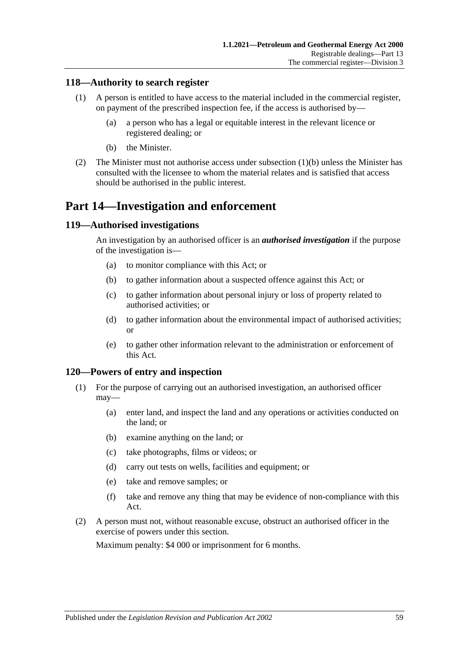### **118—Authority to search register**

- (1) A person is entitled to have access to the material included in the commercial register, on payment of the prescribed inspection fee, if the access is authorised by—
	- (a) a person who has a legal or equitable interest in the relevant licence or registered dealing; or
	- (b) the Minister.
- <span id="page-58-0"></span>(2) The Minister must not authorise access under [subsection](#page-58-0) (1)(b) unless the Minister has consulted with the licensee to whom the material relates and is satisfied that access should be authorised in the public interest.

# **Part 14—Investigation and enforcement**

### **119—Authorised investigations**

An investigation by an authorised officer is an *authorised investigation* if the purpose of the investigation is—

- (a) to monitor compliance with this Act; or
- (b) to gather information about a suspected offence against this Act; or
- (c) to gather information about personal injury or loss of property related to authorised activities; or
- (d) to gather information about the environmental impact of authorised activities; or
- (e) to gather other information relevant to the administration or enforcement of this Act.

### **120—Powers of entry and inspection**

- (1) For the purpose of carrying out an authorised investigation, an authorised officer may—
	- (a) enter land, and inspect the land and any operations or activities conducted on the land; or
	- (b) examine anything on the land; or
	- (c) take photographs, films or videos; or
	- (d) carry out tests on wells, facilities and equipment; or
	- (e) take and remove samples; or
	- (f) take and remove any thing that may be evidence of non-compliance with this Act.
- (2) A person must not, without reasonable excuse, obstruct an authorised officer in the exercise of powers under this section.

Maximum penalty: \$4 000 or imprisonment for 6 months.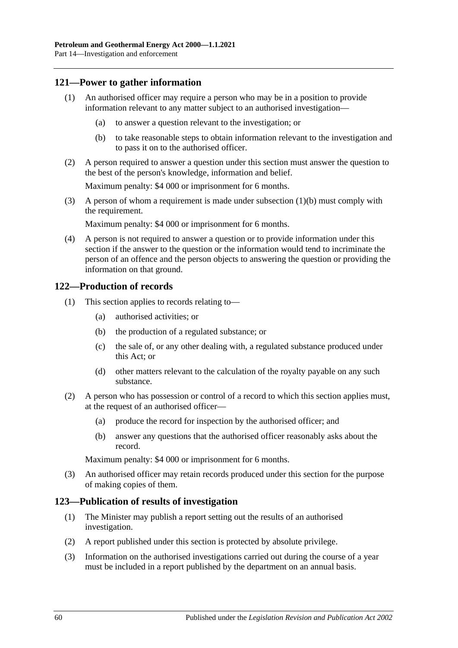### **121—Power to gather information**

- (1) An authorised officer may require a person who may be in a position to provide information relevant to any matter subject to an authorised investigation—
	- (a) to answer a question relevant to the investigation; or
	- (b) to take reasonable steps to obtain information relevant to the investigation and to pass it on to the authorised officer.
- <span id="page-59-0"></span>(2) A person required to answer a question under this section must answer the question to the best of the person's knowledge, information and belief.

Maximum penalty: \$4 000 or imprisonment for 6 months.

(3) A person of whom a requirement is made under [subsection](#page-59-0) (1)(b) must comply with the requirement.

Maximum penalty: \$4 000 or imprisonment for 6 months.

(4) A person is not required to answer a question or to provide information under this section if the answer to the question or the information would tend to incriminate the person of an offence and the person objects to answering the question or providing the information on that ground.

### **122—Production of records**

- (1) This section applies to records relating to—
	- (a) authorised activities; or
	- (b) the production of a regulated substance; or
	- (c) the sale of, or any other dealing with, a regulated substance produced under this Act; or
	- (d) other matters relevant to the calculation of the royalty payable on any such substance.
- (2) A person who has possession or control of a record to which this section applies must, at the request of an authorised officer—
	- (a) produce the record for inspection by the authorised officer; and
	- (b) answer any questions that the authorised officer reasonably asks about the record.

Maximum penalty: \$4 000 or imprisonment for 6 months.

(3) An authorised officer may retain records produced under this section for the purpose of making copies of them.

### **123—Publication of results of investigation**

- (1) The Minister may publish a report setting out the results of an authorised investigation.
- (2) A report published under this section is protected by absolute privilege.
- (3) Information on the authorised investigations carried out during the course of a year must be included in a report published by the department on an annual basis.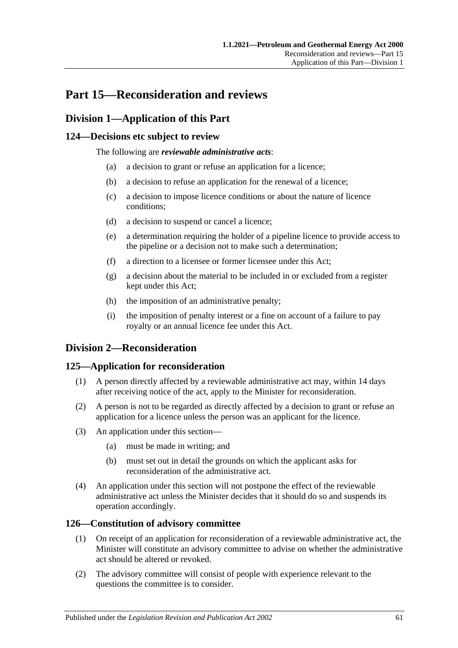# **Part 15—Reconsideration and reviews**

## **Division 1—Application of this Part**

### **124—Decisions etc subject to review**

The following are *reviewable administrative acts*:

- (a) a decision to grant or refuse an application for a licence;
- (b) a decision to refuse an application for the renewal of a licence;
- (c) a decision to impose licence conditions or about the nature of licence conditions;
- (d) a decision to suspend or cancel a licence;
- (e) a determination requiring the holder of a pipeline licence to provide access to the pipeline or a decision not to make such a determination;
- (f) a direction to a licensee or former licensee under this Act;
- (g) a decision about the material to be included in or excluded from a register kept under this Act;
- (h) the imposition of an administrative penalty;
- (i) the imposition of penalty interest or a fine on account of a failure to pay royalty or an annual licence fee under this Act.

## **Division 2—Reconsideration**

### **125—Application for reconsideration**

- (1) A person directly affected by a reviewable administrative act may, within 14 days after receiving notice of the act, apply to the Minister for reconsideration.
- (2) A person is not to be regarded as directly affected by a decision to grant or refuse an application for a licence unless the person was an applicant for the licence.
- (3) An application under this section—
	- (a) must be made in writing; and
	- (b) must set out in detail the grounds on which the applicant asks for reconsideration of the administrative act.
- (4) An application under this section will not postpone the effect of the reviewable administrative act unless the Minister decides that it should do so and suspends its operation accordingly.

### **126—Constitution of advisory committee**

- (1) On receipt of an application for reconsideration of a reviewable administrative act, the Minister will constitute an advisory committee to advise on whether the administrative act should be altered or revoked.
- (2) The advisory committee will consist of people with experience relevant to the questions the committee is to consider.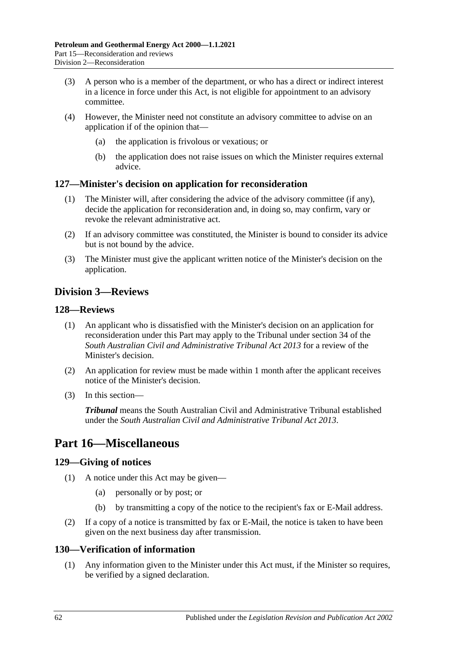- (3) A person who is a member of the department, or who has a direct or indirect interest in a licence in force under this Act, is not eligible for appointment to an advisory committee.
- (4) However, the Minister need not constitute an advisory committee to advise on an application if of the opinion that—
	- (a) the application is frivolous or vexatious; or
	- (b) the application does not raise issues on which the Minister requires external advice.

### **127—Minister's decision on application for reconsideration**

- (1) The Minister will, after considering the advice of the advisory committee (if any), decide the application for reconsideration and, in doing so, may confirm, vary or revoke the relevant administrative act.
- (2) If an advisory committee was constituted, the Minister is bound to consider its advice but is not bound by the advice.
- (3) The Minister must give the applicant written notice of the Minister's decision on the application.

# **Division 3—Reviews**

### **128—Reviews**

- (1) An applicant who is dissatisfied with the Minister's decision on an application for reconsideration under this Part may apply to the Tribunal under section 34 of the *[South Australian Civil and Administrative Tribunal Act](http://www.legislation.sa.gov.au/index.aspx?action=legref&type=act&legtitle=South%20Australian%20Civil%20and%20Administrative%20Tribunal%20Act%202013) 2013* for a review of the Minister's decision.
- (2) An application for review must be made within 1 month after the applicant receives notice of the Minister's decision.
- (3) In this section—

*Tribunal* means the South Australian Civil and Administrative Tribunal established under the *[South Australian Civil and Administrative Tribunal Act](http://www.legislation.sa.gov.au/index.aspx?action=legref&type=act&legtitle=South%20Australian%20Civil%20and%20Administrative%20Tribunal%20Act%202013) 2013*.

# **Part 16—Miscellaneous**

## **129—Giving of notices**

- (1) A notice under this Act may be given—
	- (a) personally or by post; or
	- (b) by transmitting a copy of the notice to the recipient's fax or E-Mail address.
- (2) If a copy of a notice is transmitted by fax or E-Mail, the notice is taken to have been given on the next business day after transmission.

### **130—Verification of information**

(1) Any information given to the Minister under this Act must, if the Minister so requires, be verified by a signed declaration.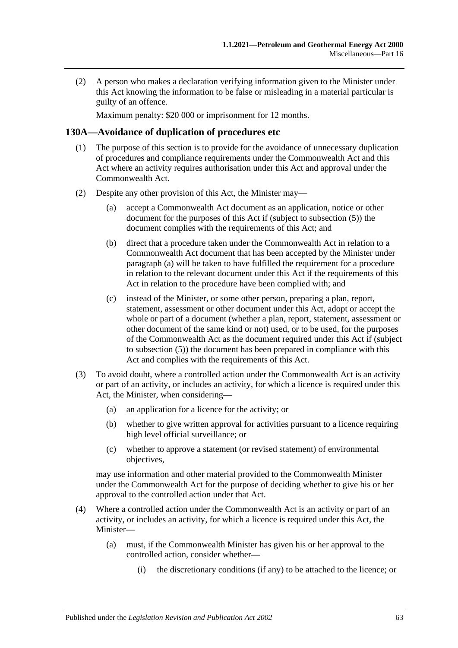(2) A person who makes a declaration verifying information given to the Minister under this Act knowing the information to be false or misleading in a material particular is guilty of an offence.

Maximum penalty: \$20 000 or imprisonment for 12 months.

### **130A—Avoidance of duplication of procedures etc**

- (1) The purpose of this section is to provide for the avoidance of unnecessary duplication of procedures and compliance requirements under the Commonwealth Act and this Act where an activity requires authorisation under this Act and approval under the Commonwealth Act.
- <span id="page-62-2"></span><span id="page-62-1"></span><span id="page-62-0"></span>(2) Despite any other provision of this Act, the Minister may—
	- (a) accept a Commonwealth Act document as an application, notice or other document for the purposes of this Act if (subject to [subsection](#page-63-0) (5)) the document complies with the requirements of this Act; and
	- (b) direct that a procedure taken under the Commonwealth Act in relation to a Commonwealth Act document that has been accepted by the Minister under [paragraph](#page-62-0) (a) will be taken to have fulfilled the requirement for a procedure in relation to the relevant document under this Act if the requirements of this Act in relation to the procedure have been complied with; and
	- (c) instead of the Minister, or some other person, preparing a plan, report, statement, assessment or other document under this Act, adopt or accept the whole or part of a document (whether a plan, report, statement, assessment or other document of the same kind or not) used, or to be used, for the purposes of the Commonwealth Act as the document required under this Act if (subject to [subsection](#page-63-0) (5)) the document has been prepared in compliance with this Act and complies with the requirements of this Act.
- (3) To avoid doubt, where a controlled action under the Commonwealth Act is an activity or part of an activity, or includes an activity, for which a licence is required under this Act, the Minister, when considering—
	- (a) an application for a licence for the activity; or
	- (b) whether to give written approval for activities pursuant to a licence requiring high level official surveillance; or
	- (c) whether to approve a statement (or revised statement) of environmental objectives,

may use information and other material provided to the Commonwealth Minister under the Commonwealth Act for the purpose of deciding whether to give his or her approval to the controlled action under that Act.

- (4) Where a controlled action under the Commonwealth Act is an activity or part of an activity, or includes an activity, for which a licence is required under this Act, the Minister—
	- (a) must, if the Commonwealth Minister has given his or her approval to the controlled action, consider whether—
		- (i) the discretionary conditions (if any) to be attached to the licence; or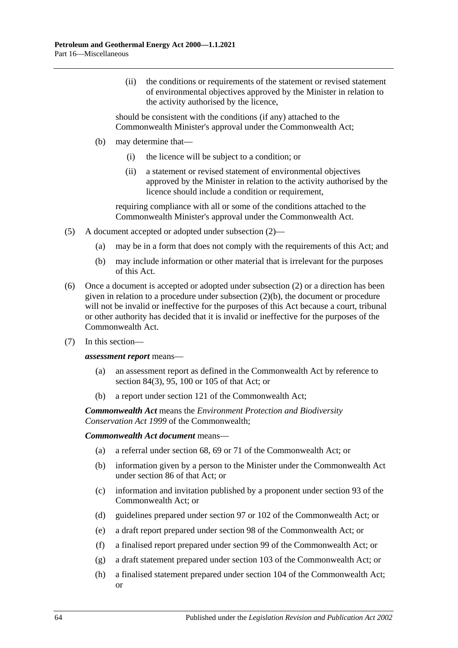(ii) the conditions or requirements of the statement or revised statement of environmental objectives approved by the Minister in relation to the activity authorised by the licence,

should be consistent with the conditions (if any) attached to the Commonwealth Minister's approval under the Commonwealth Act;

- (b) may determine that—
	- (i) the licence will be subject to a condition; or
	- (ii) a statement or revised statement of environmental objectives approved by the Minister in relation to the activity authorised by the licence should include a condition or requirement,

requiring compliance with all or some of the conditions attached to the Commonwealth Minister's approval under the Commonwealth Act.

- <span id="page-63-0"></span>(5) A document accepted or adopted under [subsection](#page-62-1) (2)—
	- (a) may be in a form that does not comply with the requirements of this Act; and
	- (b) may include information or other material that is irrelevant for the purposes of this Act.
- (6) Once a document is accepted or adopted under [subsection](#page-62-1) (2) or a direction has been given in relation to a procedure under [subsection](#page-62-2) (2)(b), the document or procedure will not be invalid or ineffective for the purposes of this Act because a court, tribunal or other authority has decided that it is invalid or ineffective for the purposes of the Commonwealth Act.
- (7) In this section—

#### *assessment report* means—

- (a) an assessment report as defined in the Commonwealth Act by reference to section 84(3), 95, 100 or 105 of that Act; or
- (b) a report under section 121 of the Commonwealth Act;

*Commonwealth Act* means the *Environment Protection and Biodiversity Conservation Act 1999* of the Commonwealth;

### *Commonwealth Act document* means—

- (a) a referral under section 68, 69 or 71 of the Commonwealth Act; or
- (b) information given by a person to the Minister under the Commonwealth Act under section 86 of that Act; or
- (c) information and invitation published by a proponent under section 93 of the Commonwealth Act; or
- (d) guidelines prepared under section 97 or 102 of the Commonwealth Act; or
- (e) a draft report prepared under section 98 of the Commonwealth Act; or
- (f) a finalised report prepared under section 99 of the Commonwealth Act; or
- (g) a draft statement prepared under section 103 of the Commonwealth Act; or
- (h) a finalised statement prepared under section 104 of the Commonwealth Act; or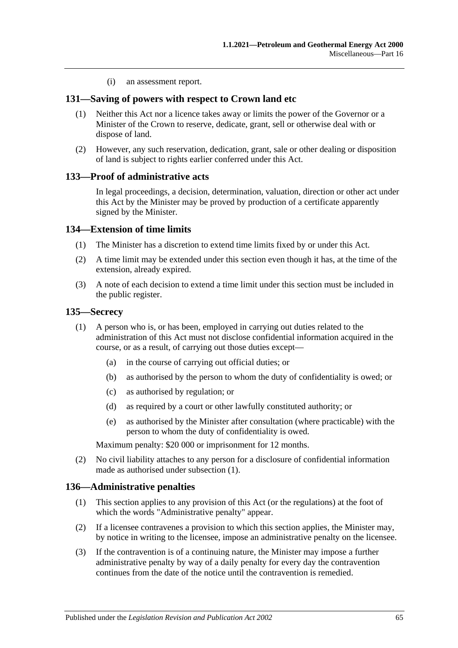(i) an assessment report.

### **131—Saving of powers with respect to Crown land etc**

- (1) Neither this Act nor a licence takes away or limits the power of the Governor or a Minister of the Crown to reserve, dedicate, grant, sell or otherwise deal with or dispose of land.
- (2) However, any such reservation, dedication, grant, sale or other dealing or disposition of land is subject to rights earlier conferred under this Act.

### **133—Proof of administrative acts**

In legal proceedings, a decision, determination, valuation, direction or other act under this Act by the Minister may be proved by production of a certificate apparently signed by the Minister.

### **134—Extension of time limits**

- (1) The Minister has a discretion to extend time limits fixed by or under this Act.
- (2) A time limit may be extended under this section even though it has, at the time of the extension, already expired.
- (3) A note of each decision to extend a time limit under this section must be included in the public register.

### <span id="page-64-0"></span>**135—Secrecy**

- (1) A person who is, or has been, employed in carrying out duties related to the administration of this Act must not disclose confidential information acquired in the course, or as a result, of carrying out those duties except—
	- (a) in the course of carrying out official duties; or
	- (b) as authorised by the person to whom the duty of confidentiality is owed; or
	- (c) as authorised by regulation; or
	- (d) as required by a court or other lawfully constituted authority; or
	- (e) as authorised by the Minister after consultation (where practicable) with the person to whom the duty of confidentiality is owed.

Maximum penalty: \$20 000 or imprisonment for 12 months.

(2) No civil liability attaches to any person for a disclosure of confidential information made as authorised under [subsection](#page-64-0) (1).

### **136—Administrative penalties**

- (1) This section applies to any provision of this Act (or the regulations) at the foot of which the words "Administrative penalty" appear.
- (2) If a licensee contravenes a provision to which this section applies, the Minister may, by notice in writing to the licensee, impose an administrative penalty on the licensee.
- (3) If the contravention is of a continuing nature, the Minister may impose a further administrative penalty by way of a daily penalty for every day the contravention continues from the date of the notice until the contravention is remedied.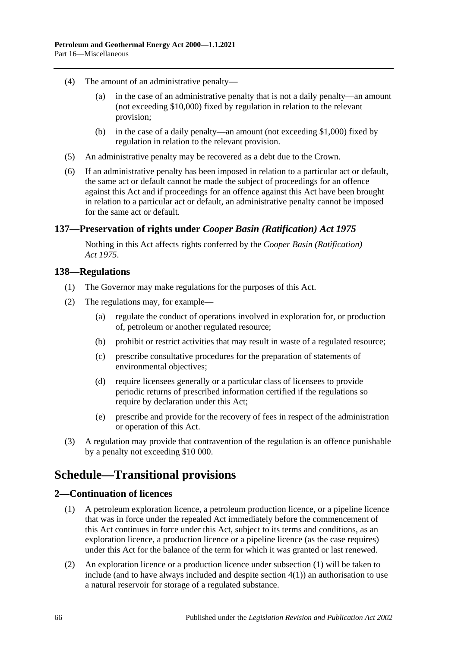- (4) The amount of an administrative penalty—
	- (a) in the case of an administrative penalty that is not a daily penalty—an amount (not exceeding \$10,000) fixed by regulation in relation to the relevant provision;
	- (b) in the case of a daily penalty—an amount (not exceeding \$1,000) fixed by regulation in relation to the relevant provision.
- (5) An administrative penalty may be recovered as a debt due to the Crown.
- (6) If an administrative penalty has been imposed in relation to a particular act or default, the same act or default cannot be made the subject of proceedings for an offence against this Act and if proceedings for an offence against this Act have been brought in relation to a particular act or default, an administrative penalty cannot be imposed for the same act or default.

### **137—Preservation of rights under** *Cooper Basin (Ratification) Act 1975*

Nothing in this Act affects rights conferred by the *[Cooper Basin \(Ratification\)](http://www.legislation.sa.gov.au/index.aspx?action=legref&type=act&legtitle=Cooper%20Basin%20(Ratification)%20Act%201975)  Act [1975](http://www.legislation.sa.gov.au/index.aspx?action=legref&type=act&legtitle=Cooper%20Basin%20(Ratification)%20Act%201975)*.

### **138—Regulations**

- (1) The Governor may make regulations for the purposes of this Act.
- (2) The regulations may, for example—
	- (a) regulate the conduct of operations involved in exploration for, or production of, petroleum or another regulated resource;
	- (b) prohibit or restrict activities that may result in waste of a regulated resource;
	- (c) prescribe consultative procedures for the preparation of statements of environmental objectives;
	- (d) require licensees generally or a particular class of licensees to provide periodic returns of prescribed information certified if the regulations so require by declaration under this Act;
	- (e) prescribe and provide for the recovery of fees in respect of the administration or operation of this Act.
- (3) A regulation may provide that contravention of the regulation is an offence punishable by a penalty not exceeding \$10 000.

# **Schedule—Transitional provisions**

### <span id="page-65-1"></span><span id="page-65-0"></span>**2—Continuation of licences**

- (1) A petroleum exploration licence, a petroleum production licence, or a pipeline licence that was in force under the repealed Act immediately before the commencement of this Act continues in force under this Act, subject to its terms and conditions, as an exploration licence, a production licence or a pipeline licence (as the case requires) under this Act for the balance of the term for which it was granted or last renewed.
- (2) An exploration licence or a production licence under [subsection](#page-65-0) (1) will be taken to include (and to have always included and despite [section](#page-66-0) 4(1)) an authorisation to use a natural reservoir for storage of a regulated substance.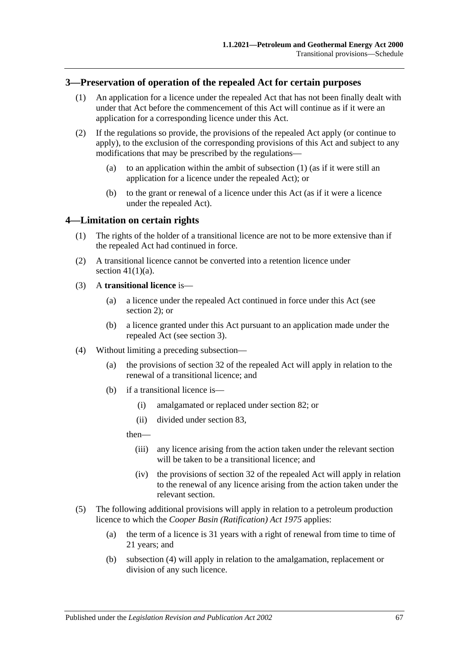### <span id="page-66-2"></span><span id="page-66-1"></span>**3—Preservation of operation of the repealed Act for certain purposes**

- (1) An application for a licence under the repealed Act that has not been finally dealt with under that Act before the commencement of this Act will continue as if it were an application for a corresponding licence under this Act.
- (2) If the regulations so provide, the provisions of the repealed Act apply (or continue to apply), to the exclusion of the corresponding provisions of this Act and subject to any modifications that may be prescribed by the regulations
	- (a) to an application within the ambit of [subsection](#page-66-1)  $(1)$  (as if it were still an application for a licence under the repealed Act); or
	- (b) to the grant or renewal of a licence under this Act (as if it were a licence under the repealed Act).

### <span id="page-66-0"></span>**4—Limitation on certain rights**

- (1) The rights of the holder of a transitional licence are not to be more extensive than if the repealed Act had continued in force.
- (2) A transitional licence cannot be converted into a retention licence under section  $41(1)(a)$ .

### (3) A **transitional licence** is—

- (a) a licence under the repealed Act continued in force under this Act (see [section](#page-65-1) 2); or
- (b) a licence granted under this Act pursuant to an application made under the repealed Act (see [section](#page-66-2) 3).
- <span id="page-66-3"></span>(4) Without limiting a preceding subsection—
	- (a) the provisions of section 32 of the repealed Act will apply in relation to the renewal of a transitional licence; and
	- (b) if a transitional licence is—
		- (i) amalgamated or replaced under [section](#page-44-3) 82; or
		- (ii) divided under [section](#page-44-4) 83,

then—

- (iii) any licence arising from the action taken under the relevant section will be taken to be a transitional licence; and
- (iv) the provisions of section 32 of the repealed Act will apply in relation to the renewal of any licence arising from the action taken under the relevant section.
- (5) The following additional provisions will apply in relation to a petroleum production licence to which the *[Cooper Basin \(Ratification\) Act](http://www.legislation.sa.gov.au/index.aspx?action=legref&type=act&legtitle=Cooper%20Basin%20(Ratification)%20Act%201975) 1975* applies:
	- (a) the term of a licence is 31 years with a right of renewal from time to time of 21 years; and
	- (b) [subsection](#page-66-3) (4) will apply in relation to the amalgamation, replacement or division of any such licence.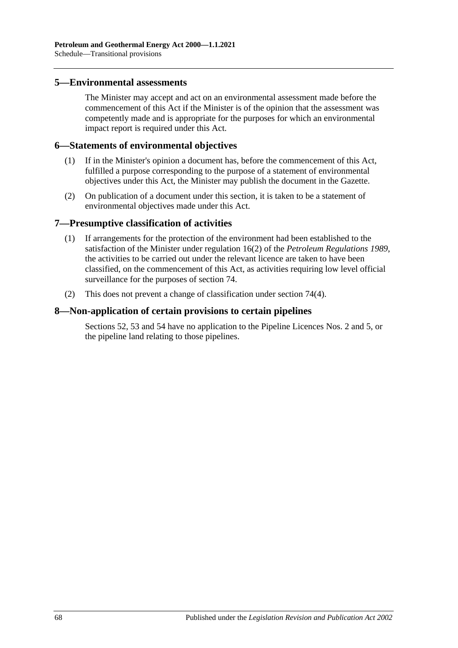### **5—Environmental assessments**

The Minister may accept and act on an environmental assessment made before the commencement of this Act if the Minister is of the opinion that the assessment was competently made and is appropriate for the purposes for which an environmental impact report is required under this Act.

### **6—Statements of environmental objectives**

- (1) If in the Minister's opinion a document has, before the commencement of this Act, fulfilled a purpose corresponding to the purpose of a statement of environmental objectives under this Act, the Minister may publish the document in the Gazette.
- (2) On publication of a document under this section, it is taken to be a statement of environmental objectives made under this Act.

### **7—Presumptive classification of activities**

- (1) If arrangements for the protection of the environment had been established to the satisfaction of the Minister under regulation 16(2) of the *[Petroleum Regulations](http://www.legislation.sa.gov.au/index.aspx?action=legref&type=subordleg&legtitle=Petroleum%20Regulations%201989) 1989*, the activities to be carried out under the relevant licence are taken to have been classified, on the commencement of this Act, as activities requiring low level official surveillance for the purposes of [section](#page-40-0) 74.
- (2) This does not prevent a change of classification under [section](#page-41-1) 74(4).

### **8—Non-application of certain provisions to certain pipelines**

[Sections](#page-30-0) 52, [53](#page-30-1) and [54](#page-30-2) have no application to the Pipeline Licences Nos. 2 and 5, or the pipeline land relating to those pipelines.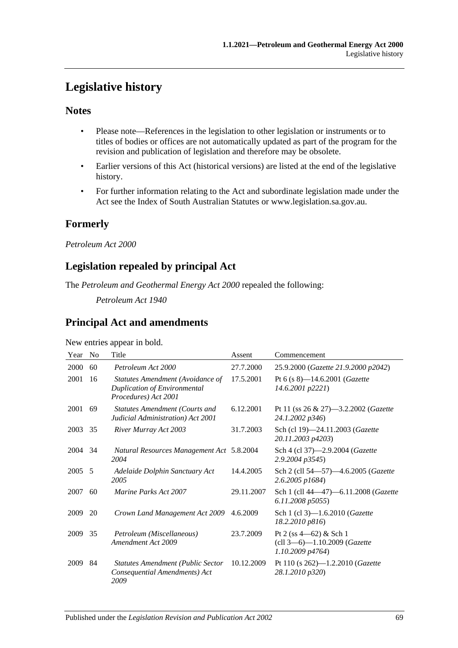# **Legislative history**

### **Notes**

- Please note—References in the legislation to other legislation or instruments or to titles of bodies or offices are not automatically updated as part of the program for the revision and publication of legislation and therefore may be obsolete.
- Earlier versions of this Act (historical versions) are listed at the end of the legislative history.
- For further information relating to the Act and subordinate legislation made under the Act see the Index of South Australian Statutes or www.legislation.sa.gov.au.

# **Formerly**

*Petroleum Act 2000*

# **Legislation repealed by principal Act**

The *Petroleum and Geothermal Energy Act 2000* repealed the following:

*Petroleum Act 1940*

# **Principal Act and amendments**

New entries appear in bold.

| Year | No | Title                                                                                    | Assent     | Commencement                                                                  |
|------|----|------------------------------------------------------------------------------------------|------------|-------------------------------------------------------------------------------|
| 2000 | 60 | Petroleum Act 2000                                                                       | 27.7.2000  | 25.9.2000 (Gazette 21.9.2000 p2042)                                           |
| 2001 | 16 | Statutes Amendment (Avoidance of<br>Duplication of Environmental<br>Procedures) Act 2001 | 17.5.2001  | Pt 6 (s 8)-14.6.2001 (Gazette<br>14.6.2001 p2221)                             |
| 2001 | 69 | <b>Statutes Amendment (Courts and</b><br>Judicial Administration) Act 2001               | 6.12.2001  | Pt 11 (ss $26 \& 27$ )—3.2.2002 ( <i>Gazette</i><br>24.1.2002 p346)           |
| 2003 | 35 | River Murray Act 2003                                                                    | 31.7.2003  | Sch (cl 19)-24.11.2003 (Gazette<br>20.11.2003 p4203)                          |
| 2004 | 34 | Natural Resources Management Act 5.8.2004<br>2004                                        |            | Sch 4 (cl 37)-2.9.2004 (Gazette<br>2.9.2004 p3545)                            |
| 2005 | -5 | Adelaide Dolphin Sanctuary Act<br>2005                                                   | 14.4.2005  | Sch 2 (cll 54-57)-4.6.2005 (Gazette<br>2.6.2005 p1684)                        |
| 2007 | 60 | <i>Marine Parks Act 2007</i>                                                             | 29.11.2007 | Sch 1 (cll 44-47)-6.11.2008 (Gazette<br>6.11.2008 p5055)                      |
| 2009 | 20 | Crown Land Management Act 2009                                                           | 4.6.2009   | Sch 1 (cl 3)-1.6.2010 (Gazette<br>18.2.2010 p816)                             |
| 2009 | 35 | Petroleum (Miscellaneous)<br>Amendment Act 2009                                          | 23.7.2009  | Pt 2 (ss $4-62$ ) & Sch 1<br>(cll 3-6)-1.10.2009 (Gazette<br>1.10.2009 p4764) |
| 2009 | 84 | <b>Statutes Amendment (Public Sector</b><br>Consequential Amendments) Act<br>2009        | 10.12.2009 | Pt 110 (s 262)-1.2.2010 (Gazette<br>28.1.2010 p320)                           |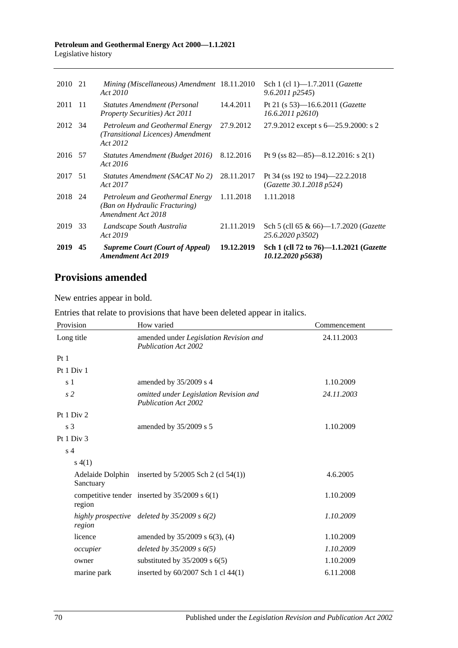#### **Petroleum and Geothermal Energy Act 2000—1.1.2021** Legislative history

| 2019    | 45   | <b>Supreme Court (Court of Appeal)</b><br><b>Amendment Act 2019</b>                    | 19.12.2019 | Sch 1 (cll 72 to 76)-1.1.2021 ( <i>Gazette</i><br>10.12.2020 p5638) |
|---------|------|----------------------------------------------------------------------------------------|------------|---------------------------------------------------------------------|
| 2019    | 33   | Landscape South Australia<br>Act 2019                                                  | 21.11.2019 | Sch 5 (cll 65 & 66)—1.7.2020 ( <i>Gazette</i><br>25.6.2020 p3502)   |
| 2018 24 |      | Petroleum and Geothermal Energy<br>(Ban on Hydraulic Fracturing)<br>Amendment Act 2018 | 1.11.2018  | 1.11.2018                                                           |
| 2017    | .51  | Statutes Amendment (SACAT No 2)<br>Act 2017                                            | 28.11.2017 | Pt 34 (ss 192 to 194)–22.2.2018<br>(Gazette 30.1.2018 p524)         |
| 2016 57 |      | Statutes Amendment (Budget 2016)<br>Act 2016                                           | 8.12.2016  | Pt 9 (ss $82 - 85$ ) - 8.12.2016: s 2(1)                            |
| 2012 34 |      | Petroleum and Geothermal Energy<br>(Transitional Licences) Amendment<br>Act 2012       | 27.9.2012  | 27.9.2012 except s 6-25.9.2000: s 2                                 |
| 2011    | - 11 | <b>Statutes Amendment (Personal</b><br><b>Property Securities</b> ) Act 2011           | 14.4.2011  | Pt 21 (s 53)—16.6.2011 ( <i>Gazette</i><br>$16.6.2011$ $p2610$      |
| 2010 21 |      | Mining (Miscellaneous) Amendment 18.11.2010<br>Act 2010                                |            | Sch 1 (cl 1)-1.7.2011 (Gazette<br>$9.6.2011 \text{ p}2545$          |
|         |      |                                                                                        |            |                                                                     |

# **Provisions amended**

New entries appear in bold.

| Entries that relate to provisions that have been deleted appear in italics. |  |  |  |  |  |
|-----------------------------------------------------------------------------|--|--|--|--|--|
|-----------------------------------------------------------------------------|--|--|--|--|--|

| Provision       | How varied                                                            | Commencement |
|-----------------|-----------------------------------------------------------------------|--------------|
| Long title      | amended under Legislation Revision and<br><b>Publication Act 2002</b> | 24.11.2003   |
| Pt <sub>1</sub> |                                                                       |              |
| Pt 1 Div 1      |                                                                       |              |
| s <sub>1</sub>  | amended by 35/2009 s 4                                                | 1.10.2009    |
| s <sub>2</sub>  | omitted under Legislation Revision and<br><b>Publication Act 2002</b> | 24.11.2003   |
| Pt 1 Div 2      |                                                                       |              |
| s <sub>3</sub>  | amended by 35/2009 s 5                                                | 1.10.2009    |
| Pt 1 Div 3      |                                                                       |              |
| s <sub>4</sub>  |                                                                       |              |
| s(4(1))         |                                                                       |              |
| Sanctuary       | Adelaide Dolphin inserted by $5/2005$ Sch 2 (cl $54(1)$ )             | 4.6.2005     |
| region          | competitive tender inserted by $35/2009$ s $6(1)$                     | 1.10.2009    |
| region          | highly prospective deleted by $35/2009$ s $6(2)$                      | 1.10.2009    |
| licence         | amended by 35/2009 s 6(3), (4)                                        | 1.10.2009    |
| occupier        | deleted by $35/2009 s 6(5)$                                           | 1.10.2009    |
| owner           | substituted by $35/2009$ s $6(5)$                                     | 1.10.2009    |
| marine park     | inserted by 60/2007 Sch 1 cl 44(1)                                    | 6.11.2008    |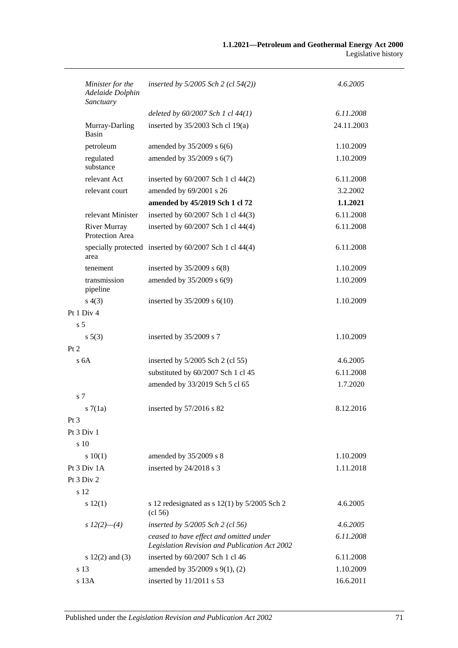| Minister for the<br>Adelaide Dolphin<br>Sanctuary | inserted by $5/2005$ Sch 2 (cl $54(2)$ )                                                 | 4.6.2005   |
|---------------------------------------------------|------------------------------------------------------------------------------------------|------------|
|                                                   | deleted by $60/2007$ Sch 1 cl $44(1)$                                                    | 6.11.2008  |
| Murray-Darling<br>Basin                           | inserted by $35/2003$ Sch cl 19(a)                                                       | 24.11.2003 |
| petroleum                                         | amended by $35/2009$ s $6(6)$                                                            | 1.10.2009  |
| regulated<br>substance                            | amended by 35/2009 s 6(7)                                                                | 1.10.2009  |
| relevant Act                                      | inserted by 60/2007 Sch 1 cl 44(2)                                                       | 6.11.2008  |
| relevant court                                    | amended by 69/2001 s 26                                                                  | 3.2.2002   |
|                                                   | amended by 45/2019 Sch 1 cl 72                                                           | 1.1.2021   |
| relevant Minister                                 | inserted by 60/2007 Sch 1 cl 44(3)                                                       | 6.11.2008  |
| <b>River Murray</b><br>Protection Area            | inserted by 60/2007 Sch 1 cl 44(4)                                                       | 6.11.2008  |
| area                                              | specially protected inserted by 60/2007 Sch 1 cl 44(4)                                   | 6.11.2008  |
| tenement                                          | inserted by $35/2009$ s $6(8)$                                                           | 1.10.2009  |
| transmission<br>pipeline                          | amended by 35/2009 s 6(9)                                                                | 1.10.2009  |
| s(4(3))                                           | inserted by $35/2009$ s $6(10)$                                                          | 1.10.2009  |
| Pt 1 Div 4                                        |                                                                                          |            |
| s <sub>5</sub>                                    |                                                                                          |            |
| $s\,5(3)$                                         | inserted by 35/2009 s 7                                                                  | 1.10.2009  |
| Pt 2                                              |                                                                                          |            |
| s <sub>6A</sub>                                   | inserted by $5/2005$ Sch 2 (cl 55)                                                       | 4.6.2005   |
|                                                   | substituted by 60/2007 Sch 1 cl 45                                                       | 6.11.2008  |
|                                                   | amended by 33/2019 Sch 5 cl 65                                                           | 1.7.2020   |
| s 7                                               |                                                                                          |            |
| s7(1a)                                            | inserted by 57/2016 s 82                                                                 | 8.12.2016  |
| Pt 3                                              |                                                                                          |            |
| Pt 3 Div 1                                        |                                                                                          |            |
| s 10                                              |                                                                                          |            |
| 10(1)                                             | amended by 35/2009 s 8                                                                   | 1.10.2009  |
| Pt 3 Div 1A                                       | inserted by 24/2018 s 3                                                                  | 1.11.2018  |
| Pt $3$ Div $2$                                    |                                                                                          |            |
| s 12                                              |                                                                                          |            |
| s 12(1)                                           | s 12 redesignated as $s$ 12(1) by 5/2005 Sch 2<br>$\left( \text{cl } 56 \right)$         | 4.6.2005   |
| s $12(2)$ —(4)                                    | inserted by 5/2005 Sch 2 (cl 56)                                                         | 4.6.2005   |
|                                                   | ceased to have effect and omitted under<br>Legislation Revision and Publication Act 2002 | 6.11.2008  |
| s $12(2)$ and $(3)$                               | inserted by 60/2007 Sch 1 cl 46                                                          | 6.11.2008  |
| s 13                                              | amended by 35/2009 s 9(1), (2)                                                           | 1.10.2009  |
| s 13A                                             | inserted by 11/2011 s 53                                                                 | 16.6.2011  |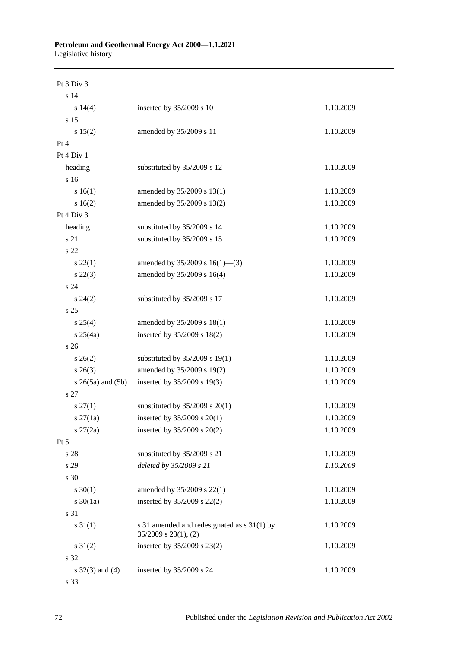| Pt 3 Div 3               |                                                                          |           |
|--------------------------|--------------------------------------------------------------------------|-----------|
| s 14                     |                                                                          |           |
| $s\ 14(4)$               | inserted by 35/2009 s 10                                                 | 1.10.2009 |
| s 15                     |                                                                          |           |
| s 15(2)                  | amended by 35/2009 s 11                                                  | 1.10.2009 |
| Pt 4                     |                                                                          |           |
| Pt 4 Div 1               |                                                                          |           |
| heading                  | substituted by 35/2009 s 12                                              | 1.10.2009 |
| s 16                     |                                                                          |           |
| s 16(1)                  | amended by 35/2009 s 13(1)                                               | 1.10.2009 |
| s 16(2)                  | amended by 35/2009 s 13(2)                                               | 1.10.2009 |
| Pt 4 Div 3               |                                                                          |           |
| heading                  | substituted by 35/2009 s 14                                              | 1.10.2009 |
| s 21                     | substituted by 35/2009 s 15                                              | 1.10.2009 |
| s 22                     |                                                                          |           |
| $s\,22(1)$               | amended by $35/2009$ s $16(1)$ —(3)                                      | 1.10.2009 |
| $s\,22(3)$               | amended by 35/2009 s 16(4)                                               | 1.10.2009 |
| s 24                     |                                                                          |           |
| $s\,24(2)$               | substituted by 35/2009 s 17                                              | 1.10.2009 |
| s 25                     |                                                                          |           |
| $s \; 25(4)$             | amended by 35/2009 s 18(1)                                               | 1.10.2009 |
| $s \; 25(4a)$            | inserted by 35/2009 s 18(2)                                              | 1.10.2009 |
| s <sub>26</sub>          |                                                                          |           |
| $s \; 26(2)$             | substituted by 35/2009 s 19(1)                                           | 1.10.2009 |
| $s \; 26(3)$             | amended by 35/2009 s 19(2)                                               | 1.10.2009 |
| $s \; 26(5a)$ and $(5b)$ | inserted by 35/2009 s 19(3)                                              | 1.10.2009 |
| s 27                     |                                                                          |           |
| $s\,27(1)$               | substituted by $35/2009$ s $20(1)$                                       | 1.10.2009 |
| $s \, 27(1a)$            | inserted by 35/2009 s 20(1)                                              | 1.10.2009 |
| $s \, 27(2a)$            | inserted by 35/2009 s 20(2)                                              | 1.10.2009 |
| Pt 5                     |                                                                          |           |
| s 28                     | substituted by 35/2009 s 21                                              | 1.10.2009 |
| s 29                     | deleted by 35/2009 s 21                                                  | 1.10.2009 |
| s 30                     |                                                                          |           |
| $s \ 30(1)$              | amended by 35/2009 s 22(1)                                               | 1.10.2009 |
| $s \ 30(1a)$             | inserted by 35/2009 s 22(2)                                              | 1.10.2009 |
| s 31                     |                                                                          |           |
| $s \, 31(1)$             | s 31 amended and redesignated as s 31(1) by<br>$35/2009$ s $23(1)$ , (2) | 1.10.2009 |
| $s \, 31(2)$             | inserted by 35/2009 s 23(2)                                              | 1.10.2009 |
| s 32                     |                                                                          |           |
| $s \, 32(3)$ and (4)     | inserted by 35/2009 s 24                                                 | 1.10.2009 |
| s 33                     |                                                                          |           |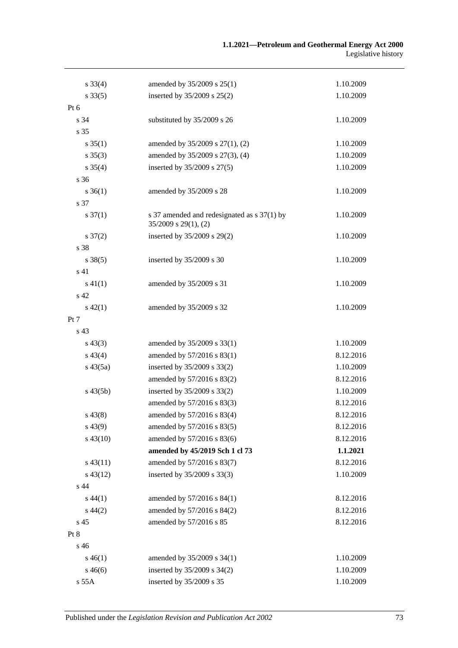| $s \, 33(4)$        | amended by 35/2009 s 25(1)                                               | 1.10.2009 |
|---------------------|--------------------------------------------------------------------------|-----------|
| $s \, 33(5)$        | inserted by 35/2009 s 25(2)                                              | 1.10.2009 |
| Pt 6                |                                                                          |           |
| s 34                | substituted by 35/2009 s 26                                              | 1.10.2009 |
| s 35                |                                                                          |           |
| $s \, 35(1)$        | amended by 35/2009 s 27(1), (2)                                          | 1.10.2009 |
| $s \, 35(3)$        | amended by 35/2009 s 27(3), (4)                                          | 1.10.2009 |
| $s \, 35(4)$        | inserted by 35/2009 s 27(5)                                              | 1.10.2009 |
| s 36                |                                                                          |           |
| $s \, 36(1)$        | amended by 35/2009 s 28                                                  | 1.10.2009 |
| s 37                |                                                                          |           |
| $s \frac{37(1)}{2}$ | s 37 amended and redesignated as s 37(1) by<br>$35/2009$ s $29(1)$ , (2) | 1.10.2009 |
| $s \frac{37(2)}{2}$ | inserted by 35/2009 s 29(2)                                              | 1.10.2009 |
| s 38                |                                                                          |           |
| $s \, 38(5)$        | inserted by 35/2009 s 30                                                 | 1.10.2009 |
| s 41                |                                                                          |           |
| $s\ 41(1)$          | amended by 35/2009 s 31                                                  | 1.10.2009 |
| s 42                |                                                                          |           |
| $s\ 42(1)$          | amended by 35/2009 s 32                                                  | 1.10.2009 |
| Pt 7                |                                                                          |           |
| s 43                |                                                                          |           |
| $s\,43(3)$          | amended by 35/2009 s 33(1)                                               | 1.10.2009 |
| $s\,43(4)$          | amended by 57/2016 s 83(1)                                               | 8.12.2016 |
| $s\,43(5a)$         | inserted by 35/2009 s 33(2)                                              | 1.10.2009 |
|                     | amended by 57/2016 s 83(2)                                               | 8.12.2016 |
| $s\,43(5b)$         | inserted by 35/2009 s 33(2)                                              | 1.10.2009 |
|                     | amended by 57/2016 s 83(3)                                               | 8.12.2016 |
| $s\,43(8)$          | amended by 57/2016 s 83(4)                                               | 8.12.2016 |
| $s\,43(9)$          | amended by 57/2016 s 83(5)                                               | 8.12.2016 |
| $s\,43(10)$         | amended by 57/2016 s 83(6)                                               | 8.12.2016 |
|                     | amended by 45/2019 Sch 1 cl 73                                           | 1.1.2021  |
| $s\,43(11)$         | amended by 57/2016 s 83(7)                                               | 8.12.2016 |
| $s\,43(12)$         | inserted by 35/2009 s 33(3)                                              | 1.10.2009 |
| s 44                |                                                                          |           |
| $s\,44(1)$          | amended by 57/2016 s 84(1)                                               | 8.12.2016 |
| $s\,44(2)$          | amended by 57/2016 s 84(2)                                               | 8.12.2016 |
| s 45                | amended by 57/2016 s 85                                                  | 8.12.2016 |
| Pt 8                |                                                                          |           |
| s 46                |                                                                          |           |
| $s\,46(1)$          | amended by 35/2009 s 34(1)                                               | 1.10.2009 |
| $s\,46(6)$          | inserted by 35/2009 s 34(2)                                              | 1.10.2009 |
| s 55A               | inserted by 35/2009 s 35                                                 | 1.10.2009 |
|                     |                                                                          |           |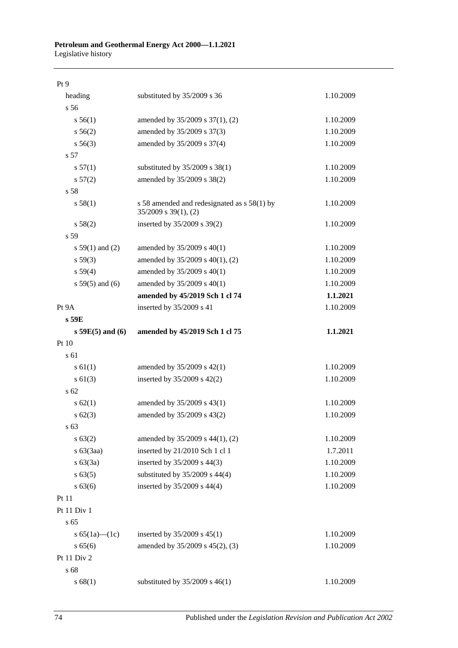# **Petroleum and Geothermal Energy Act 2000—1.1.2021**

Legislative history

| Pt 9                 |                                                                          |           |
|----------------------|--------------------------------------------------------------------------|-----------|
| heading              | substituted by 35/2009 s 36                                              | 1.10.2009 |
| s 56                 |                                                                          |           |
| s 56(1)              | amended by 35/2009 s 37(1), (2)                                          | 1.10.2009 |
| s 56(2)              | amended by 35/2009 s 37(3)                                               | 1.10.2009 |
| $s\,56(3)$           | amended by 35/2009 s 37(4)                                               | 1.10.2009 |
| s 57                 |                                                                          |           |
| s 57(1)              | substituted by $35/2009$ s $38(1)$                                       | 1.10.2009 |
| s 57(2)              | amended by 35/2009 s 38(2)                                               | 1.10.2009 |
| s 58                 |                                                                          |           |
| s 58(1)              | s 58 amended and redesignated as s 58(1) by<br>$35/2009$ s $39(1)$ , (2) | 1.10.2009 |
| s 58(2)              | inserted by 35/2009 s 39(2)                                              | 1.10.2009 |
| s 59                 |                                                                          |           |
| s $59(1)$ and (2)    | amended by 35/2009 s 40(1)                                               | 1.10.2009 |
| s 59(3)              | amended by 35/2009 s 40(1), (2)                                          | 1.10.2009 |
| s 59(4)              | amended by 35/2009 s 40(1)                                               | 1.10.2009 |
| $s 59(5)$ and (6)    | amended by 35/2009 s 40(1)                                               | 1.10.2009 |
|                      | amended by 45/2019 Sch 1 cl 74                                           | 1.1.2021  |
| Pt 9A                | inserted by 35/2009 s 41                                                 | 1.10.2009 |
| s 59E                |                                                                          |           |
| $s 59E(5)$ and $(6)$ | amended by 45/2019 Sch 1 cl 75                                           | 1.1.2021  |
| Pt 10                |                                                                          |           |
| s 61                 |                                                                          |           |
| s 61(1)              | amended by 35/2009 s 42(1)                                               | 1.10.2009 |
| $s \ 61(3)$          | inserted by 35/2009 s 42(2)                                              | 1.10.2009 |
| s <sub>62</sub>      |                                                                          |           |
| $s \, 62(1)$         | amended by 35/2009 s 43(1)                                               | 1.10.2009 |
| $s \, 62(3)$         | amended by 35/2009 s 43(2)                                               | 1.10.2009 |
| s 63                 |                                                                          |           |
| s 63(2)              | amended by 35/2009 s 44(1), (2)                                          | 1.10.2009 |
| $s\ 63(3aa)$         | inserted by 21/2010 Sch 1 cl 1                                           | 1.7.2011  |
| s 63(3a)             | inserted by 35/2009 s 44(3)                                              | 1.10.2009 |
| $s\,63(5)$           | substituted by 35/2009 s 44(4)                                           | 1.10.2009 |
| s 63(6)              | inserted by 35/2009 s 44(4)                                              | 1.10.2009 |
| Pt 11                |                                                                          |           |
| Pt 11 Div 1          |                                                                          |           |
| s 65                 |                                                                          |           |
| s $65(1a)$ — $(1c)$  | inserted by $35/2009$ s $45(1)$                                          | 1.10.2009 |
| s 65(6)              | amended by 35/2009 s 45(2), (3)                                          | 1.10.2009 |
| Pt 11 Div 2          |                                                                          |           |
| s 68                 |                                                                          |           |
| s 68(1)              | substituted by $35/2009$ s $46(1)$                                       | 1.10.2009 |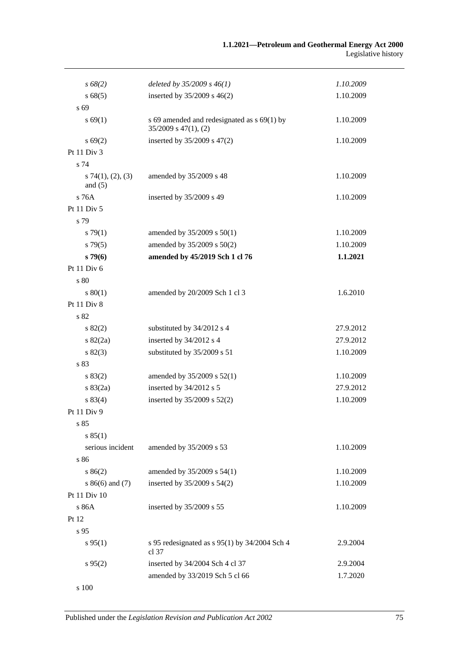| $s\,68(2)$                       | deleted by $35/2009 s 46(1)$                                             | 1.10.2009 |
|----------------------------------|--------------------------------------------------------------------------|-----------|
| s 68(5)                          | inserted by 35/2009 s 46(2)                                              | 1.10.2009 |
| s 69                             |                                                                          |           |
| s 69(1)                          | s 69 amended and redesignated as s 69(1) by<br>$35/2009$ s $47(1)$ , (2) | 1.10.2009 |
| $s \, 69(2)$                     | inserted by 35/2009 s 47(2)                                              | 1.10.2009 |
| Pt 11 Div 3                      |                                                                          |           |
| s 74                             |                                                                          |           |
| $s$ 74(1), (2), (3)<br>and $(5)$ | amended by 35/2009 s 48                                                  | 1.10.2009 |
| s 76A                            | inserted by 35/2009 s 49                                                 | 1.10.2009 |
| Pt 11 Div 5                      |                                                                          |           |
| s 79                             |                                                                          |           |
| $s \, 79(1)$                     | amended by 35/2009 s 50(1)                                               | 1.10.2009 |
| s79(5)                           | amended by 35/2009 s 50(2)                                               | 1.10.2009 |
| $s\,79(6)$                       | amended by 45/2019 Sch 1 cl 76                                           | 1.1.2021  |
| Pt 11 Div 6                      |                                                                          |           |
| s 80                             |                                                                          |           |
| 80(1)                            | amended by 20/2009 Sch 1 cl 3                                            | 1.6.2010  |
| Pt 11 Div 8                      |                                                                          |           |
| s 82                             |                                                                          |           |
| $s\,82(2)$                       | substituted by 34/2012 s 4                                               | 27.9.2012 |
| $s \, 82(2a)$                    | inserted by 34/2012 s 4                                                  | 27.9.2012 |
| s 82(3)                          | substituted by 35/2009 s 51                                              | 1.10.2009 |
| s 83                             |                                                                          |           |
| s 83(2)                          | amended by 35/2009 s 52(1)                                               | 1.10.2009 |
| $s \, 83(2a)$                    | inserted by 34/2012 s 5                                                  | 27.9.2012 |
| s 83(4)                          | inserted by 35/2009 s 52(2)                                              | 1.10.2009 |
| Pt 11 Div 9                      |                                                                          |           |
| s 85                             |                                                                          |           |
| s 85(1)                          |                                                                          |           |
| serious incident                 | amended by 35/2009 s 53                                                  | 1.10.2009 |
| s 86                             |                                                                          |           |
| s 86(2)                          | amended by 35/2009 s 54(1)                                               | 1.10.2009 |
| $s86(6)$ and (7)                 | inserted by 35/2009 s 54(2)                                              | 1.10.2009 |
| Pt 11 Div 10                     |                                                                          |           |
| s 86A                            | inserted by 35/2009 s 55                                                 | 1.10.2009 |
| Pt 12                            |                                                                          |           |
| s 95                             |                                                                          |           |
| s 95(1)                          | s 95 redesignated as $s$ 95(1) by 34/2004 Sch 4<br>cl 37                 | 2.9.2004  |
| $s\,95(2)$                       | inserted by 34/2004 Sch 4 cl 37                                          | 2.9.2004  |
|                                  | amended by 33/2019 Sch 5 cl 66                                           | 1.7.2020  |
| s 100                            |                                                                          |           |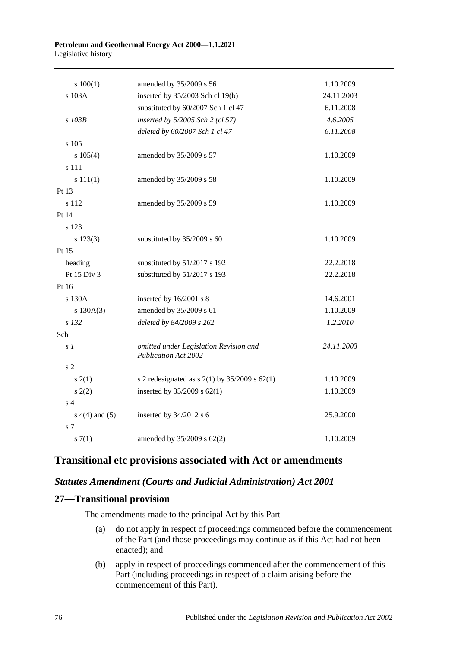#### **Petroleum and Geothermal Energy Act 2000—1.1.2021** Legislative history

| 100(1)         | amended by 35/2009 s 56                                        | 1.10.2009  |
|----------------|----------------------------------------------------------------|------------|
| s 103A         | inserted by 35/2003 Sch cl 19(b)                               | 24.11.2003 |
|                | substituted by 60/2007 Sch 1 cl 47                             | 6.11.2008  |
| s 103B         | inserted by 5/2005 Sch 2 (cl 57)                               | 4.6.2005   |
|                | deleted by 60/2007 Sch 1 cl 47                                 | 6.11.2008  |
| s 105          |                                                                |            |
| $s\ 105(4)$    | amended by 35/2009 s 57                                        | 1.10.2009  |
| s 111          |                                                                |            |
| s 111(1)       | amended by 35/2009 s 58                                        | 1.10.2009  |
| Pt 13          |                                                                |            |
| s 112          | amended by 35/2009 s 59                                        | 1.10.2009  |
| Pt 14          |                                                                |            |
| s 123          |                                                                |            |
| s 123(3)       | substituted by 35/2009 s 60                                    | 1.10.2009  |
| Pt 15          |                                                                |            |
| heading        | substituted by 51/2017 s 192                                   | 22.2.2018  |
| Pt 15 Div 3    | substituted by 51/2017 s 193                                   | 22.2.2018  |
| Pt 16          |                                                                |            |
| s 130A         | inserted by 16/2001 s 8                                        | 14.6.2001  |
| s 130A(3)      | amended by 35/2009 s 61                                        | 1.10.2009  |
| s 132          | deleted by 84/2009 s 262                                       | 1.2.2010   |
| Sch            |                                                                |            |
| s <sub>1</sub> | omitted under Legislation Revision and<br>Publication Act 2002 | 24.11.2003 |
| s <sub>2</sub> |                                                                |            |
| s(2(1))        | s 2 redesignated as s $2(1)$ by $35/2009$ s $62(1)$            | 1.10.2009  |
| s(2)           | inserted by $35/2009$ s $62(1)$                                | 1.10.2009  |
| s 4            |                                                                |            |
| $s(4)$ and (5) | inserted by $34/2012$ s 6                                      | 25.9.2000  |
| s <sub>7</sub> |                                                                |            |
| s(7(1)         | amended by 35/2009 s 62(2)                                     | 1.10.2009  |

# **Transitional etc provisions associated with Act or amendments**

#### *Statutes Amendment (Courts and Judicial Administration) Act 2001*

# **27—Transitional provision**

The amendments made to the principal Act by this Part—

- (a) do not apply in respect of proceedings commenced before the commencement of the Part (and those proceedings may continue as if this Act had not been enacted); and
- (b) apply in respect of proceedings commenced after the commencement of this Part (including proceedings in respect of a claim arising before the commencement of this Part).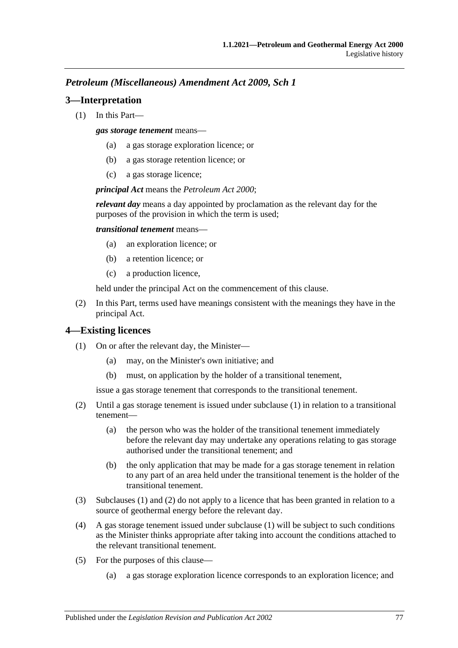#### *Petroleum (Miscellaneous) Amendment Act 2009, Sch 1*

#### **3—Interpretation**

(1) In this Part—

*gas storage tenement* means—

- (a) a gas storage exploration licence; or
- (b) a gas storage retention licence; or
- (c) a gas storage licence;

*principal Act* means the *[Petroleum Act](http://www.legislation.sa.gov.au/index.aspx?action=legref&type=act&legtitle=Petroleum%20Act%202000) 2000*;

*relevant day* means a day appointed by proclamation as the relevant day for the purposes of the provision in which the term is used;

*transitional tenement* means—

- (a) an exploration licence; or
- (b) a retention licence; or
- (c) a production licence,

held under the principal Act on the commencement of this clause.

(2) In this Part, terms used have meanings consistent with the meanings they have in the principal Act.

#### <span id="page-76-0"></span>**4—Existing licences**

- (1) On or after the relevant day, the Minister—
	- (a) may, on the Minister's own initiative; and
	- (b) must, on application by the holder of a transitional tenement,

issue a gas storage tenement that corresponds to the transitional tenement.

- <span id="page-76-1"></span>(2) Until a gas storage tenement is issued under [subclause](#page-76-0) (1) in relation to a transitional tenement—
	- (a) the person who was the holder of the transitional tenement immediately before the relevant day may undertake any operations relating to gas storage authorised under the transitional tenement; and
	- (b) the only application that may be made for a gas storage tenement in relation to any part of an area held under the transitional tenement is the holder of the transitional tenement.
- (3) [Subclauses](#page-76-0) (1) and [\(2\)](#page-76-1) do not apply to a licence that has been granted in relation to a source of geothermal energy before the relevant day.
- (4) A gas storage tenement issued under [subclause](#page-76-0) (1) will be subject to such conditions as the Minister thinks appropriate after taking into account the conditions attached to the relevant transitional tenement.
- (5) For the purposes of this clause—
	- (a) a gas storage exploration licence corresponds to an exploration licence; and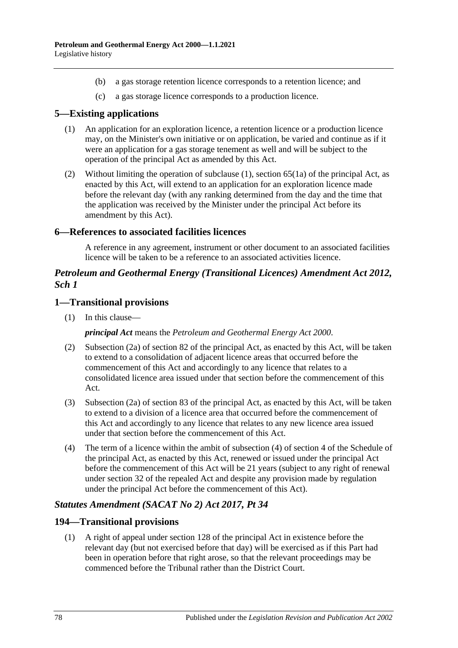- (b) a gas storage retention licence corresponds to a retention licence; and
- (c) a gas storage licence corresponds to a production licence.

### <span id="page-77-0"></span>**5—Existing applications**

- (1) An application for an exploration licence, a retention licence or a production licence may, on the Minister's own initiative or on application, be varied and continue as if it were an application for a gas storage tenement as well and will be subject to the operation of the principal Act as amended by this Act.
- (2) Without limiting the operation of [subclause](#page-77-0) (1), section 65(1a) of the principal Act, as enacted by this Act, will extend to an application for an exploration licence made before the relevant day (with any ranking determined from the day and the time that the application was received by the Minister under the principal Act before its amendment by this Act).

#### **6—References to associated facilities licences**

A reference in any agreement, instrument or other document to an associated facilities licence will be taken to be a reference to an associated activities licence.

#### *Petroleum and Geothermal Energy (Transitional Licences) Amendment Act 2012, Sch 1*

#### **1—Transitional provisions**

(1) In this clause—

*principal Act* means the *[Petroleum and Geothermal Energy Act](http://www.legislation.sa.gov.au/index.aspx?action=legref&type=act&legtitle=Petroleum%20and%20Geothermal%20Energy%20Act%202000) 2000*.

- (2) Subsection (2a) of section 82 of the principal Act, as enacted by this Act, will be taken to extend to a consolidation of adjacent licence areas that occurred before the commencement of this Act and accordingly to any licence that relates to a consolidated licence area issued under that section before the commencement of this Act.
- (3) Subsection (2a) of section 83 of the principal Act, as enacted by this Act, will be taken to extend to a division of a licence area that occurred before the commencement of this Act and accordingly to any licence that relates to any new licence area issued under that section before the commencement of this Act.
- (4) The term of a licence within the ambit of subsection (4) of section 4 of the Schedule of the principal Act, as enacted by this Act, renewed or issued under the principal Act before the commencement of this Act will be 21 years (subject to any right of renewal under section 32 of the repealed Act and despite any provision made by regulation under the principal Act before the commencement of this Act).

#### *Statutes Amendment (SACAT No 2) Act 2017, Pt 34*

#### **194—Transitional provisions**

(1) A right of appeal under section 128 of the principal Act in existence before the relevant day (but not exercised before that day) will be exercised as if this Part had been in operation before that right arose, so that the relevant proceedings may be commenced before the Tribunal rather than the District Court.